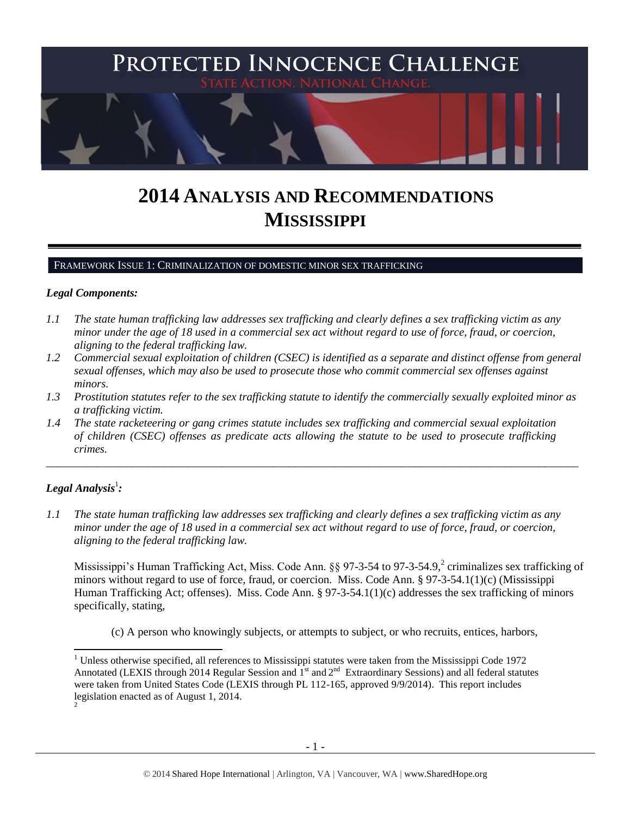

# **2014 ANALYSIS AND RECOMMENDATIONS MISSISSIPPI**

FRAMEWORK ISSUE 1: CRIMINALIZATION OF DOMESTIC MINOR SEX TRAFFICKING

#### *Legal Components:*

- *1.1 The state human trafficking law addresses sex trafficking and clearly defines a sex trafficking victim as any minor under the age of 18 used in a commercial sex act without regard to use of force, fraud, or coercion, aligning to the federal trafficking law.*
- *1.2 Commercial sexual exploitation of children (CSEC) is identified as a separate and distinct offense from general sexual offenses, which may also be used to prosecute those who commit commercial sex offenses against minors.*
- *1.3 Prostitution statutes refer to the sex trafficking statute to identify the commercially sexually exploited minor as a trafficking victim.*

\_\_\_\_\_\_\_\_\_\_\_\_\_\_\_\_\_\_\_\_\_\_\_\_\_\_\_\_\_\_\_\_\_\_\_\_\_\_\_\_\_\_\_\_\_\_\_\_\_\_\_\_\_\_\_\_\_\_\_\_\_\_\_\_\_\_\_\_\_\_\_\_\_\_\_\_\_\_\_\_\_\_\_\_\_\_\_\_\_\_\_\_\_\_

*1.4 The state racketeering or gang crimes statute includes sex trafficking and commercial sexual exploitation of children (CSEC) offenses as predicate acts allowing the statute to be used to prosecute trafficking crimes.* 

## $\bm{L}$ egal Analysis $^1$ :

l

*1.1 The state human trafficking law addresses sex trafficking and clearly defines a sex trafficking victim as any minor under the age of 18 used in a commercial sex act without regard to use of force, fraud, or coercion, aligning to the federal trafficking law.*

Mississippi's Human Trafficking Act, Miss. Code Ann. §§ 97-3-54 to 97-3-54.9,<sup>2</sup> criminalizes sex trafficking of minors without regard to use of force, fraud, or coercion. Miss. Code Ann. § 97-3-54.1(1)(c) (Mississippi Human Trafficking Act; offenses). Miss. Code Ann. § 97-3-54.1(1)(c) addresses the sex trafficking of minors specifically, stating,

<span id="page-0-0"></span>(c) A person who knowingly subjects, or attempts to subject, or who recruits, entices, harbors,

 $1$  Unless otherwise specified, all references to Mississippi statutes were taken from the Mississippi Code 1972 Annotated (LEXIS through 2014 Regular Session and  $1<sup>st</sup>$  and  $2<sup>nd</sup>$  Extraordinary Sessions) and all federal statutes were taken from United States Code (LEXIS through PL 112-165, approved 9/9/2014). This report includes legislation enacted as of August 1, 2014. 2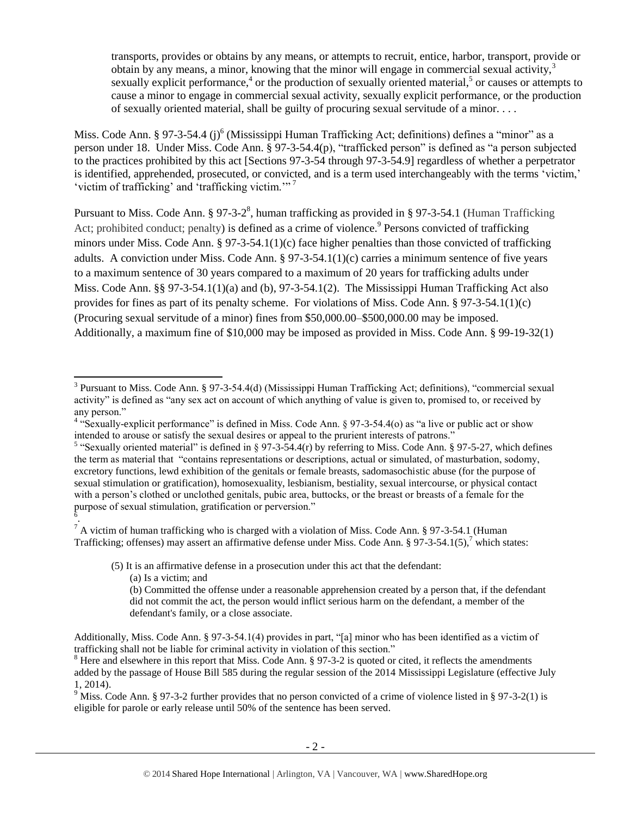transports, provides or obtains by any means, or attempts to recruit, entice, harbor, transport, provide or obtain by any means, a minor, knowing that the minor will engage in commercial sexual activity.<sup>3</sup> sexually explicit performance,<sup>4</sup> or the production of sexually oriented material,<sup>5</sup> or causes or attempts to cause a minor to engage in commercial sexual activity, sexually explicit performance, or the production of sexually oriented material, shall be guilty of procuring sexual servitude of a minor. . . .

Miss. Code Ann. § 97-3-54.4 (j)<sup>6</sup> (Mississippi Human Trafficking Act; definitions) defines a "minor" as a person under 18. Under Miss. Code Ann. § 97-3-54.4(p), "trafficked person" is defined as "a person subjected to the practices prohibited by this act [Sections 97-3-54 through 97-3-54.9] regardless of whether a perpetrator is identified, apprehended, prosecuted, or convicted, and is a term used interchangeably with the terms 'victim,' 'victim of trafficking' and 'trafficking victim.'" <sup>7</sup>

<span id="page-1-1"></span><span id="page-1-0"></span>Pursuant to Miss. Code Ann. § 97-3-2<sup>8</sup>, human trafficking as provided in § 97-3-54.1 (Human Trafficking Act; prohibited conduct; penalty) is defined as a crime of violence.<sup>9</sup> Persons convicted of trafficking minors under Miss. Code Ann. § 97-3-54.1(1)(c) face higher penalties than those convicted of trafficking adults. A conviction under Miss. Code Ann. § 97-3-54.1(1)(c) carries a minimum sentence of five years to a maximum sentence of 30 years compared to a maximum of 20 years for trafficking adults under Miss. Code Ann. §§ 97-3-54.1(1)(a) and (b), 97-3-54.1(2). The Mississippi Human Trafficking Act also provides for fines as part of its penalty scheme. For violations of Miss. Code Ann. § 97-3-54.1(1)(c) (Procuring sexual servitude of a minor) fines from \$50,000.00–\$500,000.00 may be imposed. Additionally, a maximum fine of \$10,000 may be imposed as provided in Miss. Code Ann. § 99-19-32(1)

 $\overline{a}$ 

<sup>&</sup>lt;sup>3</sup> Pursuant to Miss. Code Ann. § 97-3-54.4(d) (Mississippi Human Trafficking Act; definitions), "commercial sexual activity" is defined as "any sex act on account of which anything of value is given to, promised to, or received by any person."

<sup>&</sup>lt;sup>4</sup> "Sexually-explicit performance" is defined in Miss. Code Ann. § 97-3-54.4(o) as "a live or public act or show intended to arouse or satisfy the sexual desires or appeal to the prurient interests of patrons."

<sup>&</sup>lt;sup>5</sup> "Sexually oriented material" is defined in § 97-3-54.4(r) by referring to Miss. Code Ann. § 97-5-27, which defines the term as material that "contains representations or descriptions, actual or simulated, of masturbation, sodomy, excretory functions, lewd exhibition of the genitals or female breasts, sadomasochistic abuse (for the purpose of sexual stimulation or gratification), homosexuality, lesbianism, bestiality, sexual intercourse, or physical contact with a person's clothed or unclothed genitals, pubic area, buttocks, or the breast or breasts of a female for the purpose of sexual stimulation, gratification or perversion." 6 .

 $^7$  A victim of human trafficking who is charged with a violation of Miss. Code Ann. § 97-3-54.1 (Human Trafficking; offenses) may assert an affirmative defense under Miss. Code Ann. § 97-3-54.1(5),<sup>7</sup> which states:

<sup>(5)</sup> It is an affirmative defense in a prosecution under this act that the defendant:

<sup>(</sup>a) Is a victim; and

<sup>(</sup>b) Committed the offense under a reasonable apprehension created by a person that, if the defendant did not commit the act, the person would inflict serious harm on the defendant, a member of the defendant's family, or a close associate.

Additionally, Miss. Code Ann. § 97-3-54.1(4) provides in part, "[a] minor who has been identified as a victim of trafficking shall not be liable for criminal activity in violation of this section."

<sup>&</sup>lt;sup>8</sup> Here and elsewhere in this report that Miss. Code Ann. § 97-3-2 is quoted or cited, it reflects the amendments added by the passage of House Bill 585 during the regular session of the 2014 Mississippi Legislature (effective July 1, 2014).

<sup>&</sup>lt;sup>9</sup> Miss. Code Ann. § 97-3-2 further provides that no person convicted of a crime of violence listed in § 97-3-2(1) is eligible for parole or early release until 50% of the sentence has been served.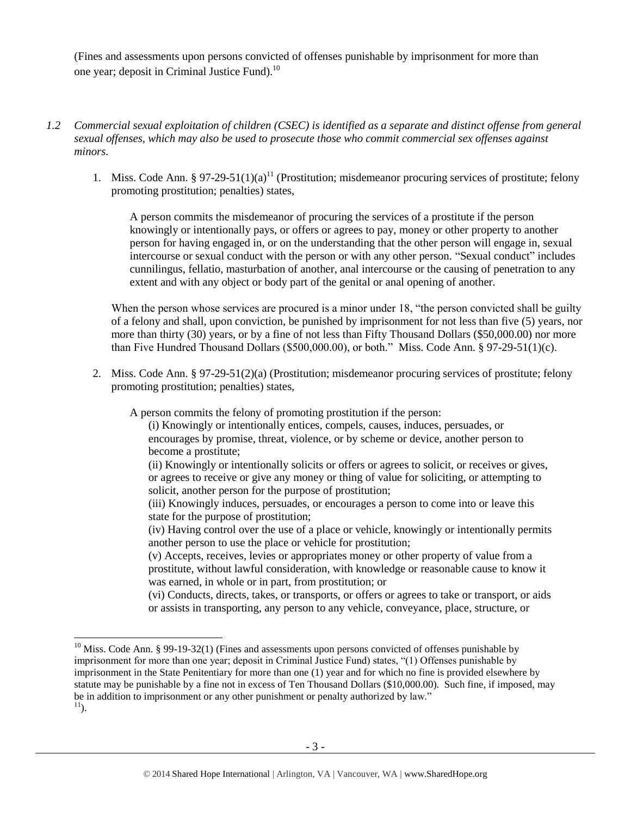(Fines and assessments upon persons convicted of offenses punishable by imprisonment for more than one year; deposit in Criminal Justice Fund).<sup>10</sup>

- *1.2 Commercial sexual exploitation of children (CSEC) is identified as a separate and distinct offense from general sexual offenses, which may also be used to prosecute those who commit commercial sex offenses against minors.*
	- 1. Miss. Code Ann. § 97-29-51(1)(a)<sup>11</sup> (Prostitution; misdemeanor procuring services of prostitute; felony promoting prostitution; penalties) states,

<span id="page-2-0"></span>A person commits the misdemeanor of procuring the services of a prostitute if the person knowingly or intentionally pays, or offers or agrees to pay, money or other property to another person for having engaged in, or on the understanding that the other person will engage in, sexual intercourse or sexual conduct with the person or with any other person. "Sexual conduct" includes cunnilingus, fellatio, masturbation of another, anal intercourse or the causing of penetration to any extent and with any object or body part of the genital or anal opening of another.

When the person whose services are procured is a minor under 18, "the person convicted shall be guilty of a felony and shall, upon conviction, be punished by imprisonment for not less than five (5) years, nor more than thirty (30) years, or by a fine of not less than Fifty Thousand Dollars (\$50,000.00) nor more than Five Hundred Thousand Dollars (\$500,000.00), or both." Miss. Code Ann. § 97-29-51(1)(c).

2. Miss. Code Ann. § 97-29-51(2)(a) (Prostitution; misdemeanor procuring services of prostitute; felony promoting prostitution; penalties) states,

A person commits the felony of promoting prostitution if the person:

- (i) Knowingly or intentionally entices, compels, causes, induces, persuades, or encourages by promise, threat, violence, or by scheme or device, another person to become a prostitute;
- (ii) Knowingly or intentionally solicits or offers or agrees to solicit, or receives or gives, or agrees to receive or give any money or thing of value for soliciting, or attempting to solicit, another person for the purpose of prostitution;
- (iii) Knowingly induces, persuades, or encourages a person to come into or leave this state for the purpose of prostitution;
- (iv) Having control over the use of a place or vehicle, knowingly or intentionally permits another person to use the place or vehicle for prostitution;
- (v) Accepts, receives, levies or appropriates money or other property of value from a prostitute, without lawful consideration, with knowledge or reasonable cause to know it was earned, in whole or in part, from prostitution; or
- (vi) Conducts, directs, takes, or transports, or offers or agrees to take or transport, or aids or assists in transporting, any person to any vehicle, conveyance, place, structure, or

 $10$  Miss. Code Ann. § 99-19-32(1) (Fines and assessments upon persons convicted of offenses punishable by imprisonment for more than one year; deposit in Criminal Justice Fund) states, "(1) Offenses punishable by imprisonment in the State Penitentiary for more than one (1) year and for which no fine is provided elsewhere by statute may be punishable by a fine not in excess of Ten Thousand Dollars (\$10,000.00). Such fine, if imposed, may be in addition to imprisonment or any other punishment or penalty authorized by law."  $^{11}$ ).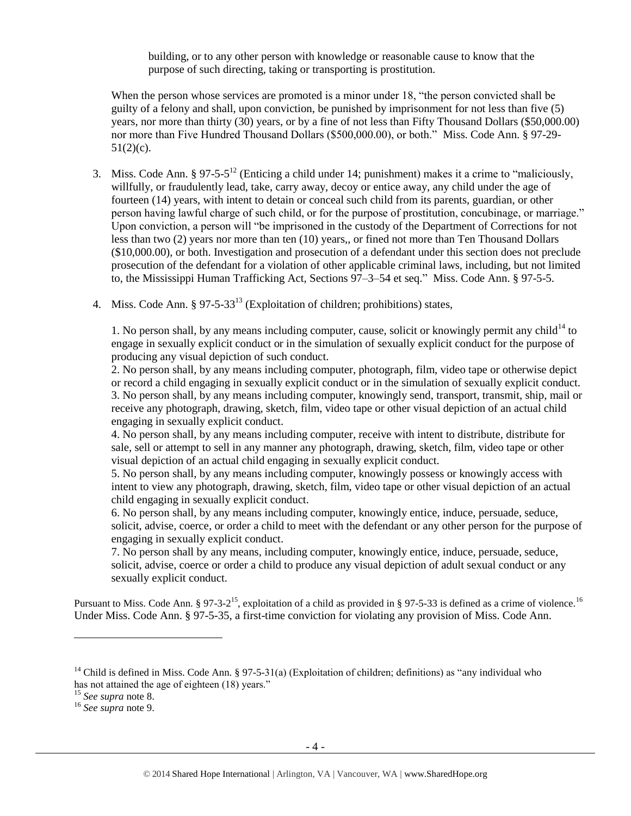building, or to any other person with knowledge or reasonable cause to know that the purpose of such directing, taking or transporting is prostitution.

When the person whose services are promoted is a minor under 18, "the person convicted shall be guilty of a felony and shall, upon conviction, be punished by imprisonment for not less than five (5) years, nor more than thirty (30) years, or by a fine of not less than Fifty Thousand Dollars (\$50,000.00) nor more than Five Hundred Thousand Dollars (\$500,000.00), or both." Miss. Code Ann. § 97-29-  $51(2)(c)$ .

- <span id="page-3-1"></span>3. Miss. Code Ann. § 97-5-5<sup>12</sup> (Enticing a child under 14; punishment) makes it a crime to "maliciously, willfully, or fraudulently lead, take, carry away, decoy or entice away, any child under the age of fourteen (14) years, with intent to detain or conceal such child from its parents, guardian, or other person having lawful charge of such child, or for the purpose of prostitution, concubinage, or marriage." Upon conviction, a person will "be imprisoned in the custody of the Department of Corrections for not less than two (2) years nor more than ten (10) years,, or fined not more than Ten Thousand Dollars (\$10,000.00), or both. Investigation and prosecution of a defendant under this section does not preclude prosecution of the defendant for a violation of other applicable criminal laws, including, but not limited to, the Mississippi Human Trafficking Act, Sections 97–3–54 et seq." Miss. Code Ann. § 97-5-5.
- 4. Miss. Code Ann.  $\S 97-5-33^{13}$  (Exploitation of children; prohibitions) states,

<span id="page-3-0"></span>1. No person shall, by any means including computer, cause, solicit or knowingly permit any child<sup>14</sup> to engage in sexually explicit conduct or in the simulation of sexually explicit conduct for the purpose of producing any visual depiction of such conduct.

2. No person shall, by any means including computer, photograph, film, video tape or otherwise depict or record a child engaging in sexually explicit conduct or in the simulation of sexually explicit conduct. 3. No person shall, by any means including computer, knowingly send, transport, transmit, ship, mail or receive any photograph, drawing, sketch, film, video tape or other visual depiction of an actual child engaging in sexually explicit conduct.

4. No person shall, by any means including computer, receive with intent to distribute, distribute for sale, sell or attempt to sell in any manner any photograph, drawing, sketch, film, video tape or other visual depiction of an actual child engaging in sexually explicit conduct.

5. No person shall, by any means including computer, knowingly possess or knowingly access with intent to view any photograph, drawing, sketch, film, video tape or other visual depiction of an actual child engaging in sexually explicit conduct.

6. No person shall, by any means including computer, knowingly entice, induce, persuade, seduce, solicit, advise, coerce, or order a child to meet with the defendant or any other person for the purpose of engaging in sexually explicit conduct.

7. No person shall by any means, including computer, knowingly entice, induce, persuade, seduce, solicit, advise, coerce or order a child to produce any visual depiction of adult sexual conduct or any sexually explicit conduct.

Pursuant to Miss. Code Ann. § 97-3-2<sup>15</sup>, exploitation of a child as provided in § 97-5-33 is defined as a crime of violence.<sup>16</sup> Under Miss. Code Ann. § 97-5-35, a first-time conviction for violating any provision of Miss. Code Ann.

<sup>&</sup>lt;sup>14</sup> Child is defined in Miss. Code Ann. § 97-5-31(a) (Exploitation of children; definitions) as "any individual who has not attained the age of eighteen (18) years."

<sup>15</sup> *See supra* note [8.](#page-1-0)

<sup>16</sup> *See supra* note [9.](#page-1-1)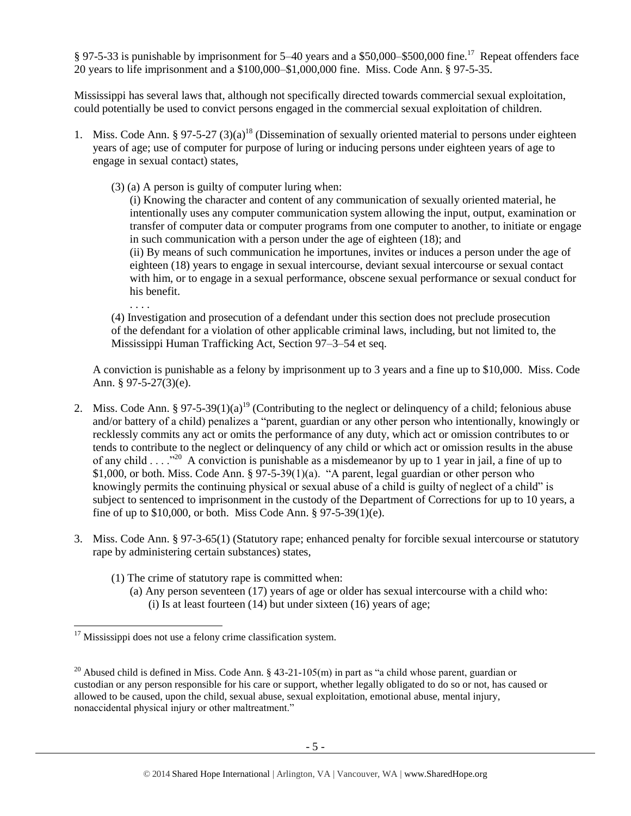§ 97-5-33 is punishable by imprisonment for 5–40 years and a \$50,000–\$500,000 fine.<sup>17</sup> Repeat offenders face 20 years to life imprisonment and a \$100,000–\$1,000,000 fine. Miss. Code Ann. § 97-5-35.

Mississippi has several laws that, although not specifically directed towards commercial sexual exploitation, could potentially be used to convict persons engaged in the commercial sexual exploitation of children.

- 1. Miss. Code Ann. § 97-5-27 (3)(a)<sup>18</sup> (Dissemination of sexually oriented material to persons under eighteen years of age; use of computer for purpose of luring or inducing persons under eighteen years of age to engage in sexual contact) states,
	- (3) (a) A person is guilty of computer luring when:

. . . .

 $\overline{a}$ 

(i) Knowing the character and content of any communication of sexually oriented material, he intentionally uses any computer communication system allowing the input, output, examination or transfer of computer data or computer programs from one computer to another, to initiate or engage in such communication with a person under the age of eighteen (18); and (ii) By means of such communication he importunes, invites or induces a person under the age of eighteen (18) years to engage in sexual intercourse, deviant sexual intercourse or sexual contact with him, or to engage in a sexual performance, obscene sexual performance or sexual conduct for his benefit.

(4) Investigation and prosecution of a defendant under this section does not preclude prosecution of the defendant for a violation of other applicable criminal laws, including, but not limited to, the Mississippi Human Trafficking Act, Section 97–3–54 et seq.

A conviction is punishable as a felony by imprisonment up to 3 years and a fine up to \$10,000. Miss. Code Ann. § 97-5-27(3)(e).

- 2. Miss. Code Ann. § 97-5-39(1)(a)<sup>19</sup> (Contributing to the neglect or delinquency of a child; felonious abuse and/or battery of a child) penalizes a "parent, guardian or any other person who intentionally, knowingly or recklessly commits any act or omits the performance of any duty, which act or omission contributes to or tends to contribute to the neglect or delinquency of any child or which act or omission results in the abuse of any child . . . .<sup>320</sup> A conviction is punishable as a misdemeanor by up to 1 year in jail, a fine of up to \$1,000, or both. Miss. Code Ann. § 97-5-39(1)(a). "A parent, legal guardian or other person who knowingly permits the continuing physical or sexual abuse of a child is guilty of neglect of a child" is subject to sentenced to imprisonment in the custody of the Department of Corrections for up to 10 years, a fine of up to \$10,000, or both. Miss Code Ann. § 97-5-39(1)(e).
- 3. Miss. Code Ann. § 97-3-65(1) (Statutory rape; enhanced penalty for forcible sexual intercourse or statutory rape by administering certain substances) states,
	- (1) The crime of statutory rape is committed when:
		- (a) Any person seventeen (17) years of age or older has sexual intercourse with a child who: (i) Is at least fourteen (14) but under sixteen (16) years of age;

<sup>&</sup>lt;sup>17</sup> Mississippi does not use a felony crime classification system.

<sup>&</sup>lt;sup>20</sup> Abused child is defined in Miss. Code Ann. § 43-21-105(m) in part as "a child whose parent, guardian or custodian or any person responsible for his care or support, whether legally obligated to do so or not, has caused or allowed to be caused, upon the child, sexual abuse, sexual exploitation, emotional abuse, mental injury, nonaccidental physical injury or other maltreatment."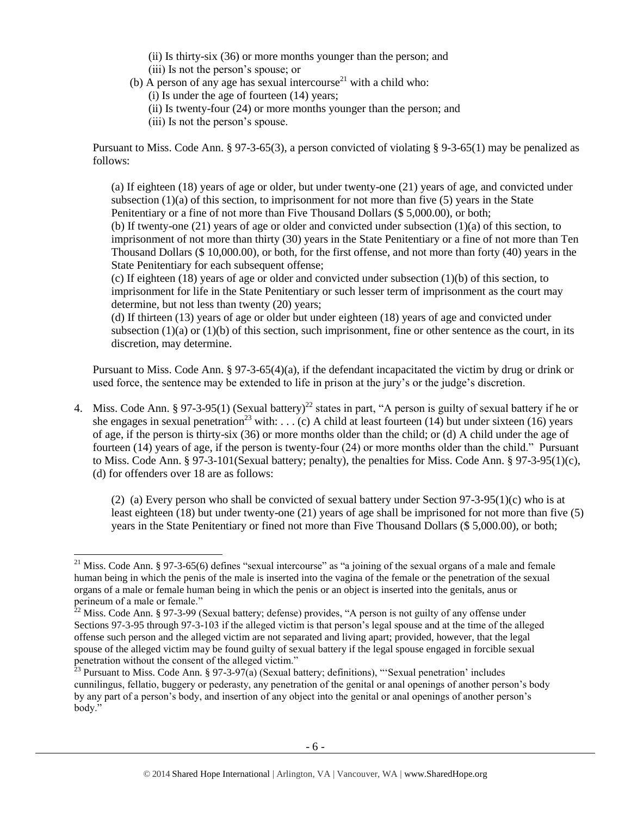(ii) Is thirty-six (36) or more months younger than the person; and (iii) Is not the person's spouse; or

- (b) A person of any age has sexual intercourse<sup>21</sup> with a child who:
	- (i) Is under the age of fourteen (14) years;
	- (ii) Is twenty-four (24) or more months younger than the person; and
	- (iii) Is not the person's spouse.

Pursuant to Miss. Code Ann. § 97-3-65(3), a person convicted of violating § 9-3-65(1) may be penalized as follows:

(a) If eighteen (18) years of age or older, but under twenty-one (21) years of age, and convicted under subsection  $(1)(a)$  of this section, to imprisonment for not more than five  $(5)$  years in the State Penitentiary or a fine of not more than Five Thousand Dollars (\$ 5,000.00), or both; (b) If twenty-one (21) years of age or older and convicted under subsection (1)(a) of this section, to imprisonment of not more than thirty (30) years in the State Penitentiary or a fine of not more than Ten Thousand Dollars (\$ 10,000.00), or both, for the first offense, and not more than forty (40) years in the

State Penitentiary for each subsequent offense;

 $\overline{a}$ 

(c) If eighteen (18) years of age or older and convicted under subsection (1)(b) of this section, to imprisonment for life in the State Penitentiary or such lesser term of imprisonment as the court may determine, but not less than twenty (20) years;

(d) If thirteen (13) years of age or older but under eighteen (18) years of age and convicted under subsection (1)(a) or (1)(b) of this section, such imprisonment, fine or other sentence as the court, in its discretion, may determine.

Pursuant to Miss. Code Ann. § 97-3-65(4)(a), if the defendant incapacitated the victim by drug or drink or used force, the sentence may be extended to life in prison at the jury's or the judge's discretion.

4. Miss. Code Ann. § 97-3-95(1) (Sexual battery)<sup>22</sup> states in part, "A person is guilty of sexual battery if he or she engages in sexual penetration<sup>23</sup> with: . . . (c) A child at least fourteen (14) but under sixteen (16) years of age, if the person is thirty-six (36) or more months older than the child; or (d) A child under the age of fourteen (14) years of age, if the person is twenty-four (24) or more months older than the child." Pursuant to Miss. Code Ann. § 97-3-101(Sexual battery; penalty), the penalties for Miss. Code Ann. § 97-3-95(1)(c), (d) for offenders over 18 are as follows:

(2) (a) Every person who shall be convicted of sexual battery under Section  $97-3-95(1)$ (c) who is at least eighteen (18) but under twenty-one (21) years of age shall be imprisoned for not more than five (5) years in the State Penitentiary or fined not more than Five Thousand Dollars (\$ 5,000.00), or both;

<sup>&</sup>lt;sup>21</sup> Miss. Code Ann. § 97-3-65(6) defines "sexual intercourse" as "a joining of the sexual organs of a male and female human being in which the penis of the male is inserted into the vagina of the female or the penetration of the sexual organs of a male or female human being in which the penis or an object is inserted into the genitals, anus or perineum of a male or female."

 $22$  Miss. Code Ann. § 97-3-99 (Sexual battery; defense) provides, "A person is not guilty of any offense under Sections 97-3-95 through 97-3-103 if the alleged victim is that person's legal spouse and at the time of the alleged offense such person and the alleged victim are not separated and living apart; provided, however, that the legal spouse of the alleged victim may be found guilty of sexual battery if the legal spouse engaged in forcible sexual penetration without the consent of the alleged victim."

 $^{23}$  Pursuant to Miss. Code Ann. § 97-3-97(a) (Sexual battery; definitions), "Sexual penetration' includes cunnilingus, fellatio, buggery or pederasty, any penetration of the genital or anal openings of another person's body by any part of a person's body, and insertion of any object into the genital or anal openings of another person's body."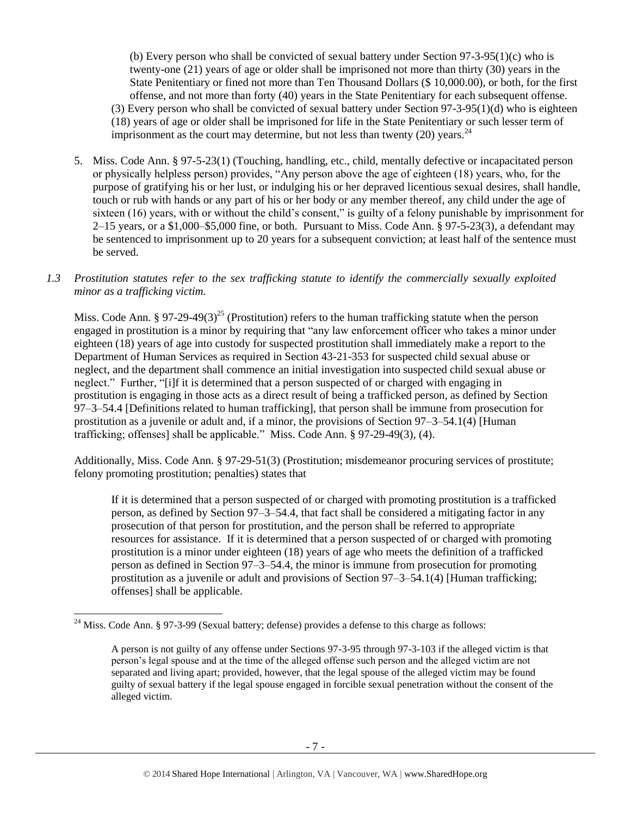(b) Every person who shall be convicted of sexual battery under Section 97-3-95(1)(c) who is twenty-one (21) years of age or older shall be imprisoned not more than thirty (30) years in the State Penitentiary or fined not more than Ten Thousand Dollars (\$ 10,000.00), or both, for the first offense, and not more than forty (40) years in the State Penitentiary for each subsequent offense. (3) Every person who shall be convicted of sexual battery under Section 97-3-95(1)(d) who is eighteen (18) years of age or older shall be imprisoned for life in the State Penitentiary or such lesser term of imprisonment as the court may determine, but not less than twenty (20) years.  $24$ 

- 5. Miss. Code Ann. § 97-5-23(1) (Touching, handling, etc., child, mentally defective or incapacitated person or physically helpless person) provides, "Any person above the age of eighteen (18) years, who, for the purpose of gratifying his or her lust, or indulging his or her depraved licentious sexual desires, shall handle, touch or rub with hands or any part of his or her body or any member thereof, any child under the age of sixteen (16) years, with or without the child's consent," is guilty of a felony punishable by imprisonment for  $2-15$  years, or a \$1,000–\$5,000 fine, or both. Pursuant to Miss. Code Ann. § 97-5-23(3), a defendant may be sentenced to imprisonment up to 20 years for a subsequent conviction; at least half of the sentence must be served.
- *1.3 Prostitution statutes refer to the sex trafficking statute to identify the commercially sexually exploited minor as a trafficking victim.*

Miss. Code Ann. § 97-29-49(3)<sup>25</sup> (Prostitution) refers to the human trafficking statute when the person engaged in prostitution is a minor by requiring that "any law enforcement officer who takes a minor under eighteen (18) years of age into custody for suspected prostitution shall immediately make a report to the Department of Human Services as required in Section 43-21-353 for suspected child sexual abuse or neglect, and the department shall commence an initial investigation into suspected child sexual abuse or neglect." Further, "[i]f it is determined that a person suspected of or charged with engaging in prostitution is engaging in those acts as a direct result of being a trafficked person, as defined by Section 97–3–54.4 [Definitions related to human trafficking], that person shall be immune from prosecution for prostitution as a juvenile or adult and, if a minor, the provisions of Section 97–3–54.1(4) [Human trafficking; offenses] shall be applicable." Miss. Code Ann. § 97-29-49(3), (4).

Additionally, Miss. Code Ann. § 97-29-51(3) (Prostitution; misdemeanor procuring services of prostitute; felony promoting prostitution; penalties) states that

If it is determined that a person suspected of or charged with promoting prostitution is a trafficked person, as defined by Section 97–3–54.4, that fact shall be considered a mitigating factor in any prosecution of that person for prostitution, and the person shall be referred to appropriate resources for assistance. If it is determined that a person suspected of or charged with promoting prostitution is a minor under eighteen (18) years of age who meets the definition of a trafficked person as defined in Section 97–3–54.4, the minor is immune from prosecution for promoting prostitution as a juvenile or adult and provisions of Section 97–3–54.1(4) [Human trafficking; offenses] shall be applicable.

<sup>&</sup>lt;sup>24</sup> Miss. Code Ann. § 97-3-99 (Sexual battery; defense) provides a defense to this charge as follows:

A person is not guilty of any offense under Sections 97-3-95 through 97-3-103 if the alleged victim is that person's legal spouse and at the time of the alleged offense such person and the alleged victim are not separated and living apart; provided, however, that the legal spouse of the alleged victim may be found guilty of sexual battery if the legal spouse engaged in forcible sexual penetration without the consent of the alleged victim.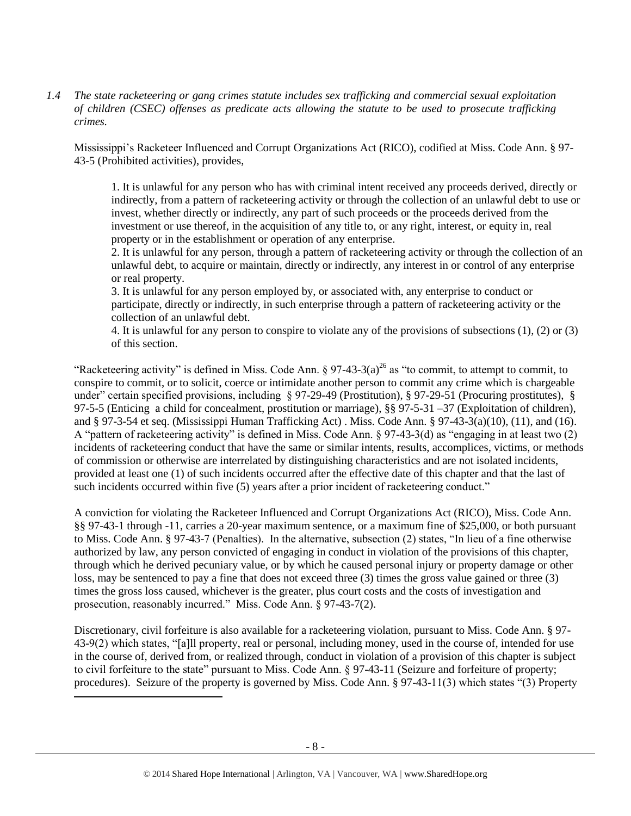*1.4 The state racketeering or gang crimes statute includes sex trafficking and commercial sexual exploitation of children (CSEC) offenses as predicate acts allowing the statute to be used to prosecute trafficking crimes.* 

Mississippi's Racketeer Influenced and Corrupt Organizations Act (RICO), codified at Miss. Code Ann. § 97- 43-5 (Prohibited activities), provides,

1. It is unlawful for any person who has with criminal intent received any proceeds derived, directly or indirectly, from a pattern of racketeering activity or through the collection of an unlawful debt to use or invest, whether directly or indirectly, any part of such proceeds or the proceeds derived from the investment or use thereof, in the acquisition of any title to, or any right, interest, or equity in, real property or in the establishment or operation of any enterprise.

2. It is unlawful for any person, through a pattern of racketeering activity or through the collection of an unlawful debt, to acquire or maintain, directly or indirectly, any interest in or control of any enterprise or real property.

3. It is unlawful for any person employed by, or associated with, any enterprise to conduct or participate, directly or indirectly, in such enterprise through a pattern of racketeering activity or the collection of an unlawful debt.

4. It is unlawful for any person to conspire to violate any of the provisions of subsections (1), (2) or (3) of this section.

"Racketeering activity" is defined in Miss. Code Ann.  $\S 97-43-3(a)^{26}$  as "to commit, to attempt to commit, to conspire to commit, or to solicit, coerce or intimidate another person to commit any crime which is chargeable under" certain specified provisions, including § 97-29-49 (Prostitution), § 97-29-51 (Procuring prostitutes), § 97-5-5 (Enticing a child for concealment, prostitution or marriage), §§ 97-5-31 –37 (Exploitation of children), and § 97-3-54 et seq. (Mississippi Human Trafficking Act) . Miss. Code Ann. § 97-43-3(a)(10), (11), and (16). A "pattern of racketeering activity" is defined in Miss. Code Ann. § 97-43-3(d) as "engaging in at least two (2) incidents of racketeering conduct that have the same or similar intents, results, accomplices, victims, or methods of commission or otherwise are interrelated by distinguishing characteristics and are not isolated incidents, provided at least one (1) of such incidents occurred after the effective date of this chapter and that the last of such incidents occurred within five (5) years after a prior incident of racketeering conduct."

A conviction for violating the Racketeer Influenced and Corrupt Organizations Act (RICO), Miss. Code Ann. §§ 97-43-1 through -11, carries a 20-year maximum sentence, or a maximum fine of \$25,000, or both pursuant to Miss. Code Ann. § 97-43-7 (Penalties). In the alternative, subsection (2) states, "In lieu of a fine otherwise authorized by law, any person convicted of engaging in conduct in violation of the provisions of this chapter, through which he derived pecuniary value, or by which he caused personal injury or property damage or other loss, may be sentenced to pay a fine that does not exceed three (3) times the gross value gained or three (3) times the gross loss caused, whichever is the greater, plus court costs and the costs of investigation and prosecution, reasonably incurred." Miss. Code Ann. § 97-43-7(2).

Discretionary, civil forfeiture is also available for a racketeering violation, pursuant to Miss. Code Ann. § 97- 43-9(2) which states, "[a]ll property, real or personal, including money, used in the course of, intended for use in the course of, derived from, or realized through, conduct in violation of a provision of this chapter is subject to civil forfeiture to the state" pursuant to Miss. Code Ann. § 97-43-11 (Seizure and forfeiture of property; procedures). Seizure of the property is governed by Miss. Code Ann. § 97-43-11(3) which states "(3) Property

 $\overline{a}$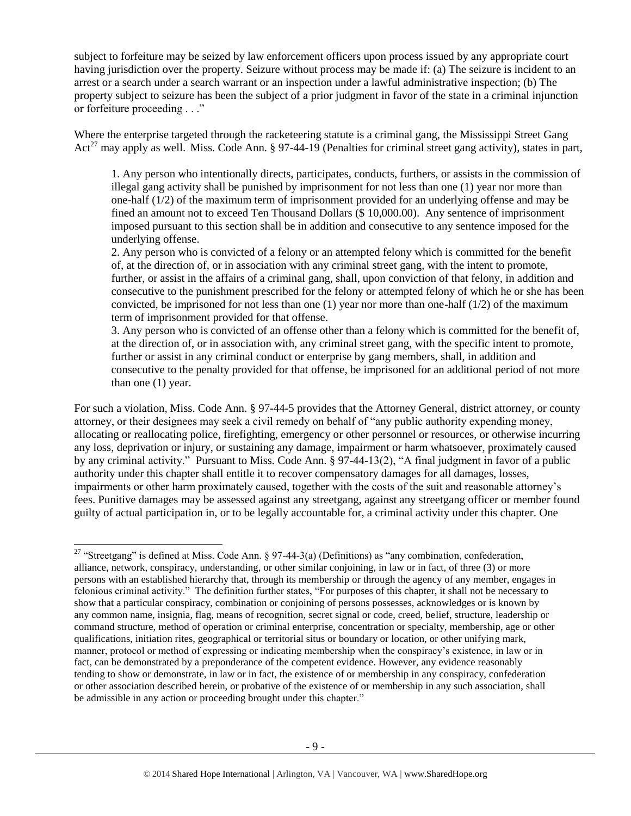subject to forfeiture may be seized by law enforcement officers upon process issued by any appropriate court having jurisdiction over the property. Seizure without process may be made if: (a) The seizure is incident to an arrest or a search under a search warrant or an inspection under a lawful administrative inspection; (b) The property subject to seizure has been the subject of a prior judgment in favor of the state in a criminal injunction or forfeiture proceeding . . ."

Where the enterprise targeted through the racketeering statute is a criminal gang, the Mississippi Street Gang Act<sup>27</sup> may apply as well. Miss. Code Ann. § 97-44-19 (Penalties for criminal street gang activity), states in part,

1. Any person who intentionally directs, participates, conducts, furthers, or assists in the commission of illegal gang activity shall be punished by imprisonment for not less than one (1) year nor more than one-half (1/2) of the maximum term of imprisonment provided for an underlying offense and may be fined an amount not to exceed Ten Thousand Dollars (\$ 10,000.00). Any sentence of imprisonment imposed pursuant to this section shall be in addition and consecutive to any sentence imposed for the underlying offense.

2. Any person who is convicted of a felony or an attempted felony which is committed for the benefit of, at the direction of, or in association with any criminal street gang, with the intent to promote, further, or assist in the affairs of a criminal gang, shall, upon conviction of that felony, in addition and consecutive to the punishment prescribed for the felony or attempted felony of which he or she has been convicted, be imprisoned for not less than one  $(1)$  year nor more than one-half  $(1/2)$  of the maximum term of imprisonment provided for that offense.

3. Any person who is convicted of an offense other than a felony which is committed for the benefit of, at the direction of, or in association with, any criminal street gang, with the specific intent to promote, further or assist in any criminal conduct or enterprise by gang members, shall, in addition and consecutive to the penalty provided for that offense, be imprisoned for an additional period of not more than one (1) year.

For such a violation, Miss. Code Ann. § 97-44-5 provides that the Attorney General, district attorney, or county attorney, or their designees may seek a civil remedy on behalf of "any public authority expending money, allocating or reallocating police, firefighting, emergency or other personnel or resources, or otherwise incurring any loss, deprivation or injury, or sustaining any damage, impairment or harm whatsoever, proximately caused by any criminal activity." Pursuant to Miss. Code Ann. § 97-44-13(2), "A final judgment in favor of a public authority under this chapter shall entitle it to recover compensatory damages for all damages, losses, impairments or other harm proximately caused, together with the costs of the suit and reasonable attorney's fees. Punitive damages may be assessed against any streetgang, against any streetgang officer or member found guilty of actual participation in, or to be legally accountable for, a criminal activity under this chapter. One

<sup>&</sup>lt;sup>27</sup> "Streetgang" is defined at Miss. Code Ann. § 97-44-3(a) (Definitions) as "any combination, confederation, alliance, network, conspiracy, understanding, or other similar conjoining, in law or in fact, of three (3) or more persons with an established hierarchy that, through its membership or through the agency of any member, engages in felonious criminal activity." The definition further states, "For purposes of this chapter, it shall not be necessary to show that a particular conspiracy, combination or conjoining of persons possesses, acknowledges or is known by any common name, insignia, flag, means of recognition, secret signal or code, creed, belief, structure, leadership or command structure, method of operation or criminal enterprise, concentration or specialty, membership, age or other qualifications, initiation rites, geographical or territorial situs or boundary or location, or other unifying mark, manner, protocol or method of expressing or indicating membership when the conspiracy's existence, in law or in fact, can be demonstrated by a preponderance of the competent evidence. However, any evidence reasonably tending to show or demonstrate, in law or in fact, the existence of or membership in any conspiracy, confederation or other association described herein, or probative of the existence of or membership in any such association, shall be admissible in any action or proceeding brought under this chapter."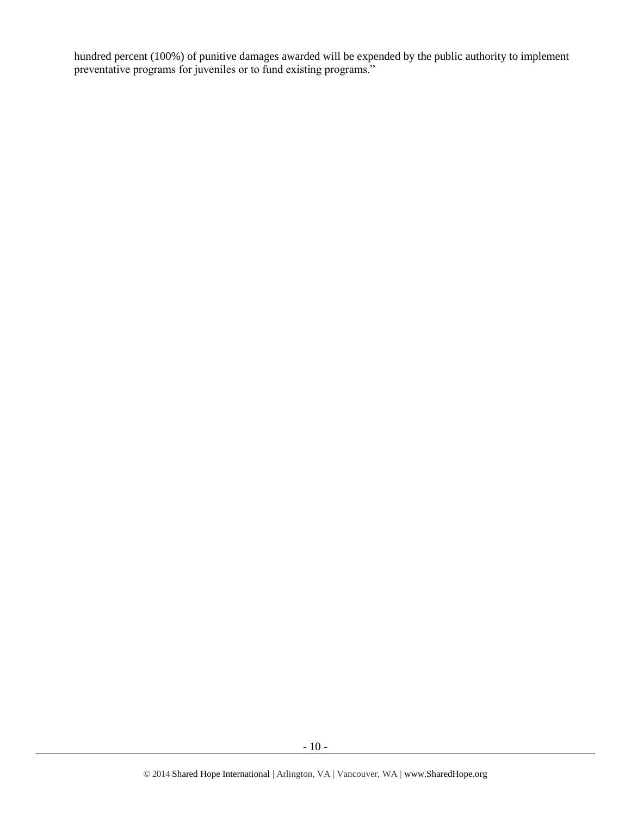hundred percent (100%) of punitive damages awarded will be expended by the public authority to implement preventative programs for juveniles or to fund existing programs."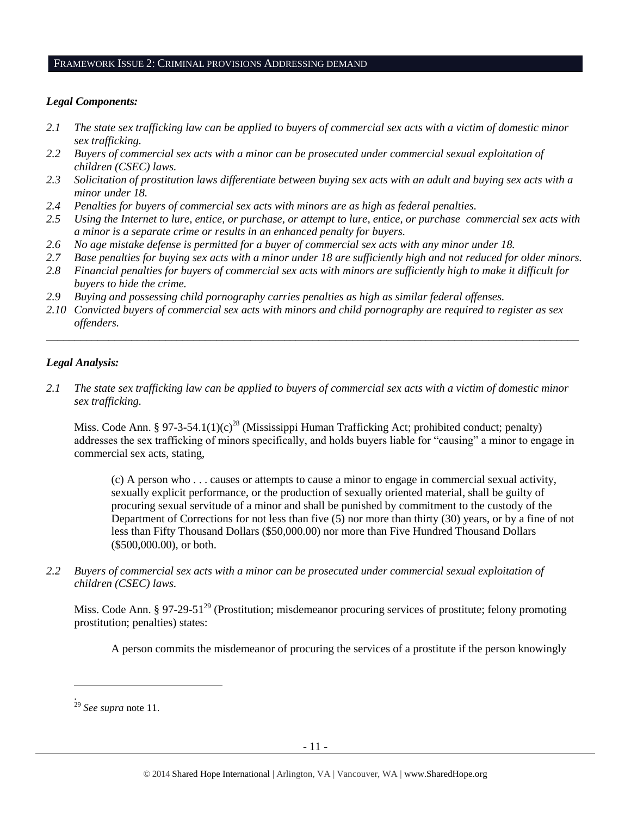#### FRAMEWORK ISSUE 2: CRIMINAL PROVISIONS ADDRESSING DEMAND

## *Legal Components:*

- *2.1 The state sex trafficking law can be applied to buyers of commercial sex acts with a victim of domestic minor sex trafficking.*
- *2.2 Buyers of commercial sex acts with a minor can be prosecuted under commercial sexual exploitation of children (CSEC) laws.*
- *2.3 Solicitation of prostitution laws differentiate between buying sex acts with an adult and buying sex acts with a minor under 18.*
- *2.4 Penalties for buyers of commercial sex acts with minors are as high as federal penalties.*
- *2.5 Using the Internet to lure, entice, or purchase, or attempt to lure, entice, or purchase commercial sex acts with a minor is a separate crime or results in an enhanced penalty for buyers.*
- *2.6 No age mistake defense is permitted for a buyer of commercial sex acts with any minor under 18.*
- *2.7 Base penalties for buying sex acts with a minor under 18 are sufficiently high and not reduced for older minors.*
- *2.8 Financial penalties for buyers of commercial sex acts with minors are sufficiently high to make it difficult for buyers to hide the crime.*
- *2.9 Buying and possessing child pornography carries penalties as high as similar federal offenses.*
- *2.10 Convicted buyers of commercial sex acts with minors and child pornography are required to register as sex offenders.*

\_\_\_\_\_\_\_\_\_\_\_\_\_\_\_\_\_\_\_\_\_\_\_\_\_\_\_\_\_\_\_\_\_\_\_\_\_\_\_\_\_\_\_\_\_\_\_\_\_\_\_\_\_\_\_\_\_\_\_\_\_\_\_\_\_\_\_\_\_\_\_\_\_\_\_\_\_\_\_\_\_\_\_\_\_\_\_\_\_\_\_\_\_\_

## *Legal Analysis:*

*2.1 The state sex trafficking law can be applied to buyers of commercial sex acts with a victim of domestic minor sex trafficking.* 

Miss. Code Ann. § 97-3-54.1(1)(c)<sup>28</sup> (Mississippi Human Trafficking Act; prohibited conduct; penalty) addresses the sex trafficking of minors specifically, and holds buyers liable for "causing" a minor to engage in commercial sex acts, stating,

(c) A person who . . . causes or attempts to cause a minor to engage in commercial sexual activity, sexually explicit performance, or the production of sexually oriented material, shall be guilty of procuring sexual servitude of a minor and shall be punished by commitment to the custody of the Department of Corrections for not less than five (5) nor more than thirty (30) years, or by a fine of not less than Fifty Thousand Dollars (\$50,000.00) nor more than Five Hundred Thousand Dollars (\$500,000.00), or both.

*2.2 Buyers of commercial sex acts with a minor can be prosecuted under commercial sexual exploitation of children (CSEC) laws.*

Miss. Code Ann. § 97-29-51<sup>29</sup> (Prostitution; misdemeanor procuring services of prostitute; felony promoting prostitution; penalties) states:

A person commits the misdemeanor of procuring the services of a prostitute if the person knowingly

l .

<sup>29</sup> *See supra* note [11.](#page-2-0)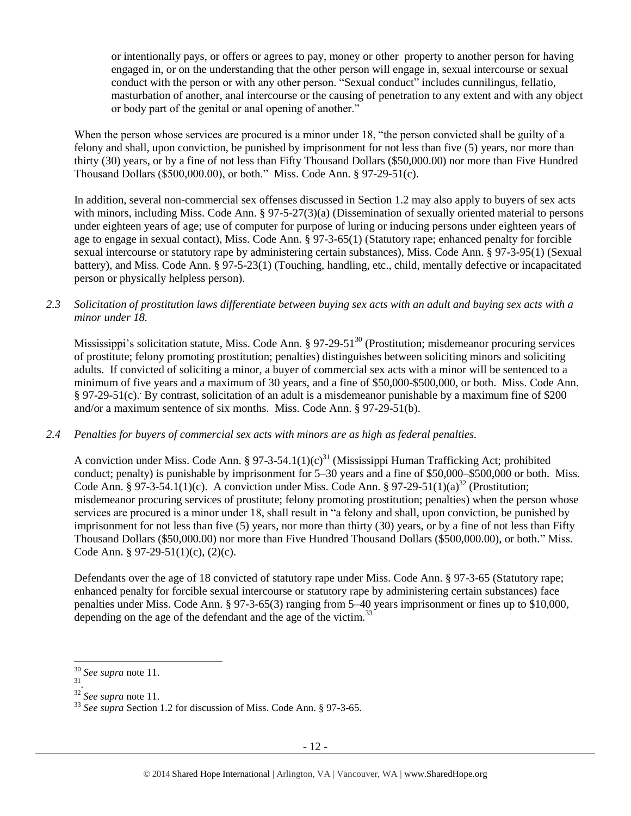or intentionally pays, or offers or agrees to pay, money or other property to another person for having engaged in, or on the understanding that the other person will engage in, sexual intercourse or sexual conduct with the person or with any other person. "Sexual conduct" includes cunnilingus, fellatio, masturbation of another, anal intercourse or the causing of penetration to any extent and with any object or body part of the genital or anal opening of another."

When the person whose services are procured is a minor under 18, "the person convicted shall be guilty of a felony and shall, upon conviction, be punished by imprisonment for not less than five (5) years, nor more than thirty (30) years, or by a fine of not less than Fifty Thousand Dollars (\$50,000.00) nor more than Five Hundred Thousand Dollars (\$500,000.00), or both." Miss. Code Ann. § 97-29-51(c).

In addition, several non-commercial sex offenses discussed in Section 1.2 may also apply to buyers of sex acts with minors, including Miss. Code Ann. § 97-5-27(3)(a) (Dissemination of sexually oriented material to persons under eighteen years of age; use of computer for purpose of luring or inducing persons under eighteen years of age to engage in sexual contact), Miss. Code Ann. § 97-3-65(1) (Statutory rape; enhanced penalty for forcible sexual intercourse or statutory rape by administering certain substances), Miss. Code Ann. § 97-3-95(1) (Sexual battery), and Miss. Code Ann. § 97-5-23(1) (Touching, handling, etc., child, mentally defective or incapacitated person or physically helpless person).

*2.3 Solicitation of prostitution laws differentiate between buying sex acts with an adult and buying sex acts with a minor under 18.*

Mississippi's solicitation statute, Miss. Code Ann. § 97-29-51<sup>30</sup> (Prostitution; misdemeanor procuring services of prostitute; felony promoting prostitution; penalties) distinguishes between soliciting minors and soliciting adults. If convicted of soliciting a minor, a buyer of commercial sex acts with a minor will be sentenced to a minimum of five years and a maximum of 30 years, and a fine of \$50,000-\$500,000, or both. Miss. Code Ann. § 97-29-51(c). By contrast, solicitation of an adult is a misdemeanor punishable by a maximum fine of \$200 and/or a maximum sentence of six months. Miss. Code Ann. § 97-29-51(b).

#### *2.4 Penalties for buyers of commercial sex acts with minors are as high as federal penalties.*

A conviction under Miss. Code Ann. § 97-3-54.1(1)(c)<sup>31</sup> (Mississippi Human Trafficking Act; prohibited conduct; penalty) is punishable by imprisonment for 5–30 years and a fine of \$50,000–\$500,000 or both. Miss. Code Ann. § 97-3-54.1(1)(c). A conviction under Miss. Code Ann. § 97-29-51(1)(a)<sup>32</sup> (Prostitution; misdemeanor procuring services of prostitute; felony promoting prostitution; penalties) when the person whose services are procured is a minor under 18, shall result in "a felony and shall, upon conviction, be punished by imprisonment for not less than five (5) years, nor more than thirty (30) years, or by a fine of not less than Fifty Thousand Dollars (\$50,000.00) nor more than Five Hundred Thousand Dollars (\$500,000.00), or both." Miss. Code Ann. § 97-29-51(1)(c), (2)(c).

Defendants over the age of 18 convicted of statutory rape under Miss. Code Ann. § 97-3-65 (Statutory rape; enhanced penalty for forcible sexual intercourse or statutory rape by administering certain substances) face penalties under Miss. Code Ann. § 97-3-65(3) ranging from 5–40 years imprisonment or fines up to \$10,000, depending on the age of the defendant and the age of the victim.<sup>33</sup>

 $\overline{a}$ 

<sup>30</sup> *See supra* note [11.](#page-2-0)

<sup>31</sup> .

<sup>32</sup> *See supra* note [11.](#page-2-0)

<sup>33</sup> *See supra* Section 1.2 for discussion of Miss. Code Ann. § 97-3-65.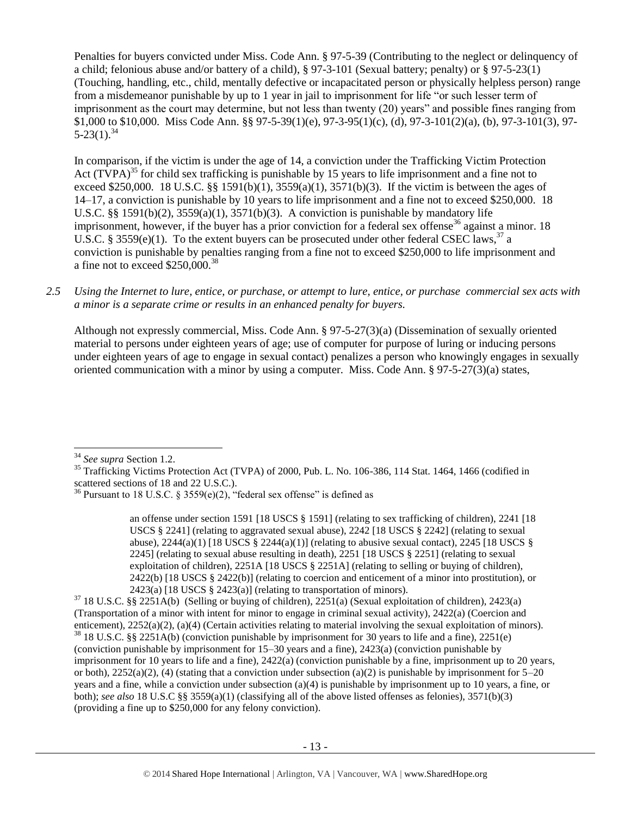Penalties for buyers convicted under Miss. Code Ann. § 97-5-39 (Contributing to the neglect or delinquency of a child; felonious abuse and/or battery of a child), § 97-3-101 (Sexual battery; penalty) or § 97-5-23(1) (Touching, handling, etc., child, mentally defective or incapacitated person or physically helpless person) range from a misdemeanor punishable by up to 1 year in jail to imprisonment for life "or such lesser term of imprisonment as the court may determine, but not less than twenty (20) years" and possible fines ranging from \$1,000 to \$10,000. Miss Code Ann. §§ 97-5-39(1)(e), 97-3-95(1)(c), (d), 97-3-101(2)(a), (b), 97-3-101(3), 97-  $5-23(1).^{34}$ 

<span id="page-12-1"></span><span id="page-12-0"></span>In comparison, if the victim is under the age of 14, a conviction under the Trafficking Victim Protection Act  $(TVPA)^{35}$  for child sex trafficking is punishable by 15 years to life imprisonment and a fine not to exceed \$250,000. 18 U.S.C. §§ 1591(b)(1), 3559(a)(1), 3571(b)(3). If the victim is between the ages of 14–17, a conviction is punishable by 10 years to life imprisonment and a fine not to exceed \$250,000. 18 U.S.C. §§ 1591(b)(2),  $3559(a)(1)$ ,  $3571(b)(3)$ . A conviction is punishable by mandatory life imprisonment, however, if the buyer has a prior conviction for a federal sex offense<sup>36</sup> against a minor. 18 U.S.C. § 3559(e)(1). To the extent buyers can be prosecuted under other federal CSEC laws,<sup>37</sup> a conviction is punishable by penalties ranging from a fine not to exceed \$250,000 to life imprisonment and a fine not to exceed  $$250,000.<sup>38</sup>$ 

*2.5 Using the Internet to lure, entice, or purchase, or attempt to lure, entice, or purchase commercial sex acts with a minor is a separate crime or results in an enhanced penalty for buyers.*

Although not expressly commercial, Miss. Code Ann. § 97-5-27(3)(a) (Dissemination of sexually oriented material to persons under eighteen years of age; use of computer for purpose of luring or inducing persons under eighteen years of age to engage in sexual contact) penalizes a person who knowingly engages in sexually oriented communication with a minor by using a computer. Miss. Code Ann. § 97-5-27(3)(a) states,

 $\overline{a}$ 

an offense under section 1591 [18 USCS § 1591] (relating to sex trafficking of children), 2241 [18 USCS § 2241] (relating to aggravated sexual abuse), 2242 [18 USCS § 2242] (relating to sexual abuse),  $2244(a)(1)$  [18 USCS §  $2244(a)(1)$ ] (relating to abusive sexual contact),  $2245$  [18 USCS § 2245] (relating to sexual abuse resulting in death), 2251 [18 USCS § 2251] (relating to sexual exploitation of children), 2251A [18 USCS § 2251A] (relating to selling or buying of children), 2422(b) [18 USCS § 2422(b)] (relating to coercion and enticement of a minor into prostitution), or 2423(a)  $[18$  USCS § 2423(a)] (relating to transportation of minors).

 $37$  18 U.S.C. §§ 2251A(b) (Selling or buying of children), 2251(a) (Sexual exploitation of children), 2423(a) (Transportation of a minor with intent for minor to engage in criminal sexual activity), 2422(a) (Coercion and enticement), 2252(a)(2), (a)(4) (Certain activities relating to material involving the sexual exploitation of minors). <sup>38</sup> 18 U.S.C. §§ 2251A(b) (conviction punishable by imprisonment for 30 years to life and a fine), 2251(e) (conviction punishable by imprisonment for 15–30 years and a fine), 2423(a) (conviction punishable by imprisonment for 10 years to life and a fine), 2422(a) (conviction punishable by a fine, imprisonment up to 20 years, or both),  $2252(a)(2)$ , (4) (stating that a conviction under subsection (a)(2) is punishable by imprisonment for  $5-20$ years and a fine, while a conviction under subsection (a)(4) is punishable by imprisonment up to 10 years, a fine, or both); *see also* 18 U.S.C §§ 3559(a)(1) (classifying all of the above listed offenses as felonies), 3571(b)(3) (providing a fine up to \$250,000 for any felony conviction).

<sup>34</sup> *See supra* Section 1.2.

<sup>&</sup>lt;sup>35</sup> Trafficking Victims Protection Act (TVPA) of 2000, Pub. L. No. 106-386, 114 Stat. 1464, 1466 (codified in scattered sections of 18 and 22 U.S.C.).

<sup>&</sup>lt;sup>36</sup> Pursuant to 18 U.S.C. § 3559 $(e)(2)$ , "federal sex offense" is defined as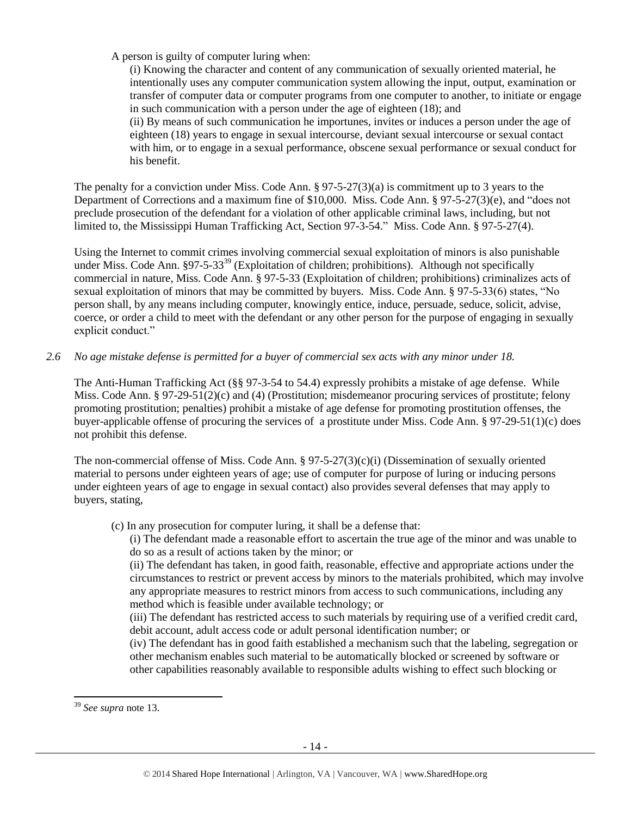A person is guilty of computer luring when:

(i) Knowing the character and content of any communication of sexually oriented material, he intentionally uses any computer communication system allowing the input, output, examination or transfer of computer data or computer programs from one computer to another, to initiate or engage in such communication with a person under the age of eighteen (18); and (ii) By means of such communication he importunes, invites or induces a person under the age of eighteen (18) years to engage in sexual intercourse, deviant sexual intercourse or sexual contact with him, or to engage in a sexual performance, obscene sexual performance or sexual conduct for his benefit.

The penalty for a conviction under Miss. Code Ann. § 97-5-27(3)(a) is commitment up to 3 years to the Department of Corrections and a maximum fine of \$10,000. Miss. Code Ann. § 97-5-27(3)(e), and "does not preclude prosecution of the defendant for a violation of other applicable criminal laws, including, but not limited to, the Mississippi Human Trafficking Act, Section 97-3-54." Miss. Code Ann. § 97-5-27(4).

Using the Internet to commit crimes involving commercial sexual exploitation of minors is also punishable under Miss. Code Ann.  $\S97-5-33^{39}$  (Exploitation of children; prohibitions). Although not specifically commercial in nature, Miss. Code Ann. § 97-5-33 (Exploitation of children; prohibitions) criminalizes acts of sexual exploitation of minors that may be committed by buyers. Miss. Code Ann. § 97-5-33(6) states, "No person shall, by any means including computer, knowingly entice, induce, persuade, seduce, solicit, advise, coerce, or order a child to meet with the defendant or any other person for the purpose of engaging in sexually explicit conduct."

## *2.6 No age mistake defense is permitted for a buyer of commercial sex acts with any minor under 18.*

The Anti-Human Trafficking Act (§§ 97-3-54 to 54.4) expressly prohibits a mistake of age defense. While Miss. Code Ann. § 97-29-51(2)(c) and (4) (Prostitution; misdemeanor procuring services of prostitute; felony promoting prostitution; penalties) prohibit a mistake of age defense for promoting prostitution offenses, the buyer-applicable offense of procuring the services of a prostitute under Miss. Code Ann. § 97-29-51(1)(c) does not prohibit this defense.

The non-commercial offense of Miss. Code Ann. § 97-5-27(3)(c)(i) (Dissemination of sexually oriented material to persons under eighteen years of age; use of computer for purpose of luring or inducing persons under eighteen years of age to engage in sexual contact) also provides several defenses that may apply to buyers, stating,

(c) In any prosecution for computer luring, it shall be a defense that:

(i) The defendant made a reasonable effort to ascertain the true age of the minor and was unable to do so as a result of actions taken by the minor; or

(ii) The defendant has taken, in good faith, reasonable, effective and appropriate actions under the circumstances to restrict or prevent access by minors to the materials prohibited, which may involve any appropriate measures to restrict minors from access to such communications, including any method which is feasible under available technology; or

(iii) The defendant has restricted access to such materials by requiring use of a verified credit card, debit account, adult access code or adult personal identification number; or

(iv) The defendant has in good faith established a mechanism such that the labeling, segregation or other mechanism enables such material to be automatically blocked or screened by software or other capabilities reasonably available to responsible adults wishing to effect such blocking or

 $\overline{a}$ 

<sup>39</sup> *See supra* note [13.](#page-3-0)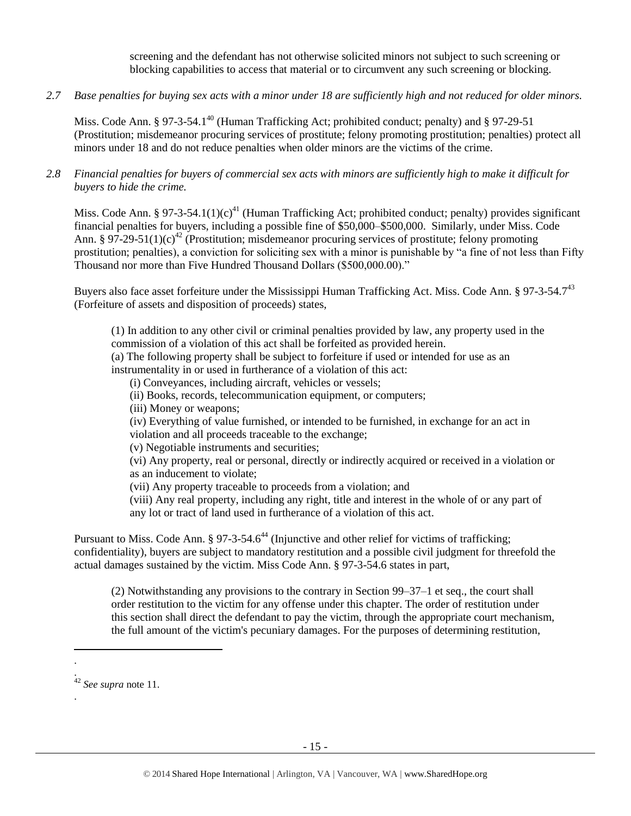screening and the defendant has not otherwise solicited minors not subject to such screening or blocking capabilities to access that material or to circumvent any such screening or blocking.

*2.7 Base penalties for buying sex acts with a minor under 18 are sufficiently high and not reduced for older minors.*

Miss. Code Ann. § 97-3-54.1<sup>40</sup> (Human Trafficking Act; prohibited conduct; penalty) and § 97-29-51 (Prostitution; misdemeanor procuring services of prostitute; felony promoting prostitution; penalties) protect all minors under 18 and do not reduce penalties when older minors are the victims of the crime.

*2.8 Financial penalties for buyers of commercial sex acts with minors are sufficiently high to make it difficult for buyers to hide the crime.*

Miss. Code Ann. § 97-3-54.1(1)(c)<sup>41</sup> (Human Trafficking Act; prohibited conduct; penalty) provides significant financial penalties for buyers, including a possible fine of \$50,000–\$500,000. Similarly, under Miss. Code Ann. § 97-29-51(1)(c)<sup>42</sup> (Prostitution; misdemeanor procuring services of prostitute; felony promoting prostitution; penalties), a conviction for soliciting sex with a minor is punishable by "a fine of not less than Fifty Thousand nor more than Five Hundred Thousand Dollars (\$500,000.00)."

Buyers also face asset forfeiture under the Mississippi Human Trafficking Act. Miss. Code Ann. § 97-3-54.7<sup>43</sup> (Forfeiture of assets and disposition of proceeds) states,

(1) In addition to any other civil or criminal penalties provided by law, any property used in the commission of a violation of this act shall be forfeited as provided herein.

(a) The following property shall be subject to forfeiture if used or intended for use as an instrumentality in or used in furtherance of a violation of this act:

(i) Conveyances, including aircraft, vehicles or vessels;

- (ii) Books, records, telecommunication equipment, or computers;
- (iii) Money or weapons;

(iv) Everything of value furnished, or intended to be furnished, in exchange for an act in violation and all proceeds traceable to the exchange;

(v) Negotiable instruments and securities;

(vi) Any property, real or personal, directly or indirectly acquired or received in a violation or as an inducement to violate;

(vii) Any property traceable to proceeds from a violation; and

(viii) Any real property, including any right, title and interest in the whole of or any part of any lot or tract of land used in furtherance of a violation of this act.

Pursuant to Miss. Code Ann.  $\S 97-3-54.6^{44}$  (Injunctive and other relief for victims of trafficking; confidentiality), buyers are subject to mandatory restitution and a possible civil judgment for threefold the actual damages sustained by the victim. Miss Code Ann. § 97-3-54.6 states in part,

(2) Notwithstanding any provisions to the contrary in Section 99–37–1 et seq., the court shall order restitution to the victim for any offense under this chapter. The order of restitution under this section shall direct the defendant to pay the victim, through the appropriate court mechanism, the full amount of the victim's pecuniary damages. For the purposes of determining restitution,

.

l . .

<sup>42</sup> *See supra* note [11.](#page-2-0)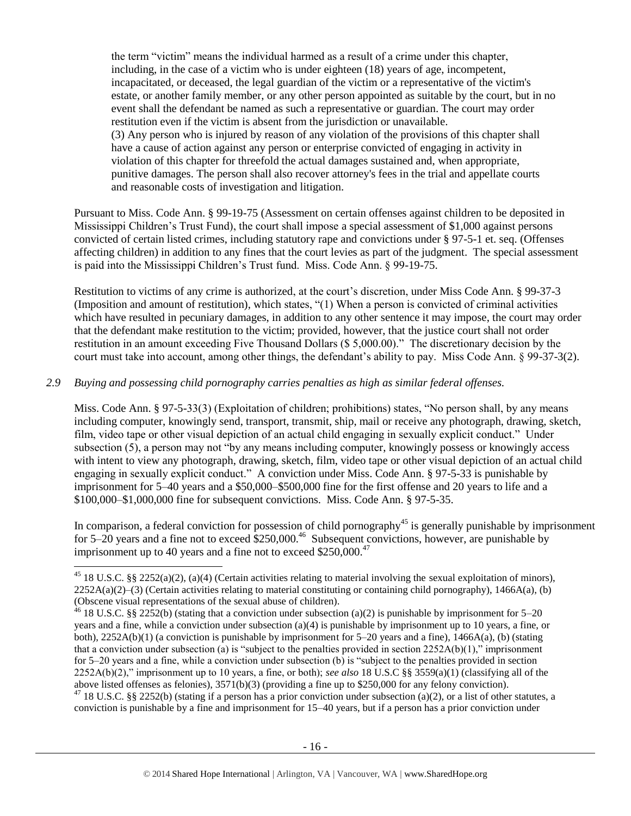the term "victim" means the individual harmed as a result of a crime under this chapter, including, in the case of a victim who is under eighteen (18) years of age, incompetent, incapacitated, or deceased, the legal guardian of the victim or a representative of the victim's estate, or another family member, or any other person appointed as suitable by the court, but in no event shall the defendant be named as such a representative or guardian. The court may order restitution even if the victim is absent from the jurisdiction or unavailable. (3) Any person who is injured by reason of any violation of the provisions of this chapter shall have a cause of action against any person or enterprise convicted of engaging in activity in violation of this chapter for threefold the actual damages sustained and, when appropriate, punitive damages. The person shall also recover attorney's fees in the trial and appellate courts and reasonable costs of investigation and litigation.

Pursuant to Miss. Code Ann. § 99-19-75 (Assessment on certain offenses against children to be deposited in Mississippi Children's Trust Fund), the court shall impose a special assessment of \$1,000 against persons convicted of certain listed crimes, including statutory rape and convictions under § 97-5-1 et. seq. (Offenses affecting children) in addition to any fines that the court levies as part of the judgment. The special assessment is paid into the Mississippi Children's Trust fund. Miss. Code Ann. § 99-19-75.

Restitution to victims of any crime is authorized, at the court's discretion, under Miss Code Ann. § 99-37-3 (Imposition and amount of restitution), which states, "(1) When a person is convicted of criminal activities which have resulted in pecuniary damages, in addition to any other sentence it may impose, the court may order that the defendant make restitution to the victim; provided, however, that the justice court shall not order restitution in an amount exceeding Five Thousand Dollars (\$ 5,000.00)." The discretionary decision by the court must take into account, among other things, the defendant's ability to pay. Miss Code Ann. § 99-37-3(2).

## *2.9 Buying and possessing child pornography carries penalties as high as similar federal offenses.*

l

Miss. Code Ann. § 97-5-33(3) (Exploitation of children; prohibitions) states, "No person shall, by any means including computer, knowingly send, transport, transmit, ship, mail or receive any photograph, drawing, sketch, film, video tape or other visual depiction of an actual child engaging in sexually explicit conduct." Under subsection (5), a person may not "by any means including computer, knowingly possess or knowingly access with intent to view any photograph, drawing, sketch, film, video tape or other visual depiction of an actual child engaging in sexually explicit conduct." A conviction under Miss. Code Ann. § 97-5-33 is punishable by imprisonment for 5–40 years and a \$50,000–\$500,000 fine for the first offense and 20 years to life and a \$100,000–\$1,000,000 fine for subsequent convictions. Miss. Code Ann. § 97-5-35.

In comparison, a federal conviction for possession of child pornography<sup>45</sup> is generally punishable by imprisonment for  $5-20$  years and a fine not to exceed  $$250,000.<sup>46</sup>$  Subsequent convictions, however, are punishable by imprisonment up to 40 years and a fine not to exceed  $$250,000.<sup>47</sup>$ 

<sup>47</sup> 18 U.S.C. §§ 2252(b) (stating if a person has a prior conviction under subsection (a)(2), or a list of other statutes, a conviction is punishable by a fine and imprisonment for 15–40 years, but if a person has a prior conviction under

<sup>&</sup>lt;sup>45</sup> 18 U.S.C. §§ 2252(a)(2), (a)(4) (Certain activities relating to material involving the sexual exploitation of minors),  $2252A(a)(2)$ –(3) (Certain activities relating to material constituting or containing child pornography), 1466A(a), (b) (Obscene visual representations of the sexual abuse of children).

<sup>&</sup>lt;sup>46</sup> 18 U.S.C. §§ 2252(b) (stating that a conviction under subsection (a)(2) is punishable by imprisonment for 5–20 years and a fine, while a conviction under subsection (a)(4) is punishable by imprisonment up to 10 years, a fine, or both), 2252A(b)(1) (a conviction is punishable by imprisonment for 5–20 years and a fine), 1466A(a), (b) (stating that a conviction under subsection (a) is "subject to the penalties provided in section  $2252A(b)(1)$ ," imprisonment for 5–20 years and a fine, while a conviction under subsection (b) is "subject to the penalties provided in section 2252A(b)(2)," imprisonment up to 10 years, a fine, or both); *see also* 18 U.S.C §§ 3559(a)(1) (classifying all of the above listed offenses as felonies), 3571(b)(3) (providing a fine up to \$250,000 for any felony conviction).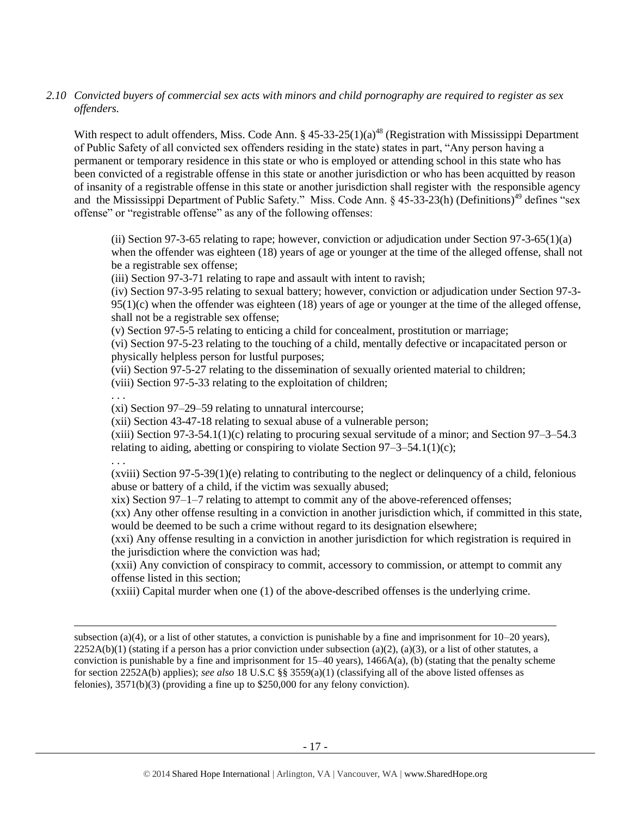## *2.10 Convicted buyers of commercial sex acts with minors and child pornography are required to register as sex offenders.*

With respect to adult offenders, Miss. Code Ann. § 45-33-25(1)(a)<sup>48</sup> (Registration with Mississippi Department of Public Safety of all convicted sex offenders residing in the state) states in part, "Any person having a permanent or temporary residence in this state or who is employed or attending school in this state who has been convicted of a registrable offense in this state or another jurisdiction or who has been acquitted by reason of insanity of a registrable offense in this state or another jurisdiction shall register with the responsible agency and the Mississippi Department of Public Safety." Miss. Code Ann. § 45-33-23(h) (Definitions)<sup>49</sup> defines "sex offense" or "registrable offense" as any of the following offenses:

(ii) Section 97-3-65 relating to rape; however, conviction or adjudication under Section 97-3-65(1)(a) when the offender was eighteen (18) years of age or younger at the time of the alleged offense, shall not be a registrable sex offense;

(iii) Section 97-3-71 relating to rape and assault with intent to ravish;

(iv) Section 97-3-95 relating to sexual battery; however, conviction or adjudication under Section 97-3-  $95(1)(c)$  when the offender was eighteen (18) years of age or younger at the time of the alleged offense, shall not be a registrable sex offense;

(v) Section 97-5-5 relating to enticing a child for concealment, prostitution or marriage;

(vi) Section 97-5-23 relating to the touching of a child, mentally defective or incapacitated person or physically helpless person for lustful purposes;

(vii) Section 97-5-27 relating to the dissemination of sexually oriented material to children;

(viii) Section 97-5-33 relating to the exploitation of children;

(xi) Section 97–29–59 relating to unnatural intercourse;

(xii) Section 43-47-18 relating to sexual abuse of a vulnerable person;

 $(xiii)$  Section 97-3-54.1(1)(c) relating to procuring sexual servitude of a minor; and Section 97-3-54.3 relating to aiding, abetting or conspiring to violate Section  $97-3-54.1(1)(c)$ ;

. . .

 $\overline{a}$ 

. . .

 $(xviii)$  Section 97-5-39(1)(e) relating to contributing to the neglect or delinquency of a child, felonious abuse or battery of a child, if the victim was sexually abused;

xix) Section 97–1–7 relating to attempt to commit any of the above-referenced offenses;

(xx) Any other offense resulting in a conviction in another jurisdiction which, if committed in this state, would be deemed to be such a crime without regard to its designation elsewhere;

(xxi) Any offense resulting in a conviction in another jurisdiction for which registration is required in the jurisdiction where the conviction was had;

(xxii) Any conviction of conspiracy to commit, accessory to commission, or attempt to commit any offense listed in this section;

(xxiii) Capital murder when one (1) of the above-described offenses is the underlying crime.

subsection (a)(4), or a list of other statutes, a conviction is punishable by a fine and imprisonment for  $10-20$  years),  $2252A(b)(1)$  (stating if a person has a prior conviction under subsection (a)(2), (a)(3), or a list of other statutes, a conviction is punishable by a fine and imprisonment for  $15-40$  years),  $1466A(a)$ , (b) (stating that the penalty scheme for section 2252A(b) applies); *see also* 18 U.S.C §§ 3559(a)(1) (classifying all of the above listed offenses as felonies), 3571(b)(3) (providing a fine up to \$250,000 for any felony conviction).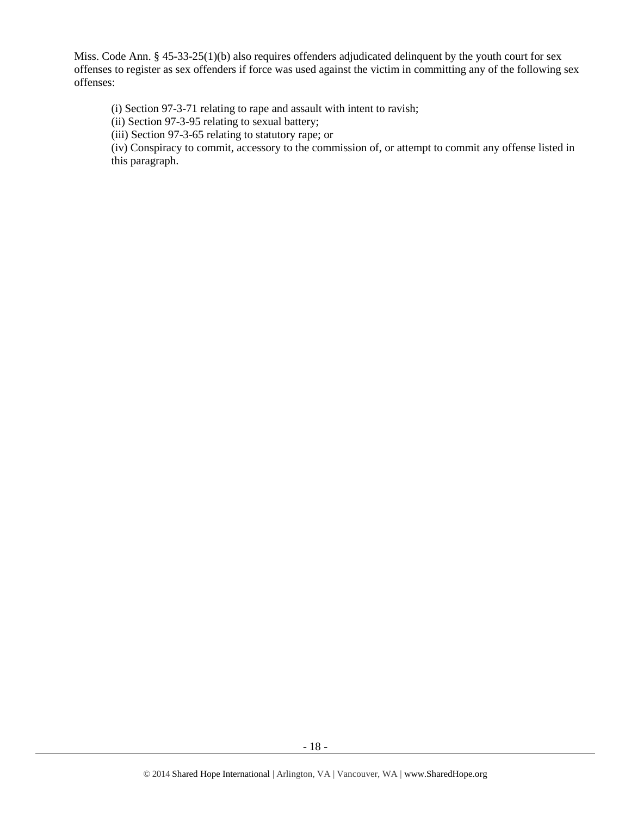Miss. Code Ann. § 45-33-25(1)(b) also requires offenders adjudicated delinquent by the youth court for sex offenses to register as sex offenders if force was used against the victim in committing any of the following sex offenses:

(i) Section 97-3-71 relating to rape and assault with intent to ravish;

(ii) Section 97-3-95 relating to sexual battery;

(iii) Section 97-3-65 relating to statutory rape; or

(iv) Conspiracy to commit, accessory to the commission of, or attempt to commit any offense listed in this paragraph.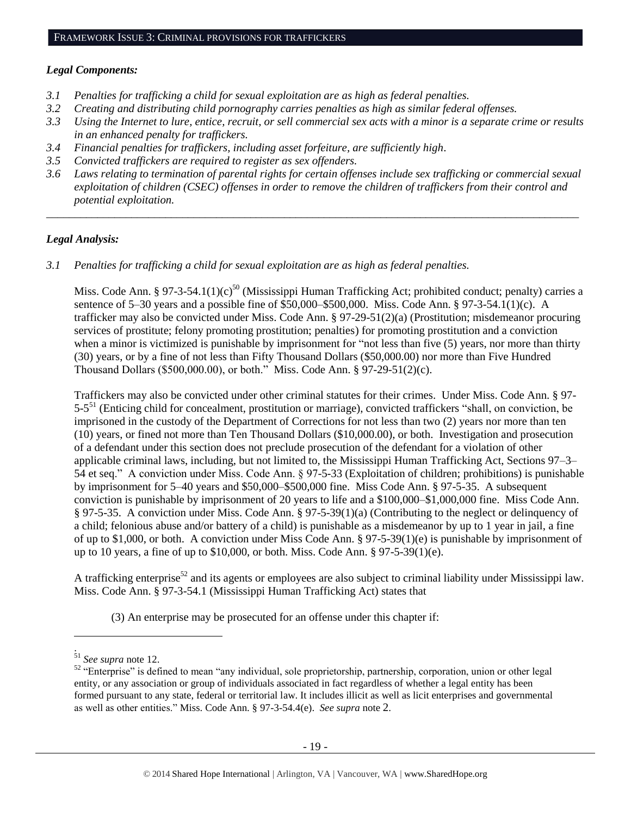#### *Legal Components:*

- *3.1 Penalties for trafficking a child for sexual exploitation are as high as federal penalties.*
- *3.2 Creating and distributing child pornography carries penalties as high as similar federal offenses.*
- *3.3 Using the Internet to lure, entice, recruit, or sell commercial sex acts with a minor is a separate crime or results in an enhanced penalty for traffickers.*
- *3.4 Financial penalties for traffickers, including asset forfeiture, are sufficiently high*.
- *3.5 Convicted traffickers are required to register as sex offenders.*
- *3.6 Laws relating to termination of parental rights for certain offenses include sex trafficking or commercial sexual exploitation of children (CSEC) offenses in order to remove the children of traffickers from their control and potential exploitation.*

*\_\_\_\_\_\_\_\_\_\_\_\_\_\_\_\_\_\_\_\_\_\_\_\_\_\_\_\_\_\_\_\_\_\_\_\_\_\_\_\_\_\_\_\_\_\_\_\_\_\_\_\_\_\_\_\_\_\_\_\_\_\_\_\_\_\_\_\_\_\_\_\_\_\_\_\_\_\_\_\_\_\_\_\_\_\_\_\_\_\_\_\_\_\_*

#### *Legal Analysis:*

*3.1 Penalties for trafficking a child for sexual exploitation are as high as federal penalties.* 

Miss. Code Ann. § 97-3-54.1(1)(c)<sup>50</sup> (Mississippi Human Trafficking Act; prohibited conduct; penalty) carries a sentence of 5–30 years and a possible fine of \$50,000–\$500,000. Miss. Code Ann. § 97-3-54.1(1)(c). A trafficker may also be convicted under Miss. Code Ann. § 97-29-51(2)(a) (Prostitution; misdemeanor procuring services of prostitute; felony promoting prostitution; penalties) for promoting prostitution and a conviction when a minor is victimized is punishable by imprisonment for "not less than five (5) years, nor more than thirty (30) years, or by a fine of not less than Fifty Thousand Dollars (\$50,000.00) nor more than Five Hundred Thousand Dollars (\$500,000.00), or both." Miss. Code Ann. § 97-29-51(2)(c).

Traffickers may also be convicted under other criminal statutes for their crimes. Under Miss. Code Ann. § 97- 5-5<sup>51</sup> (Enticing child for concealment, prostitution or marriage), convicted traffickers "shall, on conviction, be imprisoned in the custody of the Department of Corrections for not less than two (2) years nor more than ten (10) years, or fined not more than Ten Thousand Dollars (\$10,000.00), or both. Investigation and prosecution of a defendant under this section does not preclude prosecution of the defendant for a violation of other applicable criminal laws, including, but not limited to, the Mississippi Human Trafficking Act, Sections 97–3– 54 et seq." A conviction under Miss. Code Ann. § 97-5-33 (Exploitation of children; prohibitions) is punishable by imprisonment for 5–40 years and \$50,000–\$500,000 fine. Miss Code Ann. § 97-5-35. A subsequent conviction is punishable by imprisonment of 20 years to life and a \$100,000–\$1,000,000 fine. Miss Code Ann. § 97-5-35. A conviction under Miss. Code Ann. § 97-5-39(1)(a) (Contributing to the neglect or delinquency of a child; felonious abuse and/or battery of a child) is punishable as a misdemeanor by up to 1 year in jail, a fine of up to \$1,000, or both. A conviction under Miss Code Ann. § 97-5-39(1)(e) is punishable by imprisonment of up to 10 years, a fine of up to \$10,000, or both. Miss. Code Ann. § 97-5-39(1)(e).

A trafficking enterprise<sup>52</sup> and its agents or employees are also subject to criminal liability under Mississippi law. Miss. Code Ann. § 97-3-54.1 (Mississippi Human Trafficking Act) states that

(3) An enterprise may be prosecuted for an offense under this chapter if:

l .

<sup>51</sup> *See supra* note [12.](#page-3-1)

<sup>&</sup>lt;sup>52</sup> "Enterprise" is defined to mean "any individual, sole proprietorship, partnership, corporation, union or other legal entity, or any association or group of individuals associated in fact regardless of whether a legal entity has been formed pursuant to any state, federal or territorial law. It includes illicit as well as licit enterprises and governmental as well as other entities." Miss. Code Ann. § 97-3-54.4(e). *See supra* note [2](#page-0-0).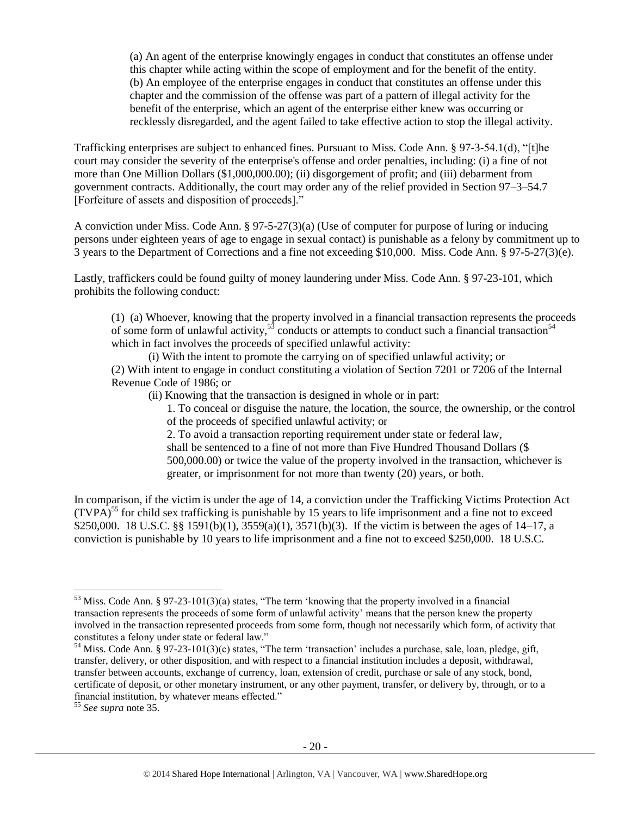(a) An agent of the enterprise knowingly engages in conduct that constitutes an offense under this chapter while acting within the scope of employment and for the benefit of the entity. (b) An employee of the enterprise engages in conduct that constitutes an offense under this chapter and the commission of the offense was part of a pattern of illegal activity for the benefit of the enterprise, which an agent of the enterprise either knew was occurring or recklessly disregarded, and the agent failed to take effective action to stop the illegal activity.

Trafficking enterprises are subject to enhanced fines. Pursuant to Miss. Code Ann. § 97-3-54.1(d), "[t]he court may consider the severity of the enterprise's offense and order penalties, including: (i) a fine of not more than One Million Dollars (\$1,000,000.00); (ii) disgorgement of profit; and (iii) debarment from government contracts. Additionally, the court may order any of the relief provided in Section 97–3–54.7 [Forfeiture of assets and disposition of proceeds]."

A conviction under Miss. Code Ann. § 97-5-27(3)(a) (Use of computer for purpose of luring or inducing persons under eighteen years of age to engage in sexual contact) is punishable as a felony by commitment up to 3 years to the Department of Corrections and a fine not exceeding \$10,000. Miss. Code Ann. § 97-5-27(3)(e).

Lastly, traffickers could be found guilty of money laundering under Miss. Code Ann. § 97-23-101, which prohibits the following conduct:

(1) (a) Whoever, knowing that the property involved in a financial transaction represents the proceeds of some form of unlawful activity,<sup>53</sup> conducts or attempts to conduct such a financial transaction<sup>54</sup> which in fact involves the proceeds of specified unlawful activity:

(i) With the intent to promote the carrying on of specified unlawful activity; or (2) With intent to engage in conduct constituting a violation of Section 7201 or 7206 of the Internal Revenue Code of 1986; or

(ii) Knowing that the transaction is designed in whole or in part:

<span id="page-19-1"></span><span id="page-19-0"></span>1. To conceal or disguise the nature, the location, the source, the ownership, or the control of the proceeds of specified unlawful activity; or

2. To avoid a transaction reporting requirement under state or federal law, shall be sentenced to a fine of not more than Five Hundred Thousand Dollars (\$ 500,000.00) or twice the value of the property involved in the transaction, whichever is greater, or imprisonment for not more than twenty (20) years, or both.

In comparison, if the victim is under the age of 14, a conviction under the Trafficking Victims Protection Act  $(TVPA)^{55}$  for child sex trafficking is punishable by 15 years to life imprisonment and a fine not to exceed \$250,000. 18 U.S.C. §§ 1591(b)(1), 3559(a)(1), 3571(b)(3). If the victim is between the ages of 14–17, a conviction is punishable by 10 years to life imprisonment and a fine not to exceed \$250,000. 18 U.S.C.

 $\overline{a}$ 

<sup>53</sup> Miss. Code Ann. § 97-23-101(3)(a) states, "The term 'knowing that the property involved in a financial transaction represents the proceeds of some form of unlawful activity' means that the person knew the property involved in the transaction represented proceeds from some form, though not necessarily which form, of activity that constitutes a felony under state or federal law."

 $54$  Miss. Code Ann. § 97-23-101(3)(c) states, "The term 'transaction' includes a purchase, sale, loan, pledge, gift, transfer, delivery, or other disposition, and with respect to a financial institution includes a deposit, withdrawal, transfer between accounts, exchange of currency, loan, extension of credit, purchase or sale of any stock, bond, certificate of deposit, or other monetary instrument, or any other payment, transfer, or delivery by, through, or to a financial institution, by whatever means effected."

<sup>55</sup> *See supra* note [35.](#page-12-0)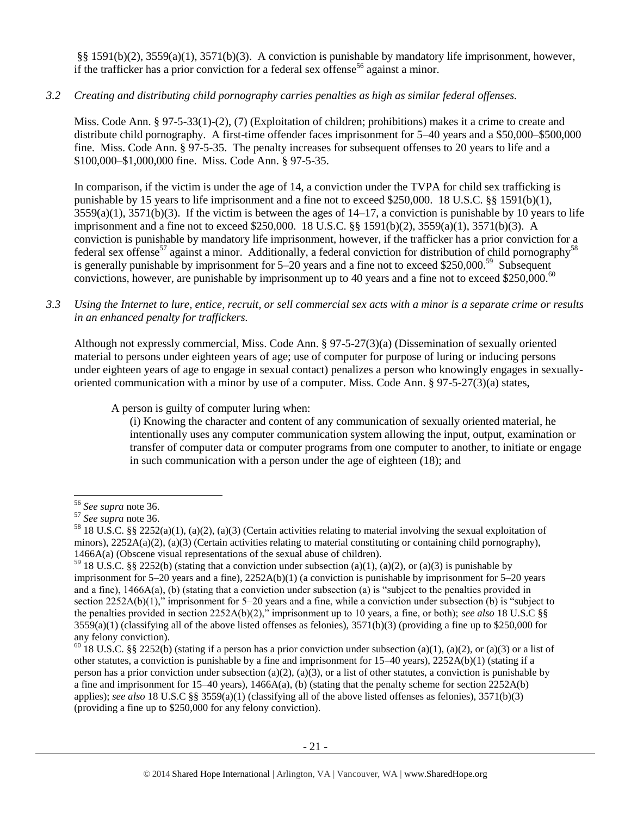§§ 1591(b)(2), 3559(a)(1), 3571(b)(3). A conviction is punishable by mandatory life imprisonment, however, if the trafficker has a prior conviction for a federal sex offense<sup>56</sup> against a minor.

*3.2 Creating and distributing child pornography carries penalties as high as similar federal offenses.*

Miss. Code Ann. § 97-5-33(1)-(2), (7) (Exploitation of children; prohibitions) makes it a crime to create and distribute child pornography. A first-time offender faces imprisonment for 5–40 years and a \$50,000–\$500,000 fine. Miss. Code Ann. § 97-5-35. The penalty increases for subsequent offenses to 20 years to life and a \$100,000–\$1,000,000 fine. Miss. Code Ann. § 97-5-35.

In comparison, if the victim is under the age of 14, a conviction under the TVPA for child sex trafficking is punishable by 15 years to life imprisonment and a fine not to exceed \$250,000. 18 U.S.C. §§ 1591(b)(1),  $3559(a)(1)$ ,  $3571(b)(3)$ . If the victim is between the ages of  $14-17$ , a conviction is punishable by 10 years to life imprisonment and a fine not to exceed \$250,000. 18 U.S.C. §§ 1591(b)(2), 3559(a)(1), 3571(b)(3). A conviction is punishable by mandatory life imprisonment, however, if the trafficker has a prior conviction for a federal sex offense<sup>57</sup> against a minor. Additionally, a federal conviction for distribution of child pornography<sup>58</sup> is generally punishable by imprisonment for 5–20 years and a fine not to exceed \$250,000.<sup>59</sup> Subsequent convictions, however, are punishable by imprisonment up to 40 years and a fine not to exceed \$250,000.<sup>60</sup>

*3.3 Using the Internet to lure, entice, recruit, or sell commercial sex acts with a minor is a separate crime or results in an enhanced penalty for traffickers.*

Although not expressly commercial, Miss. Code Ann. § 97-5-27(3)(a) (Dissemination of sexually oriented material to persons under eighteen years of age; use of computer for purpose of luring or inducing persons under eighteen years of age to engage in sexual contact) penalizes a person who knowingly engages in sexuallyoriented communication with a minor by use of a computer. Miss. Code Ann. § 97-5-27(3)(a) states,

A person is guilty of computer luring when:

(i) Knowing the character and content of any communication of sexually oriented material, he intentionally uses any computer communication system allowing the input, output, examination or transfer of computer data or computer programs from one computer to another, to initiate or engage in such communication with a person under the age of eighteen (18); and

<sup>56</sup> *See supra* note [36.](#page-12-1)

<sup>57</sup> *See supra* note [36.](#page-12-1)

<sup>&</sup>lt;sup>58</sup> 18 U.S.C. §§ 2252(a)(1), (a)(2), (a)(3) (Certain activities relating to material involving the sexual exploitation of minors),  $2252A(a)(2)$ , (a)(3) (Certain activities relating to material constituting or containing child pornography), 1466A(a) (Obscene visual representations of the sexual abuse of children).

<sup>&</sup>lt;sup>59</sup> 18 U.S.C. §§ 2252(b) (stating that a conviction under subsection (a)(1), (a)(2), or (a)(3) is punishable by imprisonment for 5–20 years and a fine), 2252A(b)(1) (a conviction is punishable by imprisonment for 5–20 years and a fine), 1466A(a), (b) (stating that a conviction under subsection (a) is "subject to the penalties provided in section 2252A(b)(1)," imprisonment for 5–20 years and a fine, while a conviction under subsection (b) is "subject to the penalties provided in section 2252A(b)(2)," imprisonment up to 10 years, a fine, or both); *see also* 18 U.S.C §§  $3559(a)(1)$  (classifying all of the above listed offenses as felonies),  $3571(b)(3)$  (providing a fine up to \$250,000 for any felony conviction).

 $60$  18 U.S.C. §§ 2252(b) (stating if a person has a prior conviction under subsection (a)(1), (a)(2), or (a)(3) or a list of other statutes, a conviction is punishable by a fine and imprisonment for 15–40 years), 2252A(b)(1) (stating if a person has a prior conviction under subsection (a)(2), (a)(3), or a list of other statutes, a conviction is punishable by a fine and imprisonment for  $15-40$  years),  $1466A(a)$ , (b) (stating that the penalty scheme for section  $2252A(b)$ applies); *see also* 18 U.S.C §§ 3559(a)(1) (classifying all of the above listed offenses as felonies), 3571(b)(3) (providing a fine up to \$250,000 for any felony conviction).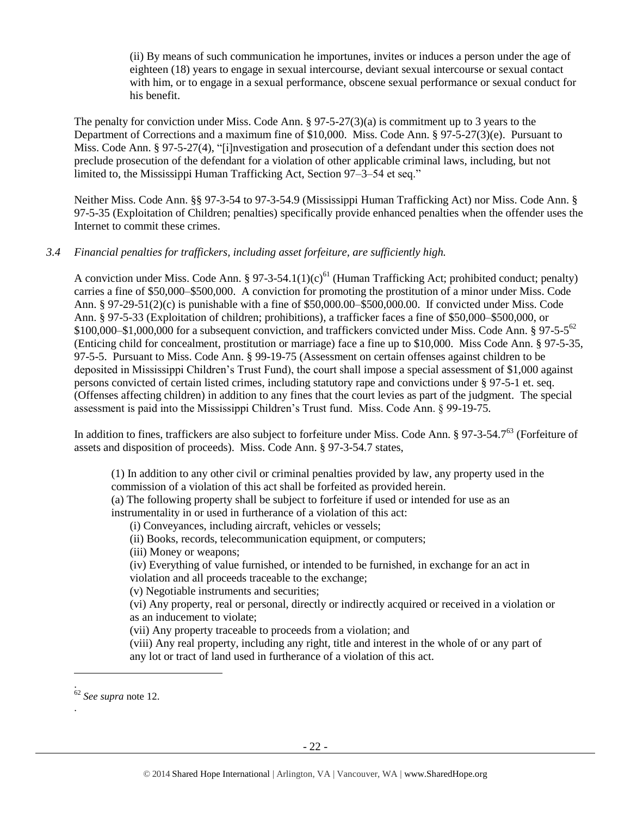(ii) By means of such communication he importunes, invites or induces a person under the age of eighteen (18) years to engage in sexual intercourse, deviant sexual intercourse or sexual contact with him, or to engage in a sexual performance, obscene sexual performance or sexual conduct for his benefit.

The penalty for conviction under Miss. Code Ann. § 97-5-27(3)(a) is commitment up to 3 years to the Department of Corrections and a maximum fine of \$10,000. Miss. Code Ann. § 97-5-27(3)(e). Pursuant to Miss. Code Ann. § 97-5-27(4), "[i]nvestigation and prosecution of a defendant under this section does not preclude prosecution of the defendant for a violation of other applicable criminal laws, including, but not limited to, the Mississippi Human Trafficking Act, Section 97–3–54 et seq."

Neither Miss. Code Ann. §§ 97-3-54 to 97-3-54.9 (Mississippi Human Trafficking Act) nor Miss. Code Ann. § 97-5-35 (Exploitation of Children; penalties) specifically provide enhanced penalties when the offender uses the Internet to commit these crimes.

## *3.4 Financial penalties for traffickers, including asset forfeiture, are sufficiently high.*

A conviction under Miss. Code Ann. § 97-3-54.1(1)(c)<sup>61</sup> (Human Trafficking Act; prohibited conduct; penalty) carries a fine of \$50,000–\$500,000. A conviction for promoting the prostitution of a minor under Miss. Code Ann. § 97-29-51(2)(c) is punishable with a fine of \$50,000.00–\$500,000.00. If convicted under Miss. Code Ann. § 97-5-33 (Exploitation of children; prohibitions), a trafficker faces a fine of \$50,000–\$500,000, or  $$100,000–$1,000,000$  for a subsequent conviction, and traffickers convicted under Miss. Code Ann. § 97-5-5<sup>62</sup> (Enticing child for concealment, prostitution or marriage) face a fine up to \$10,000. Miss Code Ann. § 97-5-35, 97-5-5. Pursuant to Miss. Code Ann. § 99-19-75 (Assessment on certain offenses against children to be deposited in Mississippi Children's Trust Fund), the court shall impose a special assessment of \$1,000 against persons convicted of certain listed crimes, including statutory rape and convictions under § 97-5-1 et. seq. (Offenses affecting children) in addition to any fines that the court levies as part of the judgment. The special assessment is paid into the Mississippi Children's Trust fund. Miss. Code Ann. § 99-19-75.

In addition to fines, traffickers are also subject to forfeiture under Miss. Code Ann. § 97-3-54.7<sup>63</sup> (Forfeiture of assets and disposition of proceeds). Miss. Code Ann. § 97-3-54.7 states,

(1) In addition to any other civil or criminal penalties provided by law, any property used in the commission of a violation of this act shall be forfeited as provided herein.

(a) The following property shall be subject to forfeiture if used or intended for use as an instrumentality in or used in furtherance of a violation of this act:

(i) Conveyances, including aircraft, vehicles or vessels;

(ii) Books, records, telecommunication equipment, or computers;

(iii) Money or weapons;

(iv) Everything of value furnished, or intended to be furnished, in exchange for an act in violation and all proceeds traceable to the exchange;

(v) Negotiable instruments and securities;

(vi) Any property, real or personal, directly or indirectly acquired or received in a violation or as an inducement to violate;

(vii) Any property traceable to proceeds from a violation; and

(viii) Any real property, including any right, title and interest in the whole of or any part of any lot or tract of land used in furtherance of a violation of this act.

l

.

<sup>.</sup> <sup>62</sup> *See supra* note [12.](#page-3-1)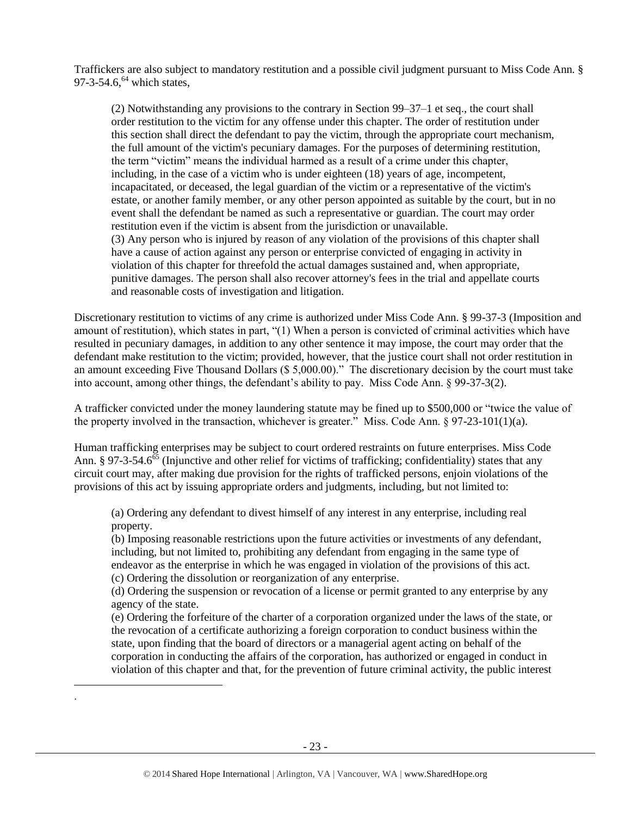Traffickers are also subject to mandatory restitution and a possible civil judgment pursuant to Miss Code Ann. § 97-3-54.6, $^{64}$  which states,

(2) Notwithstanding any provisions to the contrary in Section 99–37–1 et seq., the court shall order restitution to the victim for any offense under this chapter. The order of restitution under this section shall direct the defendant to pay the victim, through the appropriate court mechanism, the full amount of the victim's pecuniary damages. For the purposes of determining restitution, the term "victim" means the individual harmed as a result of a crime under this chapter, including, in the case of a victim who is under eighteen (18) years of age, incompetent, incapacitated, or deceased, the legal guardian of the victim or a representative of the victim's estate, or another family member, or any other person appointed as suitable by the court, but in no event shall the defendant be named as such a representative or guardian. The court may order restitution even if the victim is absent from the jurisdiction or unavailable. (3) Any person who is injured by reason of any violation of the provisions of this chapter shall have a cause of action against any person or enterprise convicted of engaging in activity in violation of this chapter for threefold the actual damages sustained and, when appropriate, punitive damages. The person shall also recover attorney's fees in the trial and appellate courts and reasonable costs of investigation and litigation.

Discretionary restitution to victims of any crime is authorized under Miss Code Ann. § 99-37-3 (Imposition and amount of restitution), which states in part, "(1) When a person is convicted of criminal activities which have resulted in pecuniary damages, in addition to any other sentence it may impose, the court may order that the defendant make restitution to the victim; provided, however, that the justice court shall not order restitution in an amount exceeding Five Thousand Dollars (\$ 5,000.00)." The discretionary decision by the court must take into account, among other things, the defendant's ability to pay. Miss Code Ann. § 99-37-3(2).

A trafficker convicted under the money laundering statute may be fined up to \$500,000 or "twice the value of the property involved in the transaction, whichever is greater." Miss. Code Ann.  $\S 97-23-101(1)(a)$ .

Human trafficking enterprises may be subject to court ordered restraints on future enterprises. Miss Code Ann. § 97-3-54.6<sup>65</sup> (Injunctive and other relief for victims of trafficking; confidentiality) states that any circuit court may, after making due provision for the rights of trafficked persons, enjoin violations of the provisions of this act by issuing appropriate orders and judgments, including, but not limited to:

(a) Ordering any defendant to divest himself of any interest in any enterprise, including real property.

(b) Imposing reasonable restrictions upon the future activities or investments of any defendant, including, but not limited to, prohibiting any defendant from engaging in the same type of endeavor as the enterprise in which he was engaged in violation of the provisions of this act. (c) Ordering the dissolution or reorganization of any enterprise.

(d) Ordering the suspension or revocation of a license or permit granted to any enterprise by any agency of the state.

(e) Ordering the forfeiture of the charter of a corporation organized under the laws of the state, or the revocation of a certificate authorizing a foreign corporation to conduct business within the state, upon finding that the board of directors or a managerial agent acting on behalf of the corporation in conducting the affairs of the corporation, has authorized or engaged in conduct in violation of this chapter and that, for the prevention of future criminal activity, the public interest

l .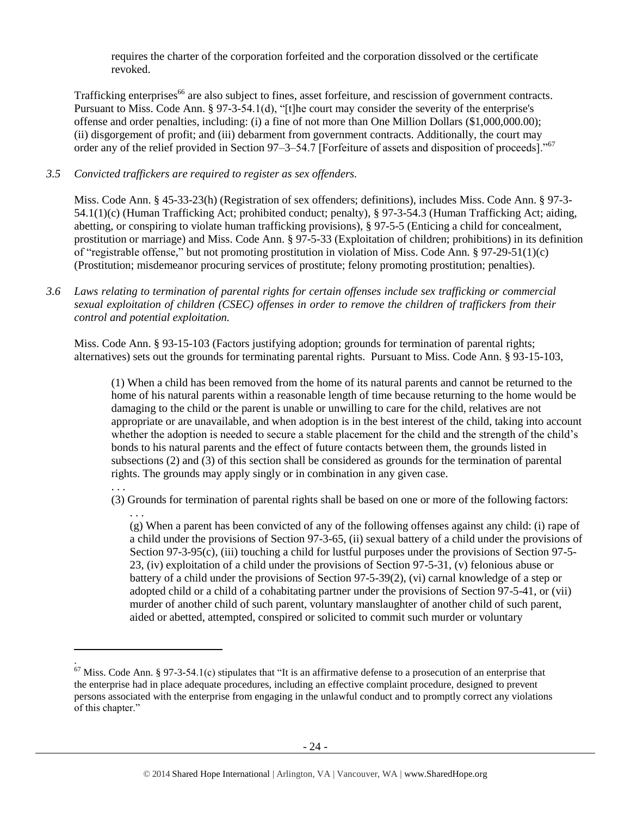requires the charter of the corporation forfeited and the corporation dissolved or the certificate revoked.

Trafficking enterprises<sup>66</sup> are also subject to fines, asset forfeiture, and rescission of government contracts. Pursuant to Miss. Code Ann. § 97-3-54.1(d), "[t]he court may consider the severity of the enterprise's offense and order penalties, including: (i) a fine of not more than One Million Dollars (\$1,000,000.00); (ii) disgorgement of profit; and (iii) debarment from government contracts. Additionally, the court may order any of the relief provided in Section 97–3–54.7 [Forfeiture of assets and disposition of proceeds]."<sup>67</sup>

### *3.5 Convicted traffickers are required to register as sex offenders.*

. . .

l .

Miss. Code Ann. § 45-33-23(h) (Registration of sex offenders; definitions), includes Miss. Code Ann. § 97-3- 54.1(1)(c) (Human Trafficking Act; prohibited conduct; penalty), § 97-3-54.3 (Human Trafficking Act; aiding, abetting, or conspiring to violate human trafficking provisions), § 97-5-5 (Enticing a child for concealment, prostitution or marriage) and Miss. Code Ann. § 97-5-33 (Exploitation of children; prohibitions) in its definition of "registrable offense," but not promoting prostitution in violation of Miss. Code Ann. § 97-29-51(1)(c) (Prostitution; misdemeanor procuring services of prostitute; felony promoting prostitution; penalties).

*3.6 Laws relating to termination of parental rights for certain offenses include sex trafficking or commercial sexual exploitation of children (CSEC) offenses in order to remove the children of traffickers from their control and potential exploitation.* 

Miss. Code Ann. § 93-15-103 (Factors justifying adoption; grounds for termination of parental rights; alternatives) sets out the grounds for terminating parental rights. Pursuant to Miss. Code Ann. § 93-15-103,

(1) When a child has been removed from the home of its natural parents and cannot be returned to the home of his natural parents within a reasonable length of time because returning to the home would be damaging to the child or the parent is unable or unwilling to care for the child, relatives are not appropriate or are unavailable, and when adoption is in the best interest of the child, taking into account whether the adoption is needed to secure a stable placement for the child and the strength of the child's bonds to his natural parents and the effect of future contacts between them, the grounds listed in subsections (2) and (3) of this section shall be considered as grounds for the termination of parental rights. The grounds may apply singly or in combination in any given case.

(3) Grounds for termination of parental rights shall be based on one or more of the following factors:

. . . (g) When a parent has been convicted of any of the following offenses against any child: (i) rape of a child under the provisions of Section 97-3-65, (ii) sexual battery of a child under the provisions of Section 97-3-95(c), (iii) touching a child for lustful purposes under the provisions of Section 97-5-23, (iv) exploitation of a child under the provisions of Section 97-5-31, (v) felonious abuse or battery of a child under the provisions of Section 97-5-39(2), (vi) carnal knowledge of a step or adopted child or a child of a cohabitating partner under the provisions of Section 97-5-41, or (vii) murder of another child of such parent, voluntary manslaughter of another child of such parent, aided or abetted, attempted, conspired or solicited to commit such murder or voluntary

 $67$  Miss. Code Ann. § 97-3-54.1(c) stipulates that "It is an affirmative defense to a prosecution of an enterprise that the enterprise had in place adequate procedures, including an effective complaint procedure, designed to prevent persons associated with the enterprise from engaging in the unlawful conduct and to promptly correct any violations of this chapter."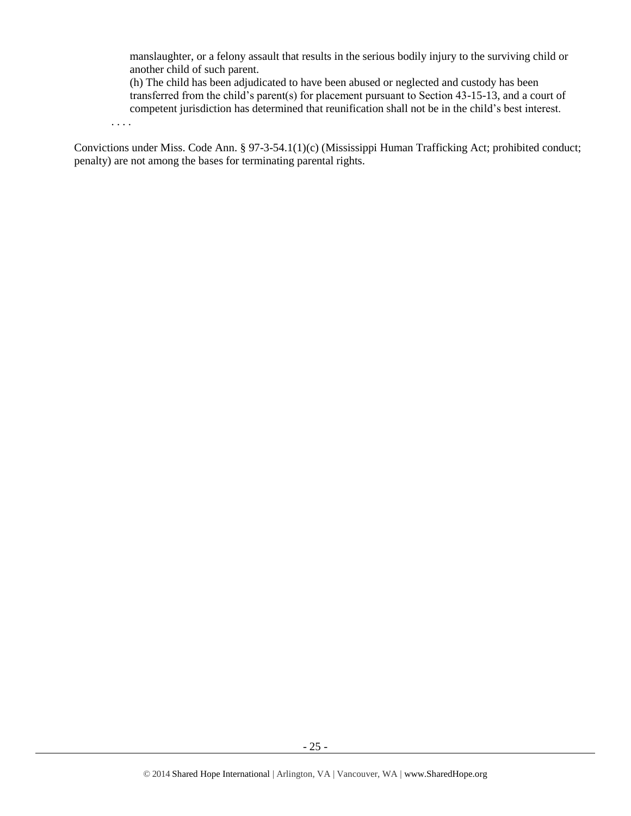manslaughter, or a felony assault that results in the serious bodily injury to the surviving child or another child of such parent.

(h) The child has been adjudicated to have been abused or neglected and custody has been transferred from the child's parent(s) for placement pursuant to Section 43-15-13, and a court of competent jurisdiction has determined that reunification shall not be in the child's best interest.

. . . .

Convictions under Miss. Code Ann. § 97-3-54.1(1)(c) (Mississippi Human Trafficking Act; prohibited conduct; penalty) are not among the bases for terminating parental rights.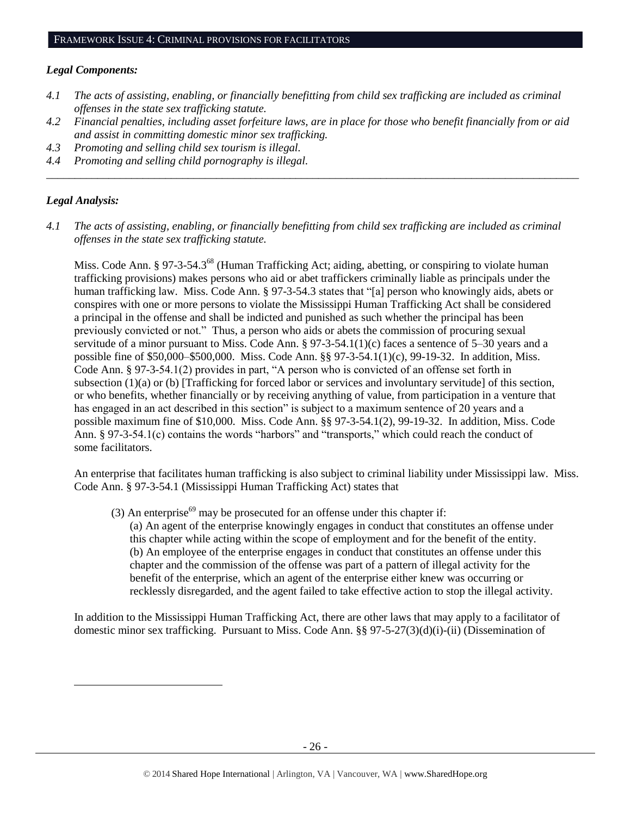#### *Legal Components:*

- *4.1 The acts of assisting, enabling, or financially benefitting from child sex trafficking are included as criminal offenses in the state sex trafficking statute.*
- *4.2 Financial penalties, including asset forfeiture laws, are in place for those who benefit financially from or aid and assist in committing domestic minor sex trafficking.*

*\_\_\_\_\_\_\_\_\_\_\_\_\_\_\_\_\_\_\_\_\_\_\_\_\_\_\_\_\_\_\_\_\_\_\_\_\_\_\_\_\_\_\_\_\_\_\_\_\_\_\_\_\_\_\_\_\_\_\_\_\_\_\_\_\_\_\_\_\_\_\_\_\_\_\_\_\_\_\_\_\_\_\_\_\_\_\_\_\_\_\_\_\_\_*

- *4.3 Promoting and selling child sex tourism is illegal.*
- *4.4 Promoting and selling child pornography is illegal.*

#### *Legal Analysis:*

l

*4.1 The acts of assisting, enabling, or financially benefitting from child sex trafficking are included as criminal offenses in the state sex trafficking statute.*

Miss. Code Ann. § 97-3-54.3<sup>68</sup> (Human Trafficking Act; aiding, abetting, or conspiring to violate human trafficking provisions) makes persons who aid or abet traffickers criminally liable as principals under the human trafficking law. Miss. Code Ann. § 97-3-54.3 states that "[a] person who knowingly aids, abets or conspires with one or more persons to violate the Mississippi Human Trafficking Act shall be considered a principal in the offense and shall be indicted and punished as such whether the principal has been previously convicted or not." Thus, a person who aids or abets the commission of procuring sexual servitude of a minor pursuant to Miss. Code Ann. § 97-3-54.1(1)(c) faces a sentence of 5–30 years and a possible fine of \$50,000–\$500,000. Miss. Code Ann. §§ 97-3-54.1(1)(c), 99-19-32. In addition, Miss. Code Ann. § 97-3-54.1(2) provides in part, "A person who is convicted of an offense set forth in subsection (1)(a) or (b) [Trafficking for forced labor or services and involuntary servitude] of this section, or who benefits, whether financially or by receiving anything of value, from participation in a venture that has engaged in an act described in this section" is subject to a maximum sentence of 20 years and a possible maximum fine of \$10,000. Miss. Code Ann. §§ 97-3-54.1(2), 99-19-32. In addition, Miss. Code Ann. § 97-3-54.1(c) contains the words "harbors" and "transports," which could reach the conduct of some facilitators.

An enterprise that facilitates human trafficking is also subject to criminal liability under Mississippi law. Miss. Code Ann. § 97-3-54.1 (Mississippi Human Trafficking Act) states that

(3) An enterprise<sup>69</sup> may be prosecuted for an offense under this chapter if:

(a) An agent of the enterprise knowingly engages in conduct that constitutes an offense under this chapter while acting within the scope of employment and for the benefit of the entity. (b) An employee of the enterprise engages in conduct that constitutes an offense under this chapter and the commission of the offense was part of a pattern of illegal activity for the benefit of the enterprise, which an agent of the enterprise either knew was occurring or recklessly disregarded, and the agent failed to take effective action to stop the illegal activity.

In addition to the Mississippi Human Trafficking Act, there are other laws that may apply to a facilitator of domestic minor sex trafficking. Pursuant to Miss. Code Ann. §§ 97-5-27(3)(d)(i)-(ii) (Dissemination of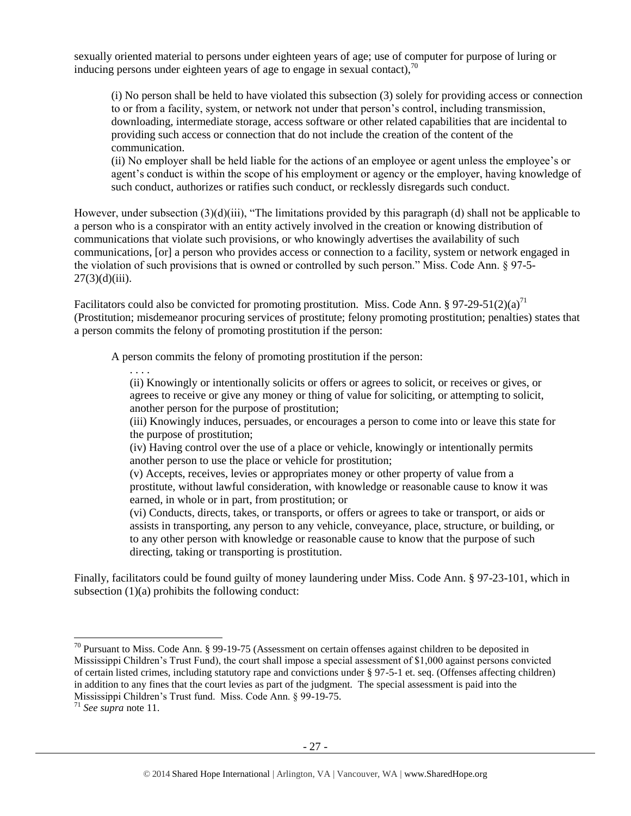sexually oriented material to persons under eighteen years of age; use of computer for purpose of luring or inducing persons under eighteen years of age to engage in sexual contact).<sup>70</sup>

(i) No person shall be held to have violated this subsection (3) solely for providing access or connection to or from a facility, system, or network not under that person's control, including transmission, downloading, intermediate storage, access software or other related capabilities that are incidental to providing such access or connection that do not include the creation of the content of the communication.

(ii) No employer shall be held liable for the actions of an employee or agent unless the employee's or agent's conduct is within the scope of his employment or agency or the employer, having knowledge of such conduct, authorizes or ratifies such conduct, or recklessly disregards such conduct.

However, under subsection (3)(d)(iii), "The limitations provided by this paragraph (d) shall not be applicable to a person who is a conspirator with an entity actively involved in the creation or knowing distribution of communications that violate such provisions, or who knowingly advertises the availability of such communications, [or] a person who provides access or connection to a facility, system or network engaged in the violation of such provisions that is owned or controlled by such person." Miss. Code Ann. § 97-5-  $27(3)(d)(iii)$ .

Facilitators could also be convicted for promoting prostitution. Miss. Code Ann. § 97-29-51(2)(a)<sup>71</sup> (Prostitution; misdemeanor procuring services of prostitute; felony promoting prostitution; penalties) states that a person commits the felony of promoting prostitution if the person:

A person commits the felony of promoting prostitution if the person:

. . . . (ii) Knowingly or intentionally solicits or offers or agrees to solicit, or receives or gives, or agrees to receive or give any money or thing of value for soliciting, or attempting to solicit, another person for the purpose of prostitution;

(iii) Knowingly induces, persuades, or encourages a person to come into or leave this state for the purpose of prostitution;

(iv) Having control over the use of a place or vehicle, knowingly or intentionally permits another person to use the place or vehicle for prostitution;

(v) Accepts, receives, levies or appropriates money or other property of value from a prostitute, without lawful consideration, with knowledge or reasonable cause to know it was earned, in whole or in part, from prostitution; or

(vi) Conducts, directs, takes, or transports, or offers or agrees to take or transport, or aids or assists in transporting, any person to any vehicle, conveyance, place, structure, or building, or to any other person with knowledge or reasonable cause to know that the purpose of such directing, taking or transporting is prostitution.

Finally, facilitators could be found guilty of money laundering under Miss. Code Ann. § 97-23-101, which in subsection  $(1)(a)$  prohibits the following conduct:

 $70$  Pursuant to Miss. Code Ann. § 99-19-75 (Assessment on certain offenses against children to be deposited in Mississippi Children's Trust Fund), the court shall impose a special assessment of \$1,000 against persons convicted of certain listed crimes, including statutory rape and convictions under § 97-5-1 et. seq. (Offenses affecting children) in addition to any fines that the court levies as part of the judgment. The special assessment is paid into the Mississippi Children's Trust fund. Miss. Code Ann. § 99-19-75.

<sup>71</sup> *See supra* note [11.](#page-2-0)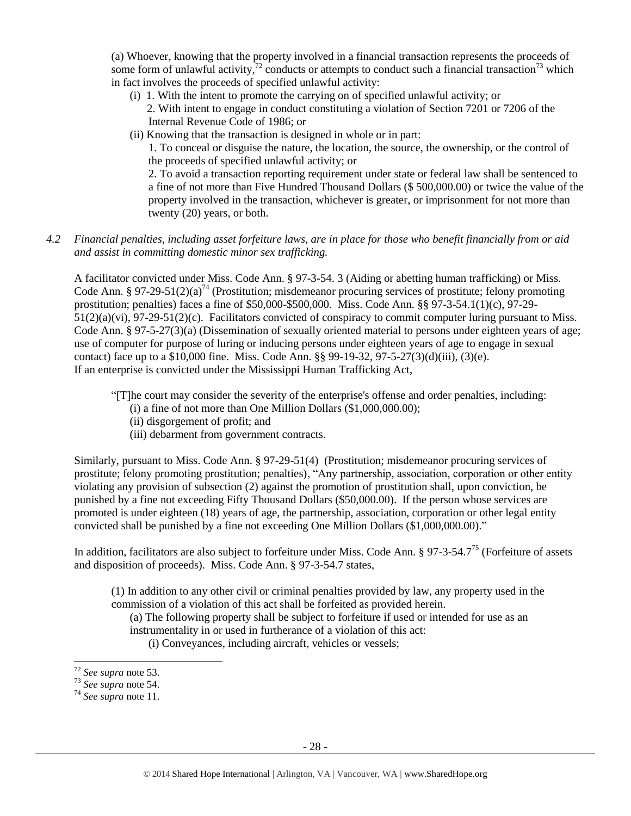(a) Whoever, knowing that the property involved in a financial transaction represents the proceeds of some form of unlawful activity, $72$  conducts or attempts to conduct such a financial transaction<sup>73</sup> which in fact involves the proceeds of specified unlawful activity:

- (i) 1. With the intent to promote the carrying on of specified unlawful activity; or
	- 2. With intent to engage in conduct constituting a violation of Section 7201 or 7206 of the Internal Revenue Code of 1986; or
- (ii) Knowing that the transaction is designed in whole or in part:

1. To conceal or disguise the nature, the location, the source, the ownership, or the control of the proceeds of specified unlawful activity; or

2. To avoid a transaction reporting requirement under state or federal law shall be sentenced to a fine of not more than Five Hundred Thousand Dollars (\$ 500,000.00) or twice the value of the property involved in the transaction, whichever is greater, or imprisonment for not more than twenty (20) years, or both.

## *4.2 Financial penalties, including asset forfeiture laws, are in place for those who benefit financially from or aid and assist in committing domestic minor sex trafficking.*

A facilitator convicted under Miss. Code Ann. § 97-3-54. 3 (Aiding or abetting human trafficking) or Miss. Code Ann. § 97-29-51(2)(a)<sup>74</sup> (Prostitution; misdemeanor procuring services of prostitute; felony promoting prostitution; penalties) faces a fine of \$50,000-\$500,000. Miss. Code Ann. §§ 97-3-54.1(1)(c), 97-29- 51(2)(a)(vi), 97-29-51(2)(c). Facilitators convicted of conspiracy to commit computer luring pursuant to Miss. Code Ann. § 97-5-27(3)(a) (Dissemination of sexually oriented material to persons under eighteen years of age; use of computer for purpose of luring or inducing persons under eighteen years of age to engage in sexual contact) face up to a \$10,000 fine. Miss. Code Ann.  $\S$ § 99-19-32, 97-5-27(3)(d)(iii), (3)(e). If an enterprise is convicted under the Mississippi Human Trafficking Act,

"[T]he court may consider the severity of the enterprise's offense and order penalties, including:

- (i) a fine of not more than One Million Dollars (\$1,000,000.00);
- (ii) disgorgement of profit; and
- (iii) debarment from government contracts.

Similarly, pursuant to Miss. Code Ann. § 97-29-51(4) (Prostitution; misdemeanor procuring services of prostitute; felony promoting prostitution; penalties), "Any partnership, association, corporation or other entity violating any provision of subsection (2) against the promotion of prostitution shall, upon conviction, be punished by a fine not exceeding Fifty Thousand Dollars (\$50,000.00). If the person whose services are promoted is under eighteen (18) years of age, the partnership, association, corporation or other legal entity convicted shall be punished by a fine not exceeding One Million Dollars (\$1,000,000.00)."

In addition, facilitators are also subject to forfeiture under Miss. Code Ann. § 97-3-54.7<sup>75</sup> (Forfeiture of assets and disposition of proceeds). Miss. Code Ann. § 97-3-54.7 states,

(1) In addition to any other civil or criminal penalties provided by law, any property used in the commission of a violation of this act shall be forfeited as provided herein.

(a) The following property shall be subject to forfeiture if used or intended for use as an instrumentality in or used in furtherance of a violation of this act:

(i) Conveyances, including aircraft, vehicles or vessels;

 $\overline{a}$ 

<sup>72</sup> *See supra* note [53.](#page-19-0)

<sup>73</sup> *See supra* note [54.](#page-19-1)

<sup>74</sup> *See supra* note [11.](#page-2-0)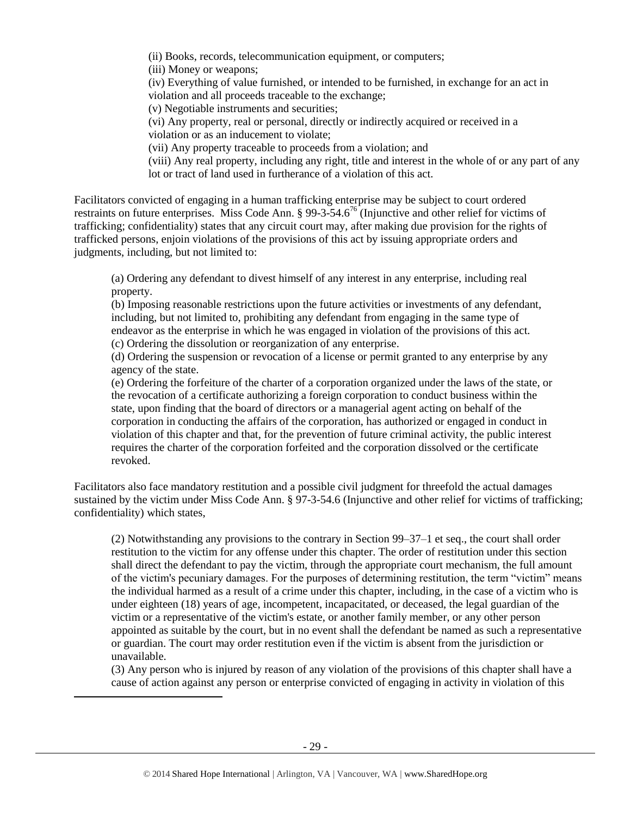(ii) Books, records, telecommunication equipment, or computers;

(iii) Money or weapons;

(iv) Everything of value furnished, or intended to be furnished, in exchange for an act in violation and all proceeds traceable to the exchange;

(v) Negotiable instruments and securities;

(vi) Any property, real or personal, directly or indirectly acquired or received in a

violation or as an inducement to violate;

(vii) Any property traceable to proceeds from a violation; and

(viii) Any real property, including any right, title and interest in the whole of or any part of any lot or tract of land used in furtherance of a violation of this act.

Facilitators convicted of engaging in a human trafficking enterprise may be subject to court ordered restraints on future enterprises. Miss Code Ann. § 99-3-54.6<sup>76</sup> (Injunctive and other relief for victims of trafficking; confidentiality) states that any circuit court may, after making due provision for the rights of trafficked persons, enjoin violations of the provisions of this act by issuing appropriate orders and judgments, including, but not limited to:

(a) Ordering any defendant to divest himself of any interest in any enterprise, including real property.

(b) Imposing reasonable restrictions upon the future activities or investments of any defendant, including, but not limited to, prohibiting any defendant from engaging in the same type of endeavor as the enterprise in which he was engaged in violation of the provisions of this act. (c) Ordering the dissolution or reorganization of any enterprise.

(d) Ordering the suspension or revocation of a license or permit granted to any enterprise by any agency of the state.

(e) Ordering the forfeiture of the charter of a corporation organized under the laws of the state, or the revocation of a certificate authorizing a foreign corporation to conduct business within the state, upon finding that the board of directors or a managerial agent acting on behalf of the corporation in conducting the affairs of the corporation, has authorized or engaged in conduct in violation of this chapter and that, for the prevention of future criminal activity, the public interest requires the charter of the corporation forfeited and the corporation dissolved or the certificate revoked.

Facilitators also face mandatory restitution and a possible civil judgment for threefold the actual damages sustained by the victim under Miss Code Ann. § 97-3-54.6 (Injunctive and other relief for victims of trafficking; confidentiality) which states,

(2) Notwithstanding any provisions to the contrary in Section 99–37–1 et seq., the court shall order restitution to the victim for any offense under this chapter. The order of restitution under this section shall direct the defendant to pay the victim, through the appropriate court mechanism, the full amount of the victim's pecuniary damages. For the purposes of determining restitution, the term "victim" means the individual harmed as a result of a crime under this chapter, including, in the case of a victim who is under eighteen (18) years of age, incompetent, incapacitated, or deceased, the legal guardian of the victim or a representative of the victim's estate, or another family member, or any other person appointed as suitable by the court, but in no event shall the defendant be named as such a representative or guardian. The court may order restitution even if the victim is absent from the jurisdiction or unavailable.

(3) Any person who is injured by reason of any violation of the provisions of this chapter shall have a cause of action against any person or enterprise convicted of engaging in activity in violation of this

 $\overline{a}$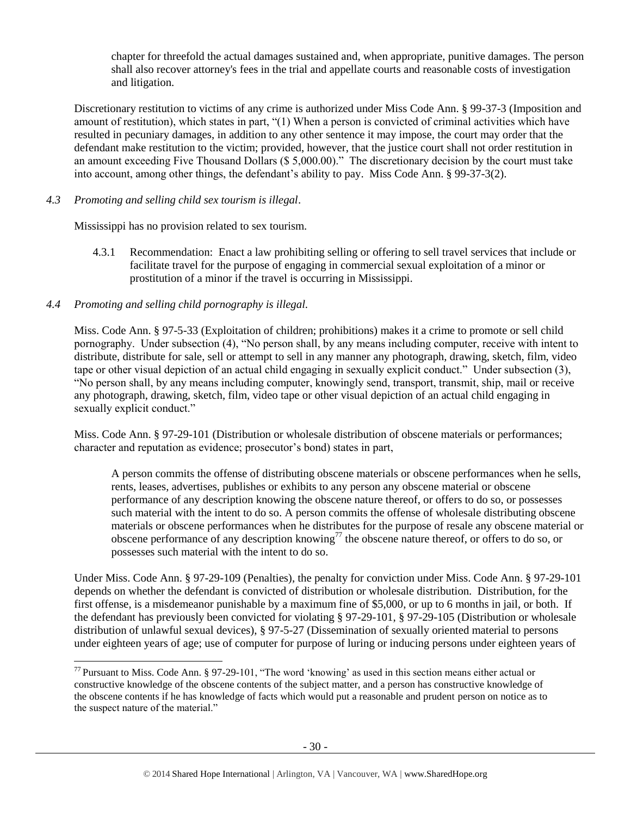chapter for threefold the actual damages sustained and, when appropriate, punitive damages. The person shall also recover attorney's fees in the trial and appellate courts and reasonable costs of investigation and litigation.

Discretionary restitution to victims of any crime is authorized under Miss Code Ann. § 99-37-3 (Imposition and amount of restitution), which states in part, "(1) When a person is convicted of criminal activities which have resulted in pecuniary damages, in addition to any other sentence it may impose, the court may order that the defendant make restitution to the victim; provided, however, that the justice court shall not order restitution in an amount exceeding Five Thousand Dollars (\$ 5,000.00)." The discretionary decision by the court must take into account, among other things, the defendant's ability to pay. Miss Code Ann. § 99-37-3(2).

## *4.3 Promoting and selling child sex tourism is illegal*.

Mississippi has no provision related to sex tourism.

4.3.1 Recommendation: Enact a law prohibiting selling or offering to sell travel services that include or facilitate travel for the purpose of engaging in commercial sexual exploitation of a minor or prostitution of a minor if the travel is occurring in Mississippi.

## *4.4 Promoting and selling child pornography is illegal.*

 $\overline{a}$ 

Miss. Code Ann. § 97-5-33 (Exploitation of children; prohibitions) makes it a crime to promote or sell child pornography. Under subsection (4), "No person shall, by any means including computer, receive with intent to distribute, distribute for sale, sell or attempt to sell in any manner any photograph, drawing, sketch, film, video tape or other visual depiction of an actual child engaging in sexually explicit conduct." Under subsection (3), "No person shall, by any means including computer, knowingly send, transport, transmit, ship, mail or receive any photograph, drawing, sketch, film, video tape or other visual depiction of an actual child engaging in sexually explicit conduct."

Miss. Code Ann. § 97-29-101 (Distribution or wholesale distribution of obscene materials or performances; character and reputation as evidence; prosecutor's bond) states in part,

A person commits the offense of distributing obscene materials or obscene performances when he sells, rents, leases, advertises, publishes or exhibits to any person any obscene material or obscene performance of any description knowing the obscene nature thereof, or offers to do so, or possesses such material with the intent to do so. A person commits the offense of wholesale distributing obscene materials or obscene performances when he distributes for the purpose of resale any obscene material or obscene performance of any description knowing<sup>77</sup> the obscene nature thereof, or offers to do so, or possesses such material with the intent to do so.

Under Miss. Code Ann. § 97-29-109 (Penalties), the penalty for conviction under Miss. Code Ann. § 97-29-101 depends on whether the defendant is convicted of distribution or wholesale distribution. Distribution, for the first offense, is a misdemeanor punishable by a maximum fine of \$5,000, or up to 6 months in jail, or both. If the defendant has previously been convicted for violating § 97-29-101, § 97-29-105 (Distribution or wholesale distribution of unlawful sexual devices), § 97-5-27 (Dissemination of sexually oriented material to persons under eighteen years of age; use of computer for purpose of luring or inducing persons under eighteen years of

 $^{77}$  Pursuant to Miss. Code Ann. § 97-29-101, "The word 'knowing' as used in this section means either actual or constructive knowledge of the obscene contents of the subject matter, and a person has constructive knowledge of the obscene contents if he has knowledge of facts which would put a reasonable and prudent person on notice as to the suspect nature of the material."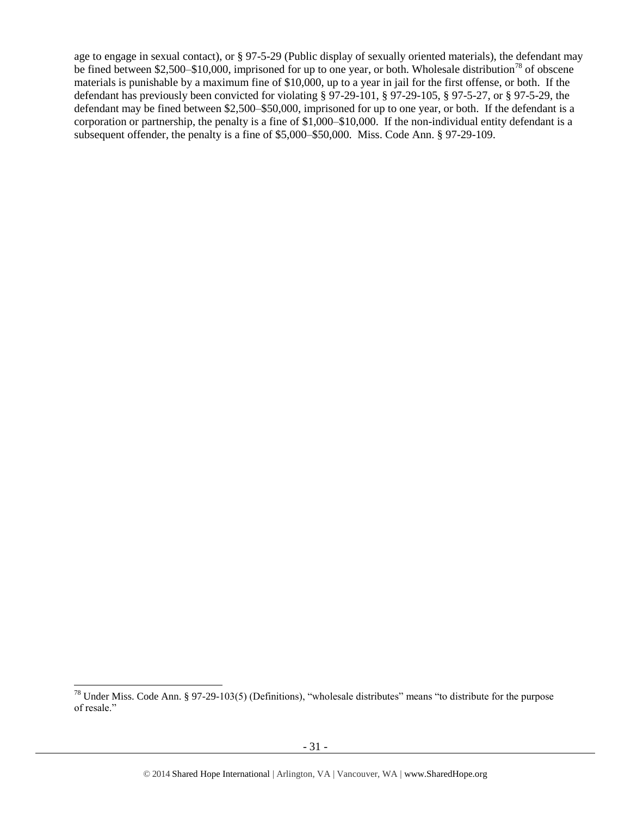age to engage in sexual contact), or § 97-5-29 (Public display of sexually oriented materials), the defendant may be fined between \$2,500–\$10,000, imprisoned for up to one year, or both. Wholesale distribution<sup>78</sup> of obscene materials is punishable by a maximum fine of \$10,000, up to a year in jail for the first offense, or both. If the defendant has previously been convicted for violating § 97-29-101, § 97-29-105, § 97-5-27, or § 97-5-29, the defendant may be fined between \$2,500–\$50,000, imprisoned for up to one year, or both. If the defendant is a corporation or partnership, the penalty is a fine of \$1,000–\$10,000. If the non-individual entity defendant is a subsequent offender, the penalty is a fine of \$5,000–\$50,000. Miss. Code Ann. § 97-29-109.

l  $^{78}$  Under Miss. Code Ann. § 97-29-103(5) (Definitions), "wholesale distributes" means "to distribute for the purpose of resale."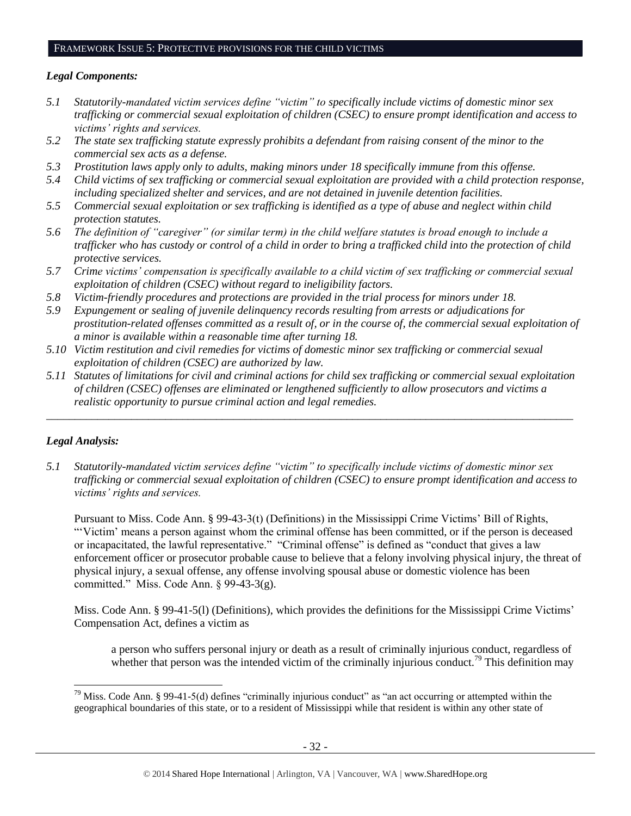#### FRAMEWORK ISSUE 5: PROTECTIVE PROVISIONS FOR THE CHILD VICTIMS

## *Legal Components:*

- *5.1 Statutorily-mandated victim services define "victim" to specifically include victims of domestic minor sex trafficking or commercial sexual exploitation of children (CSEC) to ensure prompt identification and access to victims' rights and services.*
- *5.2 The state sex trafficking statute expressly prohibits a defendant from raising consent of the minor to the commercial sex acts as a defense.*
- *5.3 Prostitution laws apply only to adults, making minors under 18 specifically immune from this offense.*
- *5.4 Child victims of sex trafficking or commercial sexual exploitation are provided with a child protection response, including specialized shelter and services, and are not detained in juvenile detention facilities.*
- *5.5 Commercial sexual exploitation or sex trafficking is identified as a type of abuse and neglect within child protection statutes.*
- *5.6 The definition of "caregiver" (or similar term) in the child welfare statutes is broad enough to include a trafficker who has custody or control of a child in order to bring a trafficked child into the protection of child protective services.*
- *5.7 Crime victims' compensation is specifically available to a child victim of sex trafficking or commercial sexual exploitation of children (CSEC) without regard to ineligibility factors.*
- *5.8 Victim-friendly procedures and protections are provided in the trial process for minors under 18.*
- *5.9 Expungement or sealing of juvenile delinquency records resulting from arrests or adjudications for prostitution-related offenses committed as a result of, or in the course of, the commercial sexual exploitation of a minor is available within a reasonable time after turning 18.*
- *5.10 Victim restitution and civil remedies for victims of domestic minor sex trafficking or commercial sexual exploitation of children (CSEC) are authorized by law.*
- *5.11 Statutes of limitations for civil and criminal actions for child sex trafficking or commercial sexual exploitation of children (CSEC) offenses are eliminated or lengthened sufficiently to allow prosecutors and victims a realistic opportunity to pursue criminal action and legal remedies.*

*\_\_\_\_\_\_\_\_\_\_\_\_\_\_\_\_\_\_\_\_\_\_\_\_\_\_\_\_\_\_\_\_\_\_\_\_\_\_\_\_\_\_\_\_\_\_\_\_\_\_\_\_\_\_\_\_\_\_\_\_\_\_\_\_\_\_\_\_\_\_\_\_\_\_\_\_\_\_\_\_\_\_\_\_\_\_\_\_\_\_\_\_\_*

## *Legal Analysis:*

*5.1 Statutorily-mandated victim services define "victim" to specifically include victims of domestic minor sex trafficking or commercial sexual exploitation of children (CSEC) to ensure prompt identification and access to victims' rights and services.*

Pursuant to Miss. Code Ann. § 99-43-3(t) (Definitions) in the Mississippi Crime Victims' Bill of Rights, "'Victim' means a person against whom the criminal offense has been committed, or if the person is deceased or incapacitated, the lawful representative." "Criminal offense" is defined as "conduct that gives a law enforcement officer or prosecutor probable cause to believe that a felony involving physical injury, the threat of physical injury, a sexual offense, any offense involving spousal abuse or domestic violence has been committed." Miss. Code Ann. § 99-43-3(g).

Miss. Code Ann. § 99-41-5(l) (Definitions), which provides the definitions for the Mississippi Crime Victims' Compensation Act, defines a victim as

a person who suffers personal injury or death as a result of criminally injurious conduct, regardless of whether that person was the intended victim of the criminally injurious conduct.<sup>79</sup> This definition may

l  $79$  Miss. Code Ann. § 99-41-5(d) defines "criminally injurious conduct" as "an act occurring or attempted within the geographical boundaries of this state, or to a resident of Mississippi while that resident is within any other state of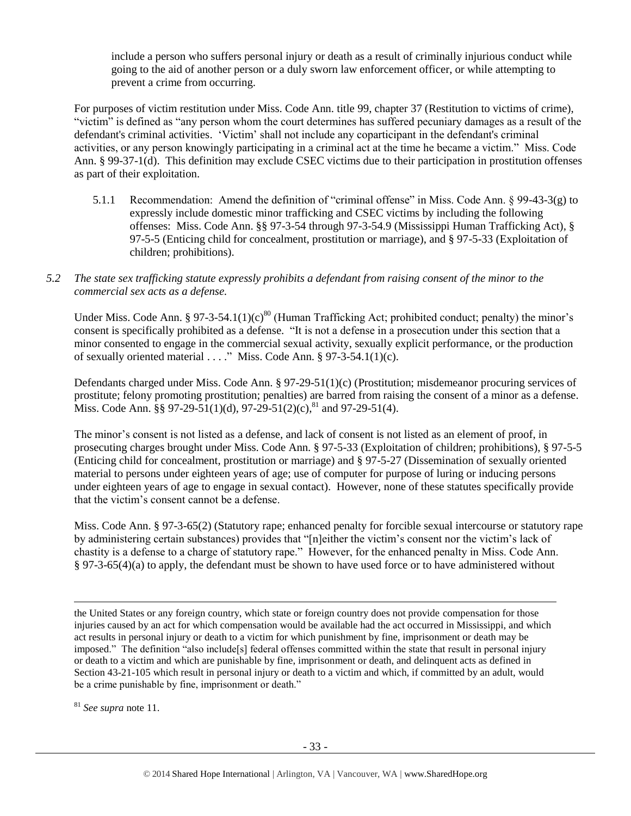include a person who suffers personal injury or death as a result of criminally injurious conduct while going to the aid of another person or a duly sworn law enforcement officer, or while attempting to prevent a crime from occurring.

For purposes of victim restitution under Miss. Code Ann. title 99, chapter 37 (Restitution to victims of crime), "victim" is defined as "any person whom the court determines has suffered pecuniary damages as a result of the defendant's criminal activities. 'Victim' shall not include any coparticipant in the defendant's criminal activities, or any person knowingly participating in a criminal act at the time he became a victim." Miss. Code Ann. § 99-37-1(d). This definition may exclude CSEC victims due to their participation in prostitution offenses as part of their exploitation.

- 5.1.1 Recommendation: Amend the definition of "criminal offense" in Miss. Code Ann. § 99-43-3(g) to expressly include domestic minor trafficking and CSEC victims by including the following offenses: Miss. Code Ann. §§ 97-3-54 through 97-3-54.9 (Mississippi Human Trafficking Act), § 97-5-5 (Enticing child for concealment, prostitution or marriage), and § 97-5-33 (Exploitation of children; prohibitions).
- *5.2 The state sex trafficking statute expressly prohibits a defendant from raising consent of the minor to the commercial sex acts as a defense.*

Under Miss. Code Ann. § 97-3-54.1(1)(c)<sup>80</sup> (Human Trafficking Act; prohibited conduct; penalty) the minor's consent is specifically prohibited as a defense. "It is not a defense in a prosecution under this section that a minor consented to engage in the commercial sexual activity, sexually explicit performance, or the production of sexually oriented material  $\dots$ ." Miss. Code Ann. § 97-3-54.1(1)(c).

Defendants charged under Miss. Code Ann. § 97-29-51(1)(c) (Prostitution; misdemeanor procuring services of prostitute; felony promoting prostitution; penalties) are barred from raising the consent of a minor as a defense. Miss. Code Ann.  $\S$ § 97-29-51(1)(d), 97-29-51(2)(c),<sup>81</sup> and 97-29-51(4).

The minor's consent is not listed as a defense, and lack of consent is not listed as an element of proof, in prosecuting charges brought under Miss. Code Ann. § 97-5-33 (Exploitation of children; prohibitions), § 97-5-5 (Enticing child for concealment, prostitution or marriage) and § 97-5-27 (Dissemination of sexually oriented material to persons under eighteen years of age; use of computer for purpose of luring or inducing persons under eighteen years of age to engage in sexual contact). However, none of these statutes specifically provide that the victim's consent cannot be a defense.

Miss. Code Ann. § 97-3-65(2) (Statutory rape; enhanced penalty for forcible sexual intercourse or statutory rape by administering certain substances) provides that "[n]either the victim's consent nor the victim's lack of chastity is a defense to a charge of statutory rape." However, for the enhanced penalty in Miss. Code Ann. § 97-3-65(4)(a) to apply, the defendant must be shown to have used force or to have administered without

<sup>81</sup> *See supra* note [11.](#page-2-0)

the United States or any foreign country, which state or foreign country does not provide compensation for those injuries caused by an act for which compensation would be available had the act occurred in Mississippi, and which act results in personal injury or death to a victim for which punishment by fine, imprisonment or death may be imposed." The definition "also include[s] federal offenses committed within the state that result in personal injury or death to a victim and which are punishable by fine, imprisonment or death, and delinquent acts as defined in Section 43-21-105 which result in personal injury or death to a victim and which, if committed by an adult, would be a crime punishable by fine, imprisonment or death."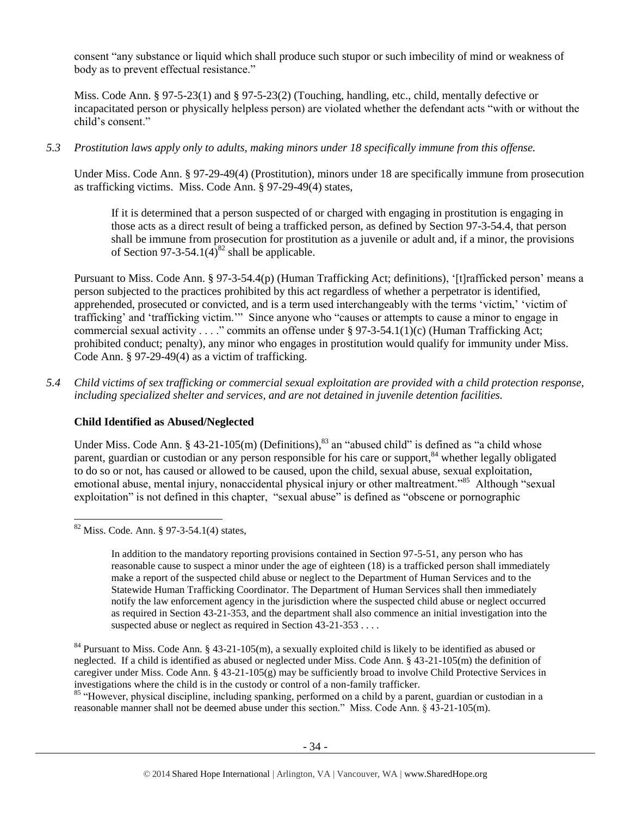consent "any substance or liquid which shall produce such stupor or such imbecility of mind or weakness of body as to prevent effectual resistance."

Miss. Code Ann. § 97-5-23(1) and § 97-5-23(2) (Touching, handling, etc., child, mentally defective or incapacitated person or physically helpless person) are violated whether the defendant acts "with or without the child's consent."

*5.3 Prostitution laws apply only to adults, making minors under 18 specifically immune from this offense.*

Under Miss. Code Ann. § 97-29-49(4) (Prostitution), minors under 18 are specifically immune from prosecution as trafficking victims. Miss. Code Ann. § 97-29-49(4) states,

If it is determined that a person suspected of or charged with engaging in prostitution is engaging in those acts as a direct result of being a trafficked person, as defined by Section 97-3-54.4, that person shall be immune from prosecution for prostitution as a juvenile or adult and, if a minor, the provisions of Section 97-3-54.1(4)<sup>82</sup> shall be applicable.

Pursuant to Miss. Code Ann. § 97-3-54.4(p) (Human Trafficking Act; definitions), '[t]rafficked person' means a person subjected to the practices prohibited by this act regardless of whether a perpetrator is identified, apprehended, prosecuted or convicted, and is a term used interchangeably with the terms 'victim,' 'victim of trafficking' and 'trafficking victim.'" Since anyone who "causes or attempts to cause a minor to engage in commercial sexual activity . . . ." commits an offense under § 97-3-54.1(1)(c) (Human Trafficking Act; prohibited conduct; penalty), any minor who engages in prostitution would qualify for immunity under Miss. Code Ann. § 97-29-49(4) as a victim of trafficking.

*5.4 Child victims of sex trafficking or commercial sexual exploitation are provided with a child protection response, including specialized shelter and services, and are not detained in juvenile detention facilities.*

## **Child Identified as Abused/Neglected**

Under Miss. Code Ann. § 43-21-105(m) (Definitions),<sup>83</sup> an "abused child" is defined as "a child whose parent, guardian or custodian or any person responsible for his care or support,<sup>84</sup> whether legally obligated to do so or not, has caused or allowed to be caused, upon the child, sexual abuse, sexual exploitation, emotional abuse, mental injury, nonaccidental physical injury or other maltreatment."<sup>85</sup> Although "sexual exploitation" is not defined in this chapter, "sexual abuse" is defined as "obscene or pornographic

 $\overline{a}$ 

<sup>84</sup> Pursuant to Miss. Code Ann. § 43-21-105(m), a sexually exploited child is likely to be identified as abused or neglected. If a child is identified as abused or neglected under Miss. Code Ann. § 43-21-105(m) the definition of caregiver under Miss. Code Ann. § 43-21-105(g) may be sufficiently broad to involve Child Protective Services in investigations where the child is in the custody or control of a non-family trafficker.

<sup>85</sup> "However, physical discipline, including spanking, performed on a child by a parent, guardian or custodian in a reasonable manner shall not be deemed abuse under this section." Miss. Code Ann. § 43-21-105(m).

 $82$  Miss. Code. Ann. § 97-3-54.1(4) states,

In addition to the mandatory reporting provisions contained in Section 97-5-51, any person who has reasonable cause to suspect a minor under the age of eighteen (18) is a trafficked person shall immediately make a report of the suspected child abuse or neglect to the Department of Human Services and to the Statewide Human Trafficking Coordinator. The Department of Human Services shall then immediately notify the law enforcement agency in the jurisdiction where the suspected child abuse or neglect occurred as required in Section 43-21-353, and the department shall also commence an initial investigation into the suspected abuse or neglect as required in Section 43-21-353 . . . .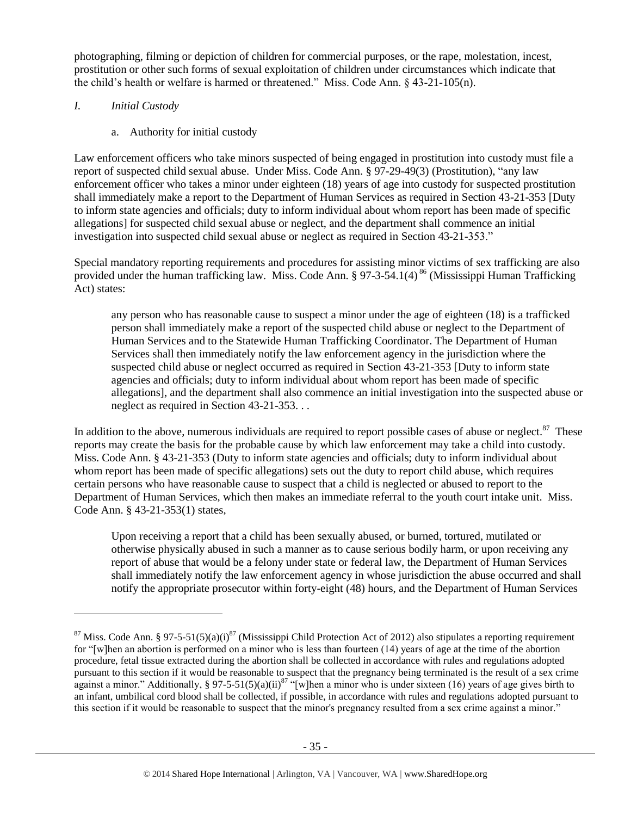photographing, filming or depiction of children for commercial purposes, or the rape, molestation, incest, prostitution or other such forms of sexual exploitation of children under circumstances which indicate that the child's health or welfare is harmed or threatened." Miss. Code Ann. § 43-21-105(n).

## *I. Initial Custody*

l

a. Authority for initial custody

Law enforcement officers who take minors suspected of being engaged in prostitution into custody must file a report of suspected child sexual abuse. Under Miss. Code Ann. § 97-29-49(3) (Prostitution), "any law enforcement officer who takes a minor under eighteen (18) years of age into custody for suspected prostitution shall immediately make a report to the Department of Human Services as required in Section 43-21-353 [Duty to inform state agencies and officials; duty to inform individual about whom report has been made of specific allegations] for suspected child sexual abuse or neglect, and the department shall commence an initial investigation into suspected child sexual abuse or neglect as required in Section 43-21-353."

Special mandatory reporting requirements and procedures for assisting minor victims of sex trafficking are also provided under the human trafficking law. Miss. Code Ann. § 97-3-54.1(4)<sup>86</sup> (Mississippi Human Trafficking Act) states:

any person who has reasonable cause to suspect a minor under the age of eighteen (18) is a trafficked person shall immediately make a report of the suspected child abuse or neglect to the Department of Human Services and to the Statewide Human Trafficking Coordinator. The Department of Human Services shall then immediately notify the law enforcement agency in the jurisdiction where the suspected child abuse or neglect occurred as required in Section 43-21-353 [Duty to inform state agencies and officials; duty to inform individual about whom report has been made of specific allegations], and the department shall also commence an initial investigation into the suspected abuse or neglect as required in Section 43-21-353. . .

In addition to the above, numerous individuals are required to report possible cases of abuse or neglect. $87$  These reports may create the basis for the probable cause by which law enforcement may take a child into custody. Miss. Code Ann. § 43-21-353 (Duty to inform state agencies and officials; duty to inform individual about whom report has been made of specific allegations) sets out the duty to report child abuse, which requires certain persons who have reasonable cause to suspect that a child is neglected or abused to report to the Department of Human Services, which then makes an immediate referral to the youth court intake unit. Miss. Code Ann. § 43-21-353(1) states,

Upon receiving a report that a child has been sexually abused, or burned, tortured, mutilated or otherwise physically abused in such a manner as to cause serious bodily harm, or upon receiving any report of abuse that would be a felony under state or federal law, the Department of Human Services shall immediately notify the law enforcement agency in whose jurisdiction the abuse occurred and shall notify the appropriate prosecutor within forty-eight (48) hours, and the Department of Human Services

<sup>&</sup>lt;sup>87</sup> Miss. Code Ann. § 97-5-51(5)(a)(i)<sup>87</sup> (Mississippi Child Protection Act of 2012) also stipulates a reporting requirement for "[w]hen an abortion is performed on a minor who is less than fourteen (14) years of age at the time of the abortion procedure, fetal tissue extracted during the abortion shall be collected in accordance with rules and regulations adopted pursuant to this section if it would be reasonable to suspect that the pregnancy being terminated is the result of a sex crime against a minor." Additionally, § 97-5-51(5)(a)(ii)<sup>87</sup> "[w]hen a minor who is under sixteen (16) years of age gives birth to an infant, umbilical cord blood shall be collected, if possible, in accordance with rules and regulations adopted pursuant to this section if it would be reasonable to suspect that the minor's pregnancy resulted from a sex crime against a minor."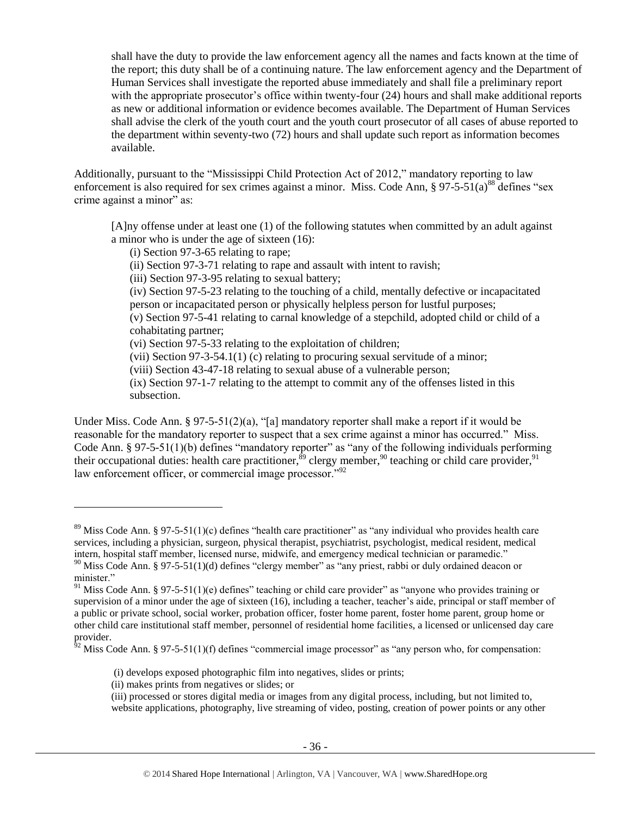shall have the duty to provide the law enforcement agency all the names and facts known at the time of the report; this duty shall be of a continuing nature. The law enforcement agency and the Department of Human Services shall investigate the reported abuse immediately and shall file a preliminary report with the appropriate prosecutor's office within twenty-four (24) hours and shall make additional reports as new or additional information or evidence becomes available. The Department of Human Services shall advise the clerk of the youth court and the youth court prosecutor of all cases of abuse reported to the department within seventy-two (72) hours and shall update such report as information becomes available.

Additionally, pursuant to the "Mississippi Child Protection Act of 2012," mandatory reporting to law enforcement is also required for sex crimes against a minor. Miss. Code Ann,  $\S 97-5-51(a)^{88}$  defines "sex crime against a minor" as:

[A]ny offense under at least one (1) of the following statutes when committed by an adult against a minor who is under the age of sixteen (16):

(i) Section 97-3-65 relating to rape;

(ii) Section 97-3-71 relating to rape and assault with intent to ravish;

(iii) Section 97-3-95 relating to sexual battery;

(iv) Section 97-5-23 relating to the touching of a child, mentally defective or incapacitated person or incapacitated person or physically helpless person for lustful purposes;

(v) Section 97-5-41 relating to carnal knowledge of a stepchild, adopted child or child of a cohabitating partner;

(vi) Section 97-5-33 relating to the exploitation of children;

(vii) Section 97-3-54.1(1) (c) relating to procuring sexual servitude of a minor;

(viii) Section 43-47-18 relating to sexual abuse of a vulnerable person;

(ix) Section 97-1-7 relating to the attempt to commit any of the offenses listed in this subsection.

Under Miss. Code Ann. § 97-5-51(2)(a), "[a] mandatory reporter shall make a report if it would be reasonable for the mandatory reporter to suspect that a sex crime against a minor has occurred." Miss. Code Ann. § 97-5-51(1)(b) defines "mandatory reporter" as "any of the following individuals performing their occupational duties: health care practitioner,  $\frac{89}{9}$  clergy member,  $\frac{90}{9}$  teaching or child care provider,  $\frac{91}{9}$ law enforcement officer, or commercial image processor."<sup>92</sup>

(ii) makes prints from negatives or slides; or

<sup>&</sup>lt;sup>89</sup> Miss Code Ann. § 97-5-51(1)(c) defines "health care practitioner" as "any individual who provides health care services, including a physician, surgeon, physical therapist, psychiatrist, psychologist, medical resident, medical intern, hospital staff member, licensed nurse, midwife, and emergency medical technician or paramedic."

 $90$  Miss Code Ann. § 97-5-51(1)(d) defines "clergy member" as "any priest, rabbi or duly ordained deacon or minister."

<sup>&</sup>lt;sup>91</sup> Miss Code Ann. § 97-5-51(1)(e) defines" teaching or child care provider" as "anyone who provides training or supervision of a minor under the age of sixteen (16), including a teacher, teacher's aide, principal or staff member of a public or private school, social worker, probation officer, foster home parent, foster home parent, group home or other child care institutional staff member, personnel of residential home facilities, a licensed or unlicensed day care provider.

 $^{62}$  Miss Code Ann. § 97-5-51(1)(f) defines "commercial image processor" as "any person who, for compensation:

<sup>(</sup>i) develops exposed photographic film into negatives, slides or prints;

<sup>(</sup>iii) processed or stores digital media or images from any digital process, including, but not limited to, website applications, photography, live streaming of video, posting, creation of power points or any other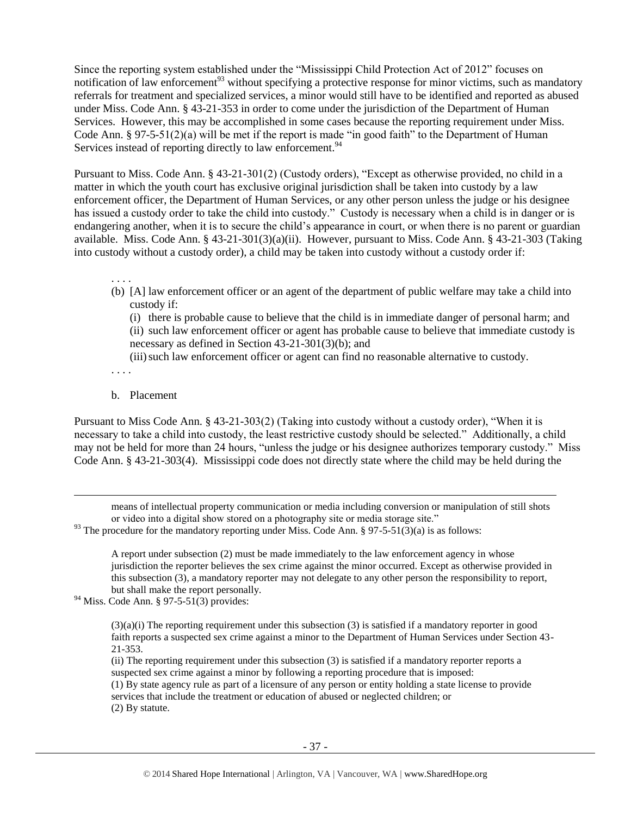Since the reporting system established under the "Mississippi Child Protection Act of 2012" focuses on notification of law enforcement<sup>93</sup> without specifying a protective response for minor victims, such as mandatory referrals for treatment and specialized services, a minor would still have to be identified and reported as abused under Miss. Code Ann. § 43-21-353 in order to come under the jurisdiction of the Department of Human Services. However, this may be accomplished in some cases because the reporting requirement under Miss. Code Ann. § 97-5-51(2)(a) will be met if the report is made "in good faith" to the Department of Human Services instead of reporting directly to law enforcement.<sup>94</sup>

Pursuant to Miss. Code Ann. § 43-21-301(2) (Custody orders), "Except as otherwise provided, no child in a matter in which the youth court has exclusive original jurisdiction shall be taken into custody by a law enforcement officer, the Department of Human Services, or any other person unless the judge or his designee has issued a custody order to take the child into custody." Custody is necessary when a child is in danger or is endangering another, when it is to secure the child's appearance in court, or when there is no parent or guardian available. Miss. Code Ann. § 43-21-301(3)(a)(ii). However, pursuant to Miss. Code Ann. § 43-21-303 (Taking into custody without a custody order), a child may be taken into custody without a custody order if:

. . . . (b) [A] law enforcement officer or an agent of the department of public welfare may take a child into custody if:

(i) there is probable cause to believe that the child is in immediate danger of personal harm; and (ii) such law enforcement officer or agent has probable cause to believe that immediate custody is necessary as defined in Section 43-21-301(3)(b); and

(iii)such law enforcement officer or agent can find no reasonable alternative to custody.

. . . .

l

#### b. Placement

Pursuant to Miss Code Ann. § 43-21-303(2) (Taking into custody without a custody order), "When it is necessary to take a child into custody, the least restrictive custody should be selected." Additionally, a child may not be held for more than 24 hours, "unless the judge or his designee authorizes temporary custody." Miss Code Ann. § 43-21-303(4). Mississippi code does not directly state where the child may be held during the

means of intellectual property communication or media including conversion or manipulation of still shots or video into a digital show stored on a photography site or media storage site."

 $93$  The procedure for the mandatory reporting under Miss. Code Ann. § 97-5-51(3)(a) is as follows:

A report under subsection (2) must be made immediately to the law enforcement agency in whose jurisdiction the reporter believes the sex crime against the minor occurred. Except as otherwise provided in this subsection (3), a mandatory reporter may not delegate to any other person the responsibility to report, but shall make the report personally.

 $94$  Miss. Code Ann. § 97-5-51(3) provides:

 $(3)(a)(i)$  The reporting requirement under this subsection  $(3)$  is satisfied if a mandatory reporter in good faith reports a suspected sex crime against a minor to the Department of Human Services under Section 43- 21-353.

(ii) The reporting requirement under this subsection (3) is satisfied if a mandatory reporter reports a suspected sex crime against a minor by following a reporting procedure that is imposed: (1) By state agency rule as part of a licensure of any person or entity holding a state license to provide services that include the treatment or education of abused or neglected children; or (2) By statute.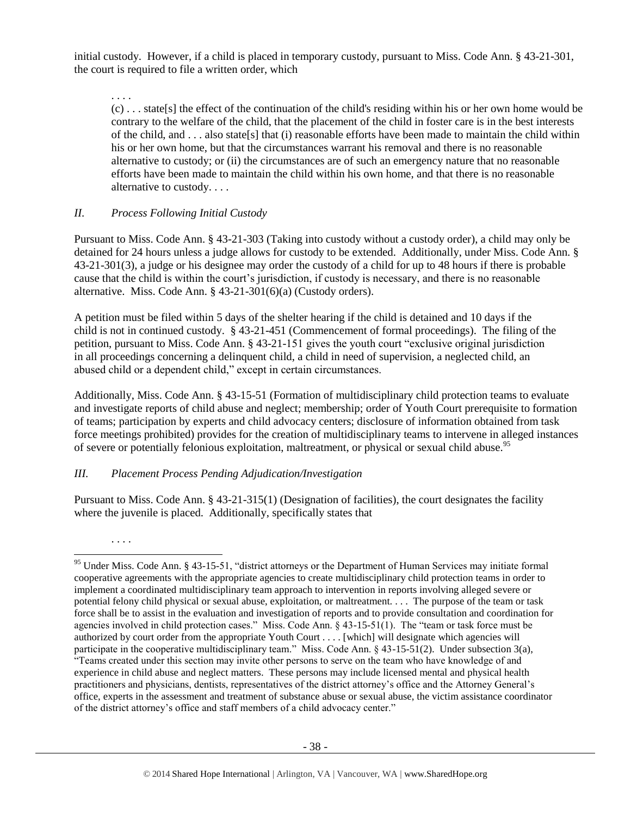initial custody. However, if a child is placed in temporary custody, pursuant to Miss. Code Ann. § 43-21-301, the court is required to file a written order, which

. . . .

. . . .

 $\overline{a}$ 

(c) . . . state[s] the effect of the continuation of the child's residing within his or her own home would be contrary to the welfare of the child, that the placement of the child in foster care is in the best interests of the child, and . . . also state[s] that (i) reasonable efforts have been made to maintain the child within his or her own home, but that the circumstances warrant his removal and there is no reasonable alternative to custody; or (ii) the circumstances are of such an emergency nature that no reasonable efforts have been made to maintain the child within his own home, and that there is no reasonable alternative to custody. . . .

## *II. Process Following Initial Custody*

Pursuant to Miss. Code Ann. § 43-21-303 (Taking into custody without a custody order), a child may only be detained for 24 hours unless a judge allows for custody to be extended. Additionally, under Miss. Code Ann. § 43-21-301(3), a judge or his designee may order the custody of a child for up to 48 hours if there is probable cause that the child is within the court's jurisdiction, if custody is necessary, and there is no reasonable alternative. Miss. Code Ann. § 43-21-301(6)(a) (Custody orders).

A petition must be filed within 5 days of the shelter hearing if the child is detained and 10 days if the child is not in continued custody. § 43-21-451 (Commencement of formal proceedings). The filing of the petition, pursuant to Miss. Code Ann. § 43-21-151 gives the youth court "exclusive original jurisdiction in all proceedings concerning a delinquent child, a child in need of supervision, a neglected child, an abused child or a dependent child," except in certain circumstances.

Additionally, Miss. Code Ann. § 43-15-51 (Formation of multidisciplinary child protection teams to evaluate and investigate reports of child abuse and neglect; membership; order of Youth Court prerequisite to formation of teams; participation by experts and child advocacy centers; disclosure of information obtained from task force meetings prohibited) provides for the creation of multidisciplinary teams to intervene in alleged instances of severe or potentially felonious exploitation, maltreatment, or physical or sexual child abuse.<sup>95</sup>

# *III. Placement Process Pending Adjudication/Investigation*

Pursuant to Miss. Code Ann. § 43-21-315(1) (Designation of facilities), the court designates the facility where the juvenile is placed. Additionally, specifically states that

<sup>&</sup>lt;sup>95</sup> Under Miss. Code Ann. § 43-15-51, "district attorneys or the Department of Human Services may initiate formal cooperative agreements with the appropriate agencies to create multidisciplinary child protection teams in order to implement a coordinated multidisciplinary team approach to intervention in reports involving alleged severe or potential felony child physical or sexual abuse, exploitation, or maltreatment. . . . The purpose of the team or task force shall be to assist in the evaluation and investigation of reports and to provide consultation and coordination for agencies involved in child protection cases." Miss. Code Ann. § 43-15-51(1). The "team or task force must be authorized by court order from the appropriate Youth Court . . . . [which] will designate which agencies will participate in the cooperative multidisciplinary team." Miss. Code Ann. § 43-15-51(2). Under subsection 3(a), "Teams created under this section may invite other persons to serve on the team who have knowledge of and experience in child abuse and neglect matters. These persons may include licensed mental and physical health practitioners and physicians, dentists, representatives of the district attorney's office and the Attorney General's office, experts in the assessment and treatment of substance abuse or sexual abuse, the victim assistance coordinator of the district attorney's office and staff members of a child advocacy center."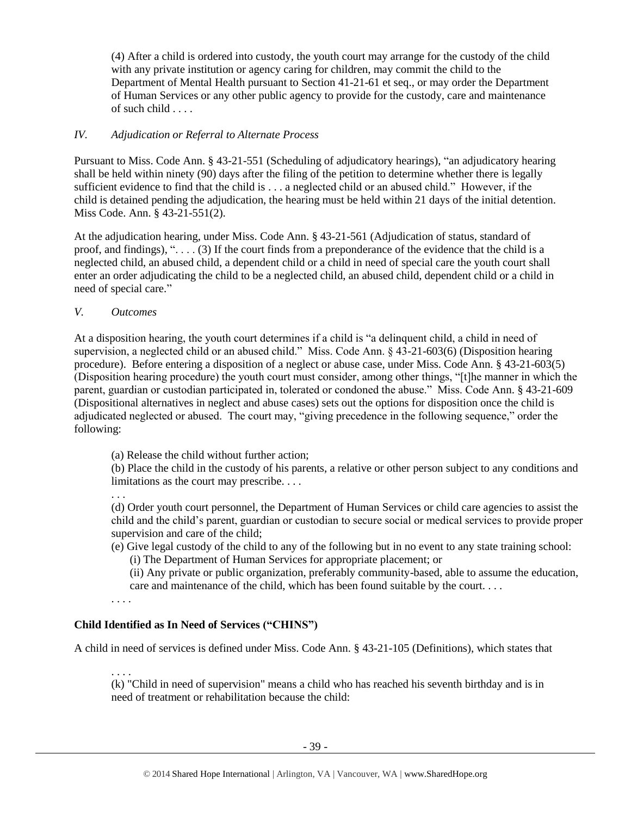(4) After a child is ordered into custody, the youth court may arrange for the custody of the child with any private institution or agency caring for children, may commit the child to the Department of Mental Health pursuant to Section 41-21-61 et seq., or may order the Department of Human Services or any other public agency to provide for the custody, care and maintenance of such child . . . .

## *IV. Adjudication or Referral to Alternate Process*

Pursuant to Miss. Code Ann. § 43-21-551 (Scheduling of adjudicatory hearings), "an adjudicatory hearing shall be held within ninety (90) days after the filing of the petition to determine whether there is legally sufficient evidence to find that the child is . . . a neglected child or an abused child." However, if the child is detained pending the adjudication, the hearing must be held within 21 days of the initial detention. Miss Code. Ann. § 43-21-551(2).

At the adjudication hearing, under Miss. Code Ann. § 43-21-561 (Adjudication of status, standard of proof, and findings), ". . . . (3) If the court finds from a preponderance of the evidence that the child is a neglected child, an abused child, a dependent child or a child in need of special care the youth court shall enter an order adjudicating the child to be a neglected child, an abused child, dependent child or a child in need of special care."

*V. Outcomes*

At a disposition hearing, the youth court determines if a child is "a delinquent child, a child in need of supervision, a neglected child or an abused child." Miss. Code Ann. § 43-21-603(6) (Disposition hearing procedure). Before entering a disposition of a neglect or abuse case, under Miss. Code Ann. § 43-21-603(5) (Disposition hearing procedure) the youth court must consider, among other things, "[t]he manner in which the parent, guardian or custodian participated in, tolerated or condoned the abuse." Miss. Code Ann. § 43-21-609 (Dispositional alternatives in neglect and abuse cases) sets out the options for disposition once the child is adjudicated neglected or abused. The court may, "giving precedence in the following sequence," order the following:

(a) Release the child without further action;

(b) Place the child in the custody of his parents, a relative or other person subject to any conditions and limitations as the court may prescribe. . . .

. . .

(d) Order youth court personnel, the Department of Human Services or child care agencies to assist the child and the child's parent, guardian or custodian to secure social or medical services to provide proper supervision and care of the child;

(e) Give legal custody of the child to any of the following but in no event to any state training school: (i) The Department of Human Services for appropriate placement; or

(ii) Any private or public organization, preferably community-based, able to assume the education, care and maintenance of the child, which has been found suitable by the court. . . .

. . . .

## **Child Identified as In Need of Services ("CHINS")**

A child in need of services is defined under Miss. Code Ann. § 43-21-105 (Definitions), which states that

. . . . (k) "Child in need of supervision" means a child who has reached his seventh birthday and is in need of treatment or rehabilitation because the child: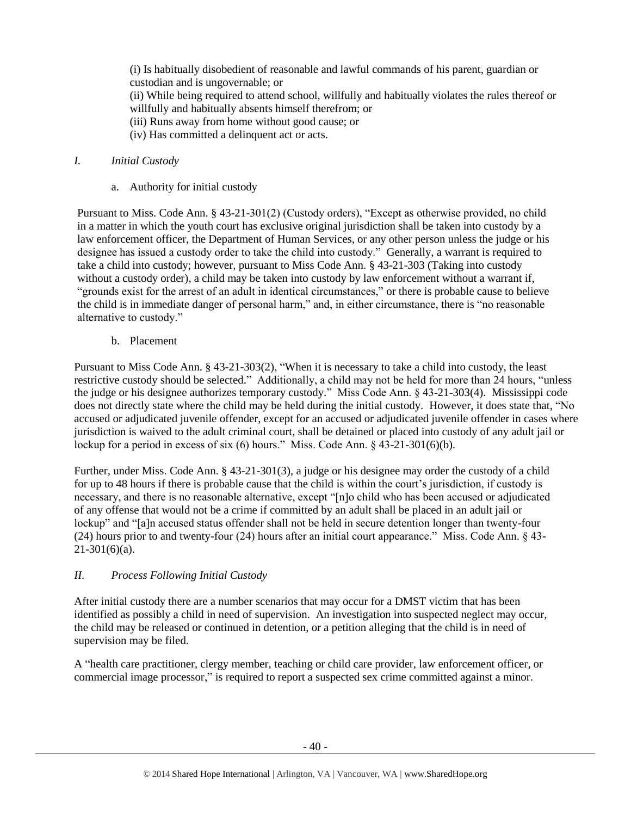(i) Is habitually disobedient of reasonable and lawful commands of his parent, guardian or custodian and is ungovernable; or (ii) While being required to attend school, willfully and habitually violates the rules thereof or willfully and habitually absents himself therefrom; or (iii) Runs away from home without good cause; or (iv) Has committed a delinquent act or acts.

### *I. Initial Custody*

a. Authority for initial custody

Pursuant to Miss. Code Ann. § 43-21-301(2) (Custody orders), "Except as otherwise provided, no child in a matter in which the youth court has exclusive original jurisdiction shall be taken into custody by a law enforcement officer, the Department of Human Services, or any other person unless the judge or his designee has issued a custody order to take the child into custody." Generally, a warrant is required to take a child into custody; however, pursuant to Miss Code Ann. § 43-21-303 (Taking into custody without a custody order), a child may be taken into custody by law enforcement without a warrant if, "grounds exist for the arrest of an adult in identical circumstances," or there is probable cause to believe the child is in immediate danger of personal harm," and, in either circumstance, there is "no reasonable alternative to custody."

b. Placement

Pursuant to Miss Code Ann. § 43-21-303(2), "When it is necessary to take a child into custody, the least restrictive custody should be selected." Additionally, a child may not be held for more than 24 hours, "unless the judge or his designee authorizes temporary custody." Miss Code Ann. § 43-21-303(4). Mississippi code does not directly state where the child may be held during the initial custody. However, it does state that, "No accused or adjudicated juvenile offender, except for an accused or adjudicated juvenile offender in cases where jurisdiction is waived to the adult criminal court, shall be detained or placed into custody of any adult jail or lockup for a period in excess of six (6) hours." Miss. Code Ann. § 43-21-301(6)(b).

Further, under Miss. Code Ann. § 43-21-301(3), a judge or his designee may order the custody of a child for up to 48 hours if there is probable cause that the child is within the court's jurisdiction, if custody is necessary, and there is no reasonable alternative, except "[n]o child who has been accused or adjudicated of any offense that would not be a crime if committed by an adult shall be placed in an adult jail or lockup" and "[a]n accused status offender shall not be held in secure detention longer than twenty-four (24) hours prior to and twenty-four (24) hours after an initial court appearance." Miss. Code Ann. § 43-  $21-301(6)(a)$ .

## *II. Process Following Initial Custody*

After initial custody there are a number scenarios that may occur for a DMST victim that has been identified as possibly a child in need of supervision. An investigation into suspected neglect may occur, the child may be released or continued in detention, or a petition alleging that the child is in need of supervision may be filed.

A "health care practitioner, clergy member, teaching or child care provider, law enforcement officer, or commercial image processor," is required to report a suspected sex crime committed against a minor.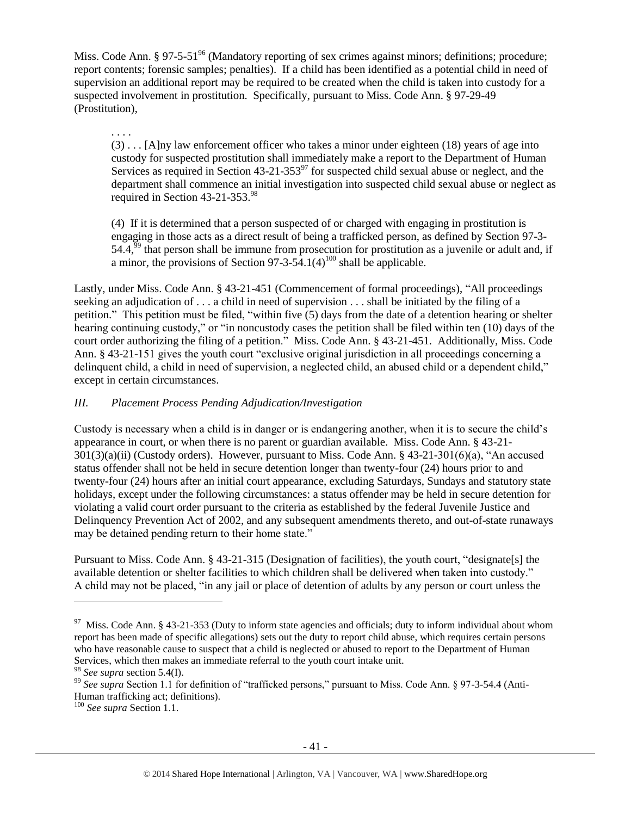Miss. Code Ann. § 97-5-51<sup>96</sup> (Mandatory reporting of sex crimes against minors; definitions; procedure; report contents; forensic samples; penalties). If a child has been identified as a potential child in need of supervision an additional report may be required to be created when the child is taken into custody for a suspected involvement in prostitution. Specifically, pursuant to Miss. Code Ann. § 97-29-49 (Prostitution),

. . . . (3) . . . [A]ny law enforcement officer who takes a minor under eighteen (18) years of age into custody for suspected prostitution shall immediately make a report to the Department of Human Services as required in Section 43-21-353 $^{97}$  for suspected child sexual abuse or neglect, and the department shall commence an initial investigation into suspected child sexual abuse or neglect as required in Section 43-21-353. 98

(4) If it is determined that a person suspected of or charged with engaging in prostitution is engaging in those acts as a direct result of being a trafficked person, as defined by Section 97-3-  $54.4<sup>59</sup>$  that person shall be immune from prosecution for prostitution as a juvenile or adult and, if a minor, the provisions of Section  $97-3-54.1(4)^{100}$  shall be applicable.

Lastly, under Miss. Code Ann. § 43-21-451 (Commencement of formal proceedings), "All proceedings seeking an adjudication of . . . a child in need of supervision . . . shall be initiated by the filing of a petition." This petition must be filed, "within five (5) days from the date of a detention hearing or shelter hearing continuing custody," or "in noncustody cases the petition shall be filed within ten (10) days of the court order authorizing the filing of a petition." Miss. Code Ann. § 43-21-451. Additionally, Miss. Code Ann. § 43-21-151 gives the youth court "exclusive original jurisdiction in all proceedings concerning a delinquent child, a child in need of supervision, a neglected child, an abused child or a dependent child," except in certain circumstances.

## *III. Placement Process Pending Adjudication/Investigation*

Custody is necessary when a child is in danger or is endangering another, when it is to secure the child's appearance in court, or when there is no parent or guardian available. Miss. Code Ann. § 43-21-  $301(3)(a)(ii)$  (Custody orders). However, pursuant to Miss. Code Ann. § 43-21-301(6)(a), "An accused status offender shall not be held in secure detention longer than twenty-four (24) hours prior to and twenty-four (24) hours after an initial court appearance, excluding Saturdays, Sundays and statutory state holidays, except under the following circumstances: a status offender may be held in secure detention for violating a valid court order pursuant to the criteria as established by the federal Juvenile Justice and Delinquency Prevention Act of 2002, and any subsequent amendments thereto, and out-of-state runaways may be detained pending return to their home state."

Pursuant to Miss. Code Ann. § 43-21-315 (Designation of facilities), the youth court, "designate[s] the available detention or shelter facilities to which children shall be delivered when taken into custody." A child may not be placed, "in any jail or place of detention of adults by any person or court unless the

<sup>&</sup>lt;sup>97</sup> Miss. Code Ann. § 43-21-353 (Duty to inform state agencies and officials; duty to inform individual about whom report has been made of specific allegations) sets out the duty to report child abuse, which requires certain persons who have reasonable cause to suspect that a child is neglected or abused to report to the Department of Human Services, which then makes an immediate referral to the youth court intake unit.

<sup>98</sup> *See supra* section 5.4(I).

<sup>&</sup>lt;sup>99</sup> See supra Section 1.1 for definition of "trafficked persons," pursuant to Miss. Code Ann. § 97-3-54.4 (Anti-Human trafficking act; definitions).

<sup>100</sup> *See supra* Section 1.1.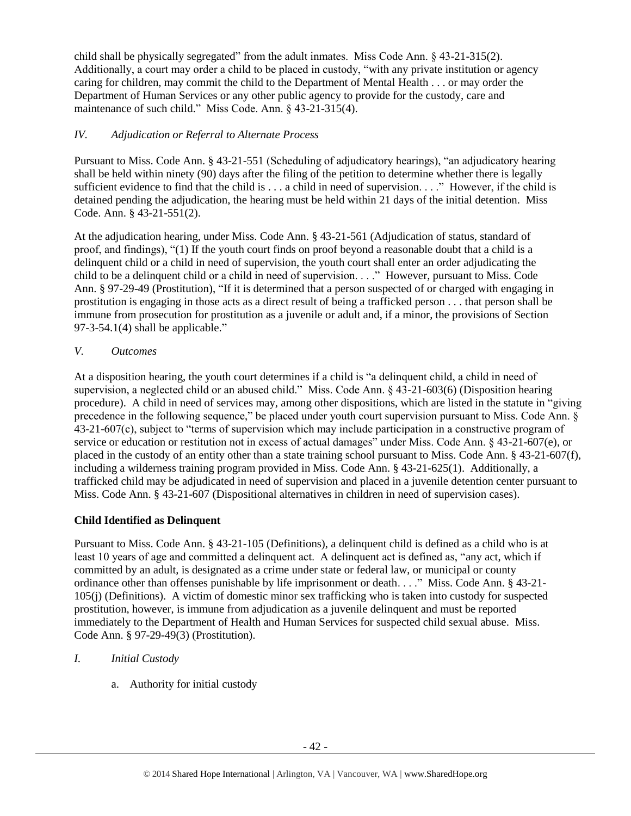child shall be physically segregated" from the adult inmates. Miss Code Ann. § 43-21-315(2). Additionally, a court may order a child to be placed in custody, "with any private institution or agency caring for children, may commit the child to the Department of Mental Health . . . or may order the Department of Human Services or any other public agency to provide for the custody, care and maintenance of such child." Miss Code. Ann. § 43-21-315(4).

## *IV. Adjudication or Referral to Alternate Process*

Pursuant to Miss. Code Ann. § 43-21-551 (Scheduling of adjudicatory hearings), "an adjudicatory hearing shall be held within ninety (90) days after the filing of the petition to determine whether there is legally sufficient evidence to find that the child is . . . a child in need of supervision. . . ." However, if the child is detained pending the adjudication, the hearing must be held within 21 days of the initial detention. Miss Code. Ann. § 43-21-551(2).

At the adjudication hearing, under Miss. Code Ann. § 43-21-561 (Adjudication of status, standard of proof, and findings), "(1) If the youth court finds on proof beyond a reasonable doubt that a child is a delinquent child or a child in need of supervision, the youth court shall enter an order adjudicating the child to be a delinquent child or a child in need of supervision. . . ." However, pursuant to Miss. Code Ann. § 97-29-49 (Prostitution), "If it is determined that a person suspected of or charged with engaging in prostitution is engaging in those acts as a direct result of being a trafficked person . . . that person shall be immune from prosecution for prostitution as a juvenile or adult and, if a minor, the provisions of Section  $97-3-54.1(4)$  shall be applicable."

*V. Outcomes*

At a disposition hearing, the youth court determines if a child is "a delinquent child, a child in need of supervision, a neglected child or an abused child." Miss. Code Ann. § 43-21-603(6) (Disposition hearing procedure). A child in need of services may, among other dispositions, which are listed in the statute in "giving precedence in the following sequence," be placed under youth court supervision pursuant to Miss. Code Ann. § 43-21-607(c), subject to "terms of supervision which may include participation in a constructive program of service or education or restitution not in excess of actual damages" under Miss. Code Ann. § 43-21-607(e), or placed in the custody of an entity other than a state training school pursuant to Miss. Code Ann. § 43-21-607(f), including a wilderness training program provided in Miss. Code Ann. § 43-21-625(1). Additionally, a trafficked child may be adjudicated in need of supervision and placed in a juvenile detention center pursuant to Miss. Code Ann. § 43-21-607 (Dispositional alternatives in children in need of supervision cases).

# **Child Identified as Delinquent**

Pursuant to Miss. Code Ann. § 43-21-105 (Definitions), a delinquent child is defined as a child who is at least 10 years of age and committed a delinquent act. A delinquent act is defined as, "any act, which if committed by an adult, is designated as a crime under state or federal law, or municipal or county ordinance other than offenses punishable by life imprisonment or death. . . ." Miss. Code Ann. § 43-21- 105(j) (Definitions). A victim of domestic minor sex trafficking who is taken into custody for suspected prostitution, however, is immune from adjudication as a juvenile delinquent and must be reported immediately to the Department of Health and Human Services for suspected child sexual abuse. Miss. Code Ann. § 97-29-49(3) (Prostitution).

- *I. Initial Custody*
	- a. Authority for initial custody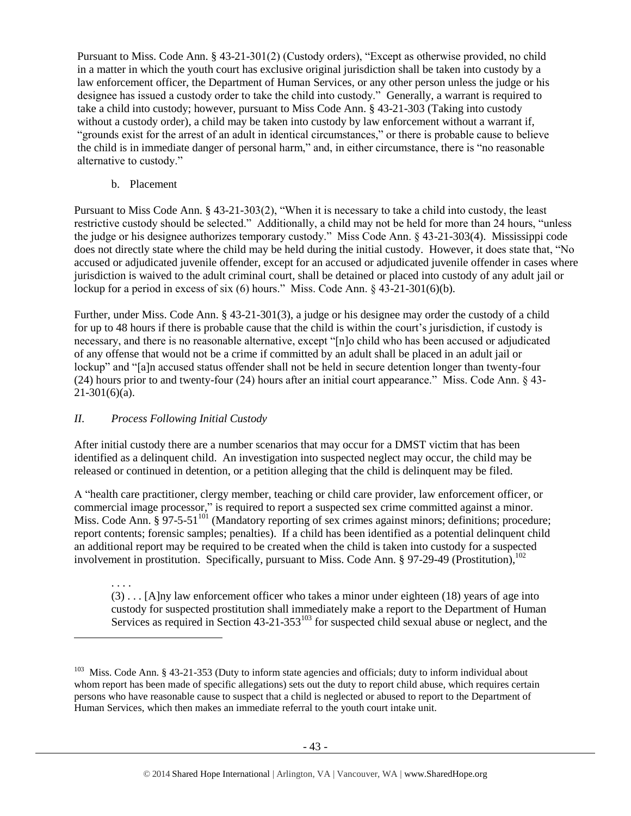Pursuant to Miss. Code Ann. § 43-21-301(2) (Custody orders), "Except as otherwise provided, no child in a matter in which the youth court has exclusive original jurisdiction shall be taken into custody by a law enforcement officer, the Department of Human Services, or any other person unless the judge or his designee has issued a custody order to take the child into custody." Generally, a warrant is required to take a child into custody; however, pursuant to Miss Code Ann. § 43-21-303 (Taking into custody without a custody order), a child may be taken into custody by law enforcement without a warrant if, "grounds exist for the arrest of an adult in identical circumstances," or there is probable cause to believe the child is in immediate danger of personal harm," and, in either circumstance, there is "no reasonable alternative to custody."

b. Placement

Pursuant to Miss Code Ann. § 43-21-303(2), "When it is necessary to take a child into custody, the least restrictive custody should be selected." Additionally, a child may not be held for more than 24 hours, "unless the judge or his designee authorizes temporary custody." Miss Code Ann. § 43-21-303(4). Mississippi code does not directly state where the child may be held during the initial custody. However, it does state that, "No accused or adjudicated juvenile offender, except for an accused or adjudicated juvenile offender in cases where jurisdiction is waived to the adult criminal court, shall be detained or placed into custody of any adult jail or lockup for a period in excess of six (6) hours." Miss. Code Ann. § 43-21-301(6)(b).

Further, under Miss. Code Ann. § 43-21-301(3), a judge or his designee may order the custody of a child for up to 48 hours if there is probable cause that the child is within the court's jurisdiction, if custody is necessary, and there is no reasonable alternative, except "[n]o child who has been accused or adjudicated of any offense that would not be a crime if committed by an adult shall be placed in an adult jail or lockup" and "[a]n accused status offender shall not be held in secure detention longer than twenty-four (24) hours prior to and twenty-four (24) hours after an initial court appearance." Miss. Code Ann. § 43-  $21-301(6)(a)$ .

## *II. Process Following Initial Custody*

l

After initial custody there are a number scenarios that may occur for a DMST victim that has been identified as a delinquent child. An investigation into suspected neglect may occur, the child may be released or continued in detention, or a petition alleging that the child is delinquent may be filed.

A "health care practitioner, clergy member, teaching or child care provider, law enforcement officer, or commercial image processor," is required to report a suspected sex crime committed against a minor. Miss. Code Ann. § 97-5-51<sup>101</sup> (Mandatory reporting of sex crimes against minors; definitions; procedure; report contents; forensic samples; penalties). If a child has been identified as a potential delinquent child an additional report may be required to be created when the child is taken into custody for a suspected involvement in prostitution. Specifically, pursuant to Miss. Code Ann. § 97-29-49 (Prostitution), 102

. . . . (3) . . . [A]ny law enforcement officer who takes a minor under eighteen (18) years of age into custody for suspected prostitution shall immediately make a report to the Department of Human Services as required in Section 43-21-353<sup>103</sup> for suspected child sexual abuse or neglect, and the

<sup>&</sup>lt;sup>103</sup> Miss. Code Ann. § 43-21-353 (Duty to inform state agencies and officials; duty to inform individual about whom report has been made of specific allegations) sets out the duty to report child abuse, which requires certain persons who have reasonable cause to suspect that a child is neglected or abused to report to the Department of Human Services, which then makes an immediate referral to the youth court intake unit.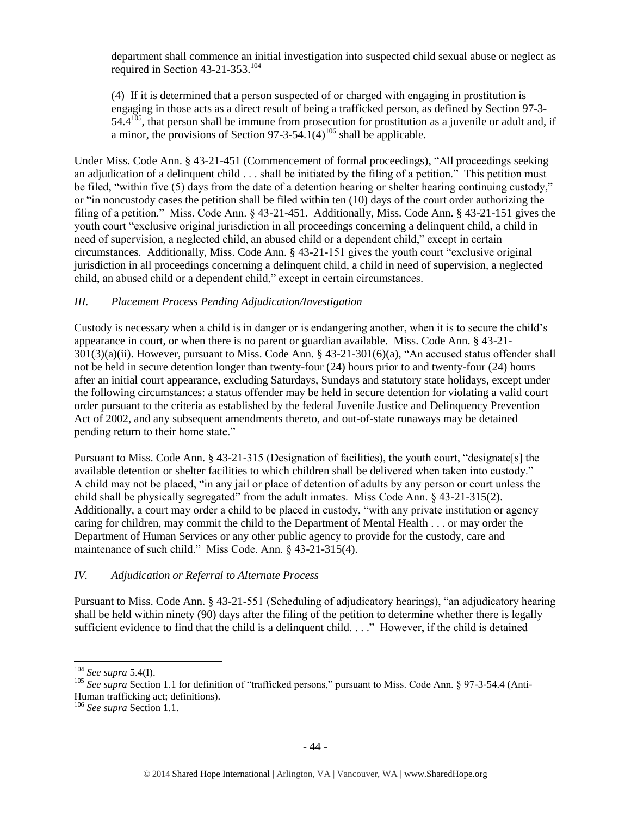department shall commence an initial investigation into suspected child sexual abuse or neglect as required in Section 43-21-353. 104

(4) If it is determined that a person suspected of or charged with engaging in prostitution is engaging in those acts as a direct result of being a trafficked person, as defined by Section 97-3-  $54.4^{105}$ , that person shall be immune from prosecution for prostitution as a juvenile or adult and, if a minor, the provisions of Section  $97-3-54.1(4)^{106}$  shall be applicable.

Under Miss. Code Ann. § 43-21-451 (Commencement of formal proceedings), "All proceedings seeking an adjudication of a delinquent child . . . shall be initiated by the filing of a petition." This petition must be filed, "within five (5) days from the date of a detention hearing or shelter hearing continuing custody," or "in noncustody cases the petition shall be filed within ten (10) days of the court order authorizing the filing of a petition." Miss. Code Ann. § 43-21-451. Additionally, Miss. Code Ann. § 43-21-151 gives the youth court "exclusive original jurisdiction in all proceedings concerning a delinquent child, a child in need of supervision, a neglected child, an abused child or a dependent child," except in certain circumstances. Additionally, Miss. Code Ann. § 43-21-151 gives the youth court "exclusive original jurisdiction in all proceedings concerning a delinquent child, a child in need of supervision, a neglected child, an abused child or a dependent child," except in certain circumstances.

## *III. Placement Process Pending Adjudication/Investigation*

Custody is necessary when a child is in danger or is endangering another, when it is to secure the child's appearance in court, or when there is no parent or guardian available. Miss. Code Ann. § 43-21- 301(3)(a)(ii). However, pursuant to Miss. Code Ann. § 43-21-301(6)(a), "An accused status offender shall not be held in secure detention longer than twenty-four (24) hours prior to and twenty-four (24) hours after an initial court appearance, excluding Saturdays, Sundays and statutory state holidays, except under the following circumstances: a status offender may be held in secure detention for violating a valid court order pursuant to the criteria as established by the federal Juvenile Justice and Delinquency Prevention Act of 2002, and any subsequent amendments thereto, and out-of-state runaways may be detained pending return to their home state."

Pursuant to Miss. Code Ann. § 43-21-315 (Designation of facilities), the youth court, "designate[s] the available detention or shelter facilities to which children shall be delivered when taken into custody." A child may not be placed, "in any jail or place of detention of adults by any person or court unless the child shall be physically segregated" from the adult inmates. Miss Code Ann. § 43-21-315(2). Additionally, a court may order a child to be placed in custody, "with any private institution or agency caring for children, may commit the child to the Department of Mental Health . . . or may order the Department of Human Services or any other public agency to provide for the custody, care and maintenance of such child." Miss Code. Ann. § 43-21-315(4).

## *IV. Adjudication or Referral to Alternate Process*

Pursuant to Miss. Code Ann. § 43-21-551 (Scheduling of adjudicatory hearings), "an adjudicatory hearing shall be held within ninety (90) days after the filing of the petition to determine whether there is legally sufficient evidence to find that the child is a delinquent child. . . ." However, if the child is detained

 $\overline{a}$ 

<sup>104</sup> *See supra* 5.4(I).

<sup>&</sup>lt;sup>105</sup> See supra Section 1.1 for definition of "trafficked persons," pursuant to Miss. Code Ann. § 97-3-54.4 (Anti-Human trafficking act; definitions).

<sup>106</sup> *See supra* Section 1.1.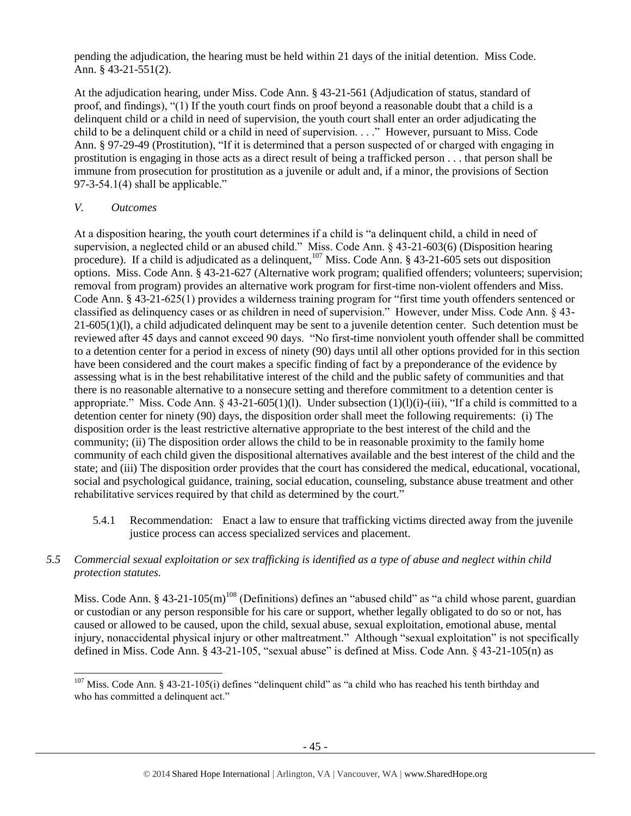pending the adjudication, the hearing must be held within 21 days of the initial detention. Miss Code. Ann. § 43-21-551(2).

At the adjudication hearing, under Miss. Code Ann. § 43-21-561 (Adjudication of status, standard of proof, and findings), "(1) If the youth court finds on proof beyond a reasonable doubt that a child is a delinquent child or a child in need of supervision, the youth court shall enter an order adjudicating the child to be a delinquent child or a child in need of supervision. . . ." However, pursuant to Miss. Code Ann. § 97-29-49 (Prostitution), "If it is determined that a person suspected of or charged with engaging in prostitution is engaging in those acts as a direct result of being a trafficked person . . . that person shall be immune from prosecution for prostitution as a juvenile or adult and, if a minor, the provisions of Section  $97-3-54.1(4)$  shall be applicable."

#### *V. Outcomes*

l

At a disposition hearing, the youth court determines if a child is "a delinquent child, a child in need of supervision, a neglected child or an abused child." Miss. Code Ann. § 43-21-603(6) (Disposition hearing procedure). If a child is adjudicated as a delinquent, $107$  Miss. Code Ann. § 43-21-605 sets out disposition options. Miss. Code Ann. § 43-21-627 (Alternative work program; qualified offenders; volunteers; supervision; removal from program) provides an alternative work program for first-time non-violent offenders and Miss. Code Ann. § 43-21-625(1) provides a wilderness training program for "first time youth offenders sentenced or classified as delinquency cases or as children in need of supervision." However, under Miss. Code Ann. § 43- 21-605(1)(l), a child adjudicated delinquent may be sent to a juvenile detention center. Such detention must be reviewed after 45 days and cannot exceed 90 days. "No first-time nonviolent youth offender shall be committed to a detention center for a period in excess of ninety (90) days until all other options provided for in this section have been considered and the court makes a specific finding of fact by a preponderance of the evidence by assessing what is in the best rehabilitative interest of the child and the public safety of communities and that there is no reasonable alternative to a nonsecure setting and therefore commitment to a detention center is appropriate." Miss. Code Ann. § 43-21-605(1)(l). Under subsection  $(1)(1)(i)$ -(iii), "If a child is committed to a detention center for ninety (90) days, the disposition order shall meet the following requirements: (i) The disposition order is the least restrictive alternative appropriate to the best interest of the child and the community; (ii) The disposition order allows the child to be in reasonable proximity to the family home community of each child given the dispositional alternatives available and the best interest of the child and the state; and (iii) The disposition order provides that the court has considered the medical, educational, vocational, social and psychological guidance, training, social education, counseling, substance abuse treatment and other rehabilitative services required by that child as determined by the court."

5.4.1 Recommendation: Enact a law to ensure that trafficking victims directed away from the juvenile justice process can access specialized services and placement.

## *5.5 Commercial sexual exploitation or sex trafficking is identified as a type of abuse and neglect within child protection statutes.*

Miss. Code Ann. § 43-21-105(m)<sup>108</sup> (Definitions) defines an "abused child" as "a child whose parent, guardian or custodian or any person responsible for his care or support, whether legally obligated to do so or not, has caused or allowed to be caused, upon the child, sexual abuse, sexual exploitation, emotional abuse, mental injury, nonaccidental physical injury or other maltreatment." Although "sexual exploitation" is not specifically defined in Miss. Code Ann. § 43-21-105, "sexual abuse" is defined at Miss. Code Ann. § 43-21-105(n) as

 $107$  Miss. Code Ann. § 43-21-105(i) defines "delinquent child" as "a child who has reached his tenth birthday and who has committed a delinquent act."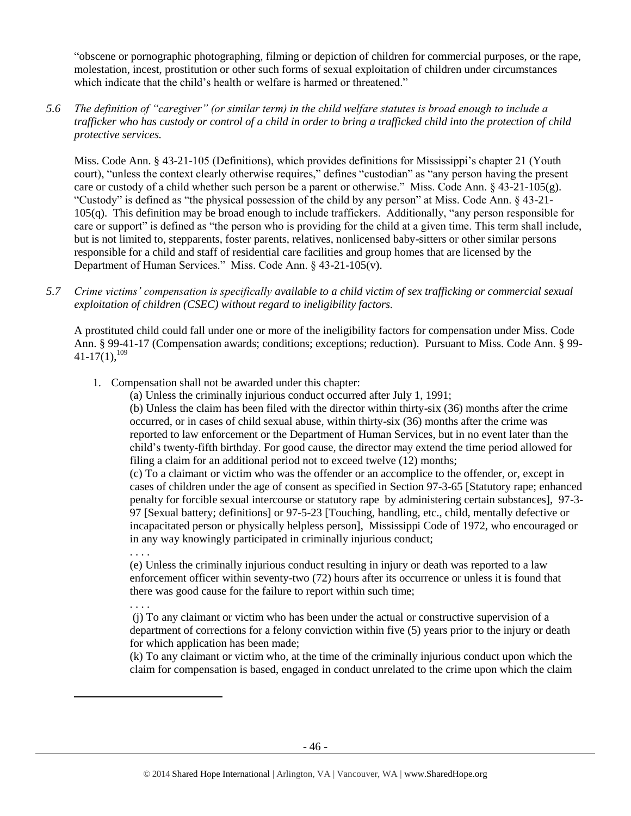"obscene or pornographic photographing, filming or depiction of children for commercial purposes, or the rape, molestation, incest, prostitution or other such forms of sexual exploitation of children under circumstances which indicate that the child's health or welfare is harmed or threatened."

#### *5.6 The definition of "caregiver" (or similar term) in the child welfare statutes is broad enough to include a trafficker who has custody or control of a child in order to bring a trafficked child into the protection of child protective services.*

Miss. Code Ann. § 43-21-105 (Definitions), which provides definitions for Mississippi's chapter 21 (Youth court), "unless the context clearly otherwise requires," defines "custodian" as "any person having the present care or custody of a child whether such person be a parent or otherwise." Miss. Code Ann. § 43-21-105(g). "Custody" is defined as "the physical possession of the child by any person" at Miss. Code Ann. § 43-21- 105(q). This definition may be broad enough to include traffickers. Additionally, "any person responsible for care or support" is defined as "the person who is providing for the child at a given time. This term shall include, but is not limited to, stepparents, foster parents, relatives, nonlicensed baby-sitters or other similar persons responsible for a child and staff of residential care facilities and group homes that are licensed by the Department of Human Services." Miss. Code Ann. § 43-21-105(v).

*5.7 Crime victims' compensation is specifically available to a child victim of sex trafficking or commercial sexual exploitation of children (CSEC) without regard to ineligibility factors.*

A prostituted child could fall under one or more of the ineligibility factors for compensation under Miss. Code Ann. § 99-41-17 (Compensation awards; conditions; exceptions; reduction). Pursuant to Miss. Code Ann. § 99-  $41-17(1)$ ,  $^{109}$ 

- <span id="page-45-0"></span>1. Compensation shall not be awarded under this chapter:
	- (a) Unless the criminally injurious conduct occurred after July 1, 1991;

(b) Unless the claim has been filed with the director within thirty-six (36) months after the crime occurred, or in cases of child sexual abuse, within thirty-six (36) months after the crime was reported to law enforcement or the Department of Human Services, but in no event later than the child's twenty-fifth birthday. For good cause, the director may extend the time period allowed for filing a claim for an additional period not to exceed twelve (12) months;

(c) To a claimant or victim who was the offender or an accomplice to the offender, or, except in cases of children under the age of consent as specified in Section 97-3-65 [Statutory rape; enhanced penalty for forcible sexual intercourse or statutory rape by administering certain substances], 97-3- 97 [Sexual battery; definitions] or 97-5-23 [Touching, handling, etc., child, mentally defective or incapacitated person or physically helpless person], Mississippi Code of 1972, who encouraged or in any way knowingly participated in criminally injurious conduct;

. . . .

(e) Unless the criminally injurious conduct resulting in injury or death was reported to a law enforcement officer within seventy-two (72) hours after its occurrence or unless it is found that there was good cause for the failure to report within such time;

. . . .

 $\overline{a}$ 

(j) To any claimant or victim who has been under the actual or constructive supervision of a department of corrections for a felony conviction within five (5) years prior to the injury or death for which application has been made;

(k) To any claimant or victim who, at the time of the criminally injurious conduct upon which the claim for compensation is based, engaged in conduct unrelated to the crime upon which the claim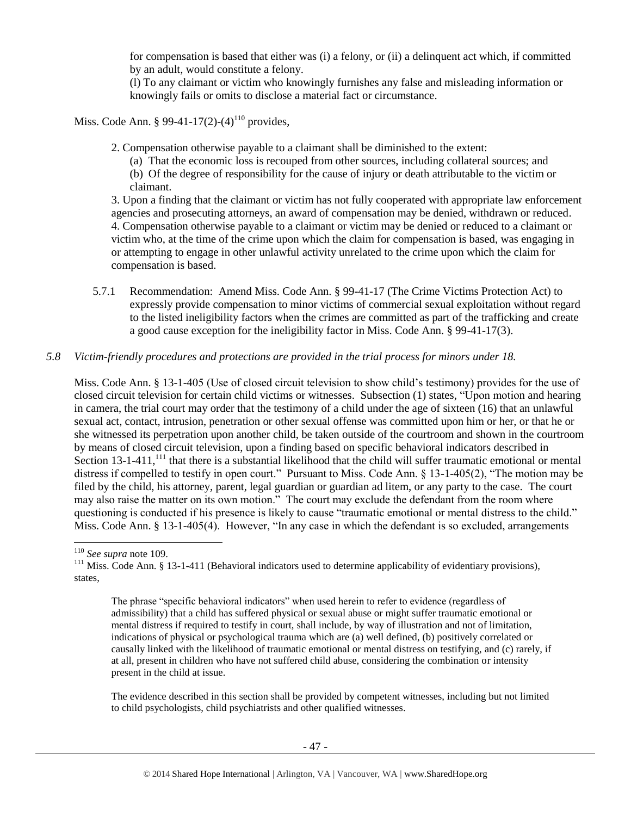for compensation is based that either was (i) a felony, or (ii) a delinquent act which, if committed by an adult, would constitute a felony.

(l) To any claimant or victim who knowingly furnishes any false and misleading information or knowingly fails or omits to disclose a material fact or circumstance.

Miss. Code Ann. § 99-41-17(2)-(4)<sup>110</sup> provides.

2. Compensation otherwise payable to a claimant shall be diminished to the extent:

(a) That the economic loss is recouped from other sources, including collateral sources; and

(b) Of the degree of responsibility for the cause of injury or death attributable to the victim or claimant.

3. Upon a finding that the claimant or victim has not fully cooperated with appropriate law enforcement agencies and prosecuting attorneys, an award of compensation may be denied, withdrawn or reduced. 4. Compensation otherwise payable to a claimant or victim may be denied or reduced to a claimant or victim who, at the time of the crime upon which the claim for compensation is based, was engaging in or attempting to engage in other unlawful activity unrelated to the crime upon which the claim for compensation is based.

5.7.1 Recommendation: Amend Miss. Code Ann. § 99-41-17 (The Crime Victims Protection Act) to expressly provide compensation to minor victims of commercial sexual exploitation without regard to the listed ineligibility factors when the crimes are committed as part of the trafficking and create a good cause exception for the ineligibility factor in Miss. Code Ann. § 99-41-17(3).

#### *5.8 Victim-friendly procedures and protections are provided in the trial process for minors under 18.*

Miss. Code Ann. § 13-1-405 (Use of closed circuit television to show child's testimony) provides for the use of closed circuit television for certain child victims or witnesses. Subsection (1) states, "Upon motion and hearing in camera, the trial court may order that the testimony of a child under the age of sixteen (16) that an unlawful sexual act, contact, intrusion, penetration or other sexual offense was committed upon him or her, or that he or she witnessed its perpetration upon another child, be taken outside of the courtroom and shown in the courtroom by means of closed circuit television, upon a finding based on specific behavioral indicators described in Section 13-1-411, $^{111}$  that there is a substantial likelihood that the child will suffer traumatic emotional or mental distress if compelled to testify in open court." Pursuant to Miss. Code Ann. § 13-1-405(2), "The motion may be filed by the child, his attorney, parent, legal guardian or guardian ad litem, or any party to the case. The court may also raise the matter on its own motion." The court may exclude the defendant from the room where questioning is conducted if his presence is likely to cause "traumatic emotional or mental distress to the child." Miss. Code Ann. § 13-1-405(4). However, "In any case in which the defendant is so excluded, arrangements

l

The phrase "specific behavioral indicators" when used herein to refer to evidence (regardless of admissibility) that a child has suffered physical or sexual abuse or might suffer traumatic emotional or mental distress if required to testify in court, shall include, by way of illustration and not of limitation, indications of physical or psychological trauma which are (a) well defined, (b) positively correlated or causally linked with the likelihood of traumatic emotional or mental distress on testifying, and (c) rarely, if at all, present in children who have not suffered child abuse, considering the combination or intensity present in the child at issue.

The evidence described in this section shall be provided by competent witnesses, including but not limited to child psychologists, child psychiatrists and other qualified witnesses.

<sup>110</sup> *See supra* not[e 109.](#page-45-0)

<sup>&</sup>lt;sup>111</sup> Miss. Code Ann. § 13-1-411 (Behavioral indicators used to determine applicability of evidentiary provisions), states,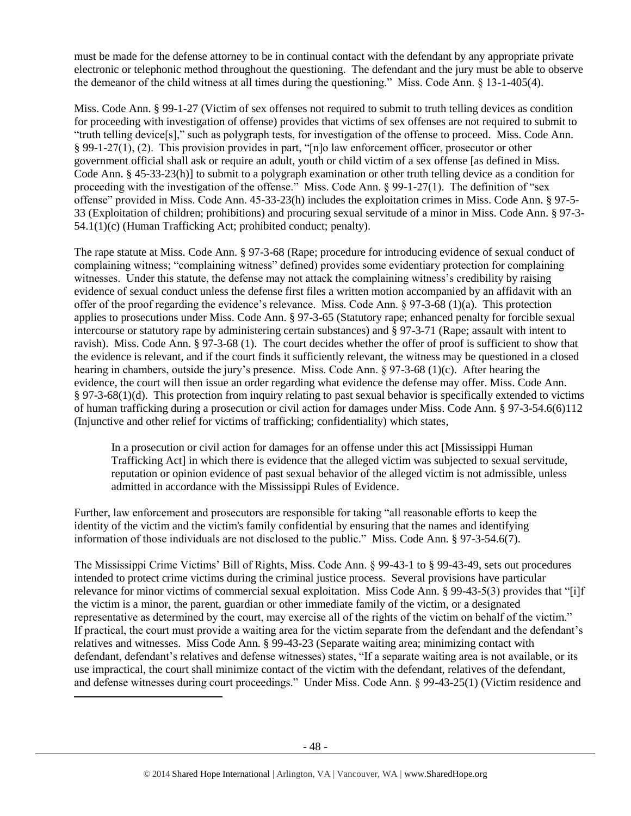must be made for the defense attorney to be in continual contact with the defendant by any appropriate private electronic or telephonic method throughout the questioning. The defendant and the jury must be able to observe the demeanor of the child witness at all times during the questioning." Miss. Code Ann. § 13-1-405(4).

Miss. Code Ann. § 99-1-27 (Victim of sex offenses not required to submit to truth telling devices as condition for proceeding with investigation of offense) provides that victims of sex offenses are not required to submit to "truth telling device[s]," such as polygraph tests, for investigation of the offense to proceed. Miss. Code Ann. § 99-1-27(1), (2). This provision provides in part, "[n]o law enforcement officer, prosecutor or other government official shall ask or require an adult, youth or child victim of a sex offense [as defined in Miss. Code Ann. § 45-33-23(h)] to submit to a polygraph examination or other truth telling device as a condition for proceeding with the investigation of the offense." Miss. Code Ann. § 99-1-27(1). The definition of "sex offense" provided in Miss. Code Ann. 45-33-23(h) includes the exploitation crimes in Miss. Code Ann. § 97-5- 33 (Exploitation of children; prohibitions) and procuring sexual servitude of a minor in Miss. Code Ann. § 97-3- 54.1(1)(c) (Human Trafficking Act; prohibited conduct; penalty).

The rape statute at Miss. Code Ann. § 97-3-68 (Rape; procedure for introducing evidence of sexual conduct of complaining witness; "complaining witness" defined) provides some evidentiary protection for complaining witnesses. Under this statute, the defense may not attack the complaining witness's credibility by raising evidence of sexual conduct unless the defense first files a written motion accompanied by an affidavit with an offer of the proof regarding the evidence's relevance. Miss. Code Ann. § 97-3-68 (1)(a). This protection applies to prosecutions under Miss. Code Ann. § 97-3-65 (Statutory rape; enhanced penalty for forcible sexual intercourse or statutory rape by administering certain substances) and § 97-3-71 (Rape; assault with intent to ravish). Miss. Code Ann. § 97-3-68 (1). The court decides whether the offer of proof is sufficient to show that the evidence is relevant, and if the court finds it sufficiently relevant, the witness may be questioned in a closed hearing in chambers, outside the jury's presence. Miss. Code Ann. § 97-3-68 (1)(c). After hearing the evidence, the court will then issue an order regarding what evidence the defense may offer. Miss. Code Ann. § 97-3-68(1)(d). This protection from inquiry relating to past sexual behavior is specifically extended to victims of human trafficking during a prosecution or civil action for damages under Miss. Code Ann. § 97-3-54.6(6)112 (Injunctive and other relief for victims of trafficking; confidentiality) which states,

In a prosecution or civil action for damages for an offense under this act [Mississippi Human Trafficking Act] in which there is evidence that the alleged victim was subjected to sexual servitude, reputation or opinion evidence of past sexual behavior of the alleged victim is not admissible, unless admitted in accordance with the Mississippi Rules of Evidence.

Further, law enforcement and prosecutors are responsible for taking "all reasonable efforts to keep the identity of the victim and the victim's family confidential by ensuring that the names and identifying information of those individuals are not disclosed to the public." Miss. Code Ann. § 97-3-54.6(7).

The Mississippi Crime Victims' Bill of Rights, Miss. Code Ann. § 99-43-1 to § 99-43-49, sets out procedures intended to protect crime victims during the criminal justice process. Several provisions have particular relevance for minor victims of commercial sexual exploitation. Miss Code Ann. § 99-43-5(3) provides that "[i]f the victim is a minor, the parent, guardian or other immediate family of the victim, or a designated representative as determined by the court, may exercise all of the rights of the victim on behalf of the victim." If practical, the court must provide a waiting area for the victim separate from the defendant and the defendant's relatives and witnesses. Miss Code Ann. § 99-43-23 (Separate waiting area; minimizing contact with defendant, defendant's relatives and defense witnesses) states, "If a separate waiting area is not available, or its use impractical, the court shall minimize contact of the victim with the defendant, relatives of the defendant, and defense witnesses during court proceedings." Under Miss. Code Ann. § 99-43-25(1) (Victim residence and

 $\overline{\phantom{a}}$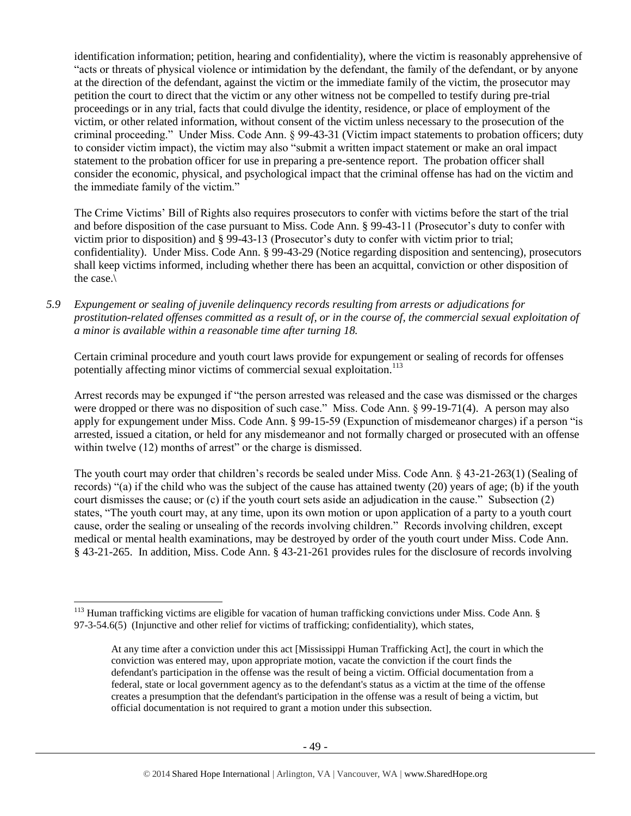identification information; petition, hearing and confidentiality), where the victim is reasonably apprehensive of "acts or threats of physical violence or intimidation by the defendant, the family of the defendant, or by anyone at the direction of the defendant, against the victim or the immediate family of the victim, the prosecutor may petition the court to direct that the victim or any other witness not be compelled to testify during pre-trial proceedings or in any trial, facts that could divulge the identity, residence, or place of employment of the victim, or other related information, without consent of the victim unless necessary to the prosecution of the criminal proceeding." Under Miss. Code Ann. § 99-43-31 (Victim impact statements to probation officers; duty to consider victim impact), the victim may also "submit a written impact statement or make an oral impact statement to the probation officer for use in preparing a pre-sentence report. The probation officer shall consider the economic, physical, and psychological impact that the criminal offense has had on the victim and the immediate family of the victim."

The Crime Victims' Bill of Rights also requires prosecutors to confer with victims before the start of the trial and before disposition of the case pursuant to Miss. Code Ann. § 99-43-11 (Prosecutor's duty to confer with victim prior to disposition) and § 99-43-13 (Prosecutor's duty to confer with victim prior to trial; confidentiality). Under Miss. Code Ann. § 99-43-29 (Notice regarding disposition and sentencing), prosecutors shall keep victims informed, including whether there has been an acquittal, conviction or other disposition of the case.\

*5.9 Expungement or sealing of juvenile delinquency records resulting from arrests or adjudications for prostitution-related offenses committed as a result of, or in the course of, the commercial sexual exploitation of a minor is available within a reasonable time after turning 18.*

Certain criminal procedure and youth court laws provide for expungement or sealing of records for offenses potentially affecting minor victims of commercial sexual exploitation.<sup>113</sup>

Arrest records may be expunged if "the person arrested was released and the case was dismissed or the charges were dropped or there was no disposition of such case." Miss. Code Ann. § 99-19-71(4). A person may also apply for expungement under Miss. Code Ann. § 99-15-59 (Expunction of misdemeanor charges) if a person "is arrested, issued a citation, or held for any misdemeanor and not formally charged or prosecuted with an offense within twelve (12) months of arrest" or the charge is dismissed.

The youth court may order that children's records be sealed under Miss. Code Ann. § 43-21-263(1) (Sealing of records) "(a) if the child who was the subject of the cause has attained twenty (20) years of age; (b) if the youth court dismisses the cause; or (c) if the youth court sets aside an adjudication in the cause." Subsection (2) states, "The youth court may, at any time, upon its own motion or upon application of a party to a youth court cause, order the sealing or unsealing of the records involving children." Records involving children, except medical or mental health examinations, may be destroyed by order of the youth court under Miss. Code Ann. § 43-21-265. In addition, Miss. Code Ann. § 43-21-261 provides rules for the disclosure of records involving

l  $113$  Human trafficking victims are eligible for vacation of human trafficking convictions under Miss. Code Ann. §  $97-3-54.6(5)$  (Injunctive and other relief for victims of trafficking; confidentiality), which states,

At any time after a conviction under this act [Mississippi Human Trafficking Act], the court in which the conviction was entered may, upon appropriate motion, vacate the conviction if the court finds the defendant's participation in the offense was the result of being a victim. Official documentation from a federal, state or local government agency as to the defendant's status as a victim at the time of the offense creates a presumption that the defendant's participation in the offense was a result of being a victim, but official documentation is not required to grant a motion under this subsection.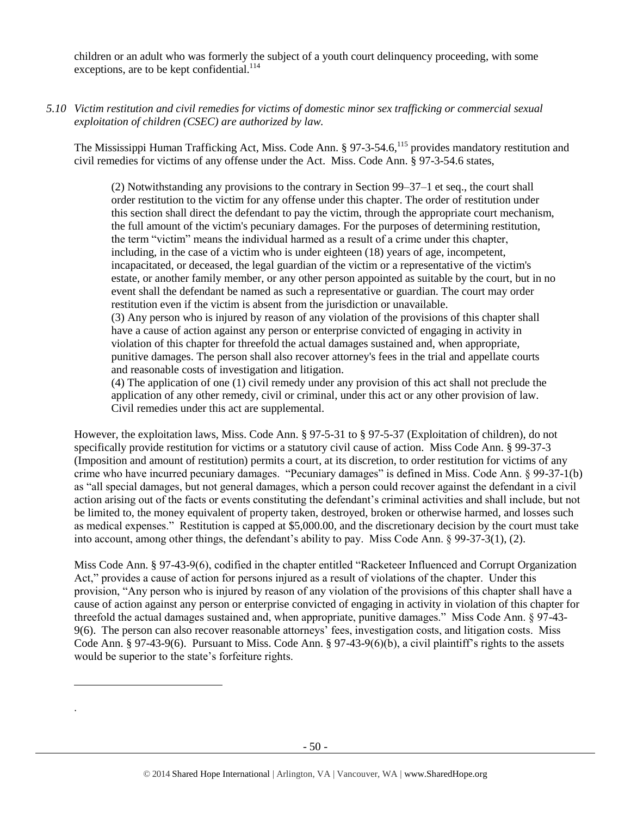children or an adult who was formerly the subject of a youth court delinquency proceeding, with some exceptions, are to be kept confidential.<sup>114</sup>

*5.10 Victim restitution and civil remedies for victims of domestic minor sex trafficking or commercial sexual exploitation of children (CSEC) are authorized by law.* 

The Mississippi Human Trafficking Act, Miss. Code Ann. § 97-3-54.6,<sup>115</sup> provides mandatory restitution and civil remedies for victims of any offense under the Act. Miss. Code Ann. § 97-3-54.6 states,

(2) Notwithstanding any provisions to the contrary in Section 99–37–1 et seq., the court shall order restitution to the victim for any offense under this chapter. The order of restitution under this section shall direct the defendant to pay the victim, through the appropriate court mechanism, the full amount of the victim's pecuniary damages. For the purposes of determining restitution, the term "victim" means the individual harmed as a result of a crime under this chapter, including, in the case of a victim who is under eighteen (18) years of age, incompetent, incapacitated, or deceased, the legal guardian of the victim or a representative of the victim's estate, or another family member, or any other person appointed as suitable by the court, but in no event shall the defendant be named as such a representative or guardian. The court may order restitution even if the victim is absent from the jurisdiction or unavailable. (3) Any person who is injured by reason of any violation of the provisions of this chapter shall have a cause of action against any person or enterprise convicted of engaging in activity in violation of this chapter for threefold the actual damages sustained and, when appropriate, punitive damages. The person shall also recover attorney's fees in the trial and appellate courts and reasonable costs of investigation and litigation.

(4) The application of one (1) civil remedy under any provision of this act shall not preclude the application of any other remedy, civil or criminal, under this act or any other provision of law. Civil remedies under this act are supplemental.

However, the exploitation laws, Miss. Code Ann. § 97-5-31 to § 97-5-37 (Exploitation of children), do not specifically provide restitution for victims or a statutory civil cause of action. Miss Code Ann. § 99-37-3 (Imposition and amount of restitution) permits a court, at its discretion, to order restitution for victims of any crime who have incurred pecuniary damages. "Pecuniary damages" is defined in Miss. Code Ann. § 99-37-1(b) as "all special damages, but not general damages, which a person could recover against the defendant in a civil action arising out of the facts or events constituting the defendant's criminal activities and shall include, but not be limited to, the money equivalent of property taken, destroyed, broken or otherwise harmed, and losses such as medical expenses." Restitution is capped at \$5,000.00, and the discretionary decision by the court must take into account, among other things, the defendant's ability to pay. Miss Code Ann. § 99-37-3(1), (2).

Miss Code Ann. § 97-43-9(6), codified in the chapter entitled "Racketeer Influenced and Corrupt Organization Act," provides a cause of action for persons injured as a result of violations of the chapter. Under this provision, "Any person who is injured by reason of any violation of the provisions of this chapter shall have a cause of action against any person or enterprise convicted of engaging in activity in violation of this chapter for threefold the actual damages sustained and, when appropriate, punitive damages." Miss Code Ann. § 97-43- 9(6). The person can also recover reasonable attorneys' fees, investigation costs, and litigation costs. Miss Code Ann. § 97-43-9(6). Pursuant to Miss. Code Ann. § 97-43-9(6)(b), a civil plaintiff's rights to the assets would be superior to the state's forfeiture rights.

l

.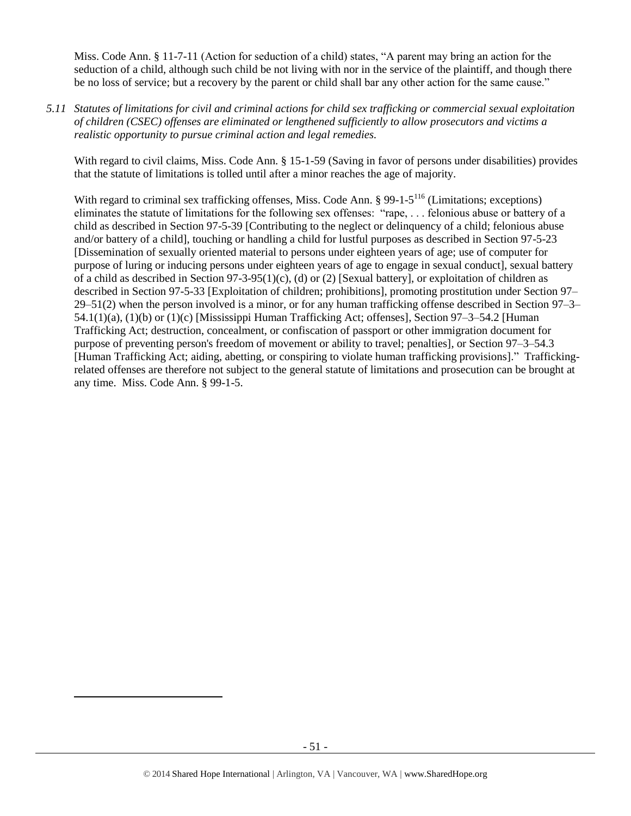Miss. Code Ann. § 11-7-11 (Action for seduction of a child) states, "A parent may bring an action for the seduction of a child, although such child be not living with nor in the service of the plaintiff, and though there be no loss of service; but a recovery by the parent or child shall bar any other action for the same cause."

*5.11 Statutes of limitations for civil and criminal actions for child sex trafficking or commercial sexual exploitation of children (CSEC) offenses are eliminated or lengthened sufficiently to allow prosecutors and victims a realistic opportunity to pursue criminal action and legal remedies.*

With regard to civil claims, Miss. Code Ann. § 15-1-59 (Saving in favor of persons under disabilities) provides that the statute of limitations is tolled until after a minor reaches the age of majority.

With regard to criminal sex trafficking offenses, Miss. Code Ann. § 99-1-5<sup>116</sup> (Limitations; exceptions) eliminates the statute of limitations for the following sex offenses: "rape, . . . felonious abuse or battery of a child as described in Section 97-5-39 [Contributing to the neglect or delinquency of a child; felonious abuse and/or battery of a child], touching or handling a child for lustful purposes as described in Section 97-5-23 [Dissemination of sexually oriented material to persons under eighteen years of age; use of computer for purpose of luring or inducing persons under eighteen years of age to engage in sexual conduct], sexual battery of a child as described in Section  $97-3-95(1)(c)$ , (d) or (2) [Sexual battery], or exploitation of children as described in Section 97-5-33 [Exploitation of children; prohibitions], promoting prostitution under Section 97– 29–51(2) when the person involved is a minor, or for any human trafficking offense described in Section 97–3– 54.1(1)(a), (1)(b) or (1)(c) [Mississippi Human Trafficking Act; offenses], Section 97–3–54.2 [Human Trafficking Act; destruction, concealment, or confiscation of passport or other immigration document for purpose of preventing person's freedom of movement or ability to travel; penalties], or Section 97–3–54.3 [Human Trafficking Act; aiding, abetting, or conspiring to violate human trafficking provisions]." Traffickingrelated offenses are therefore not subject to the general statute of limitations and prosecution can be brought at any time. Miss. Code Ann. § 99-1-5.

 $\overline{\phantom{a}}$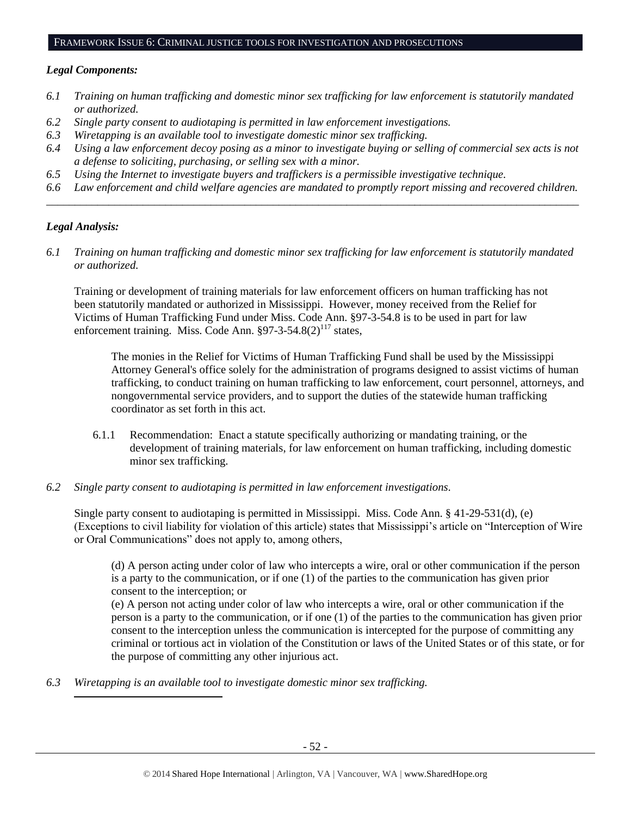## FRAMEWORK ISSUE 6: CRIMINAL JUSTICE TOOLS FOR INVESTIGATION AND PROSECUTIONS

#### *Legal Components:*

- *6.1 Training on human trafficking and domestic minor sex trafficking for law enforcement is statutorily mandated or authorized.*
- *6.2 Single party consent to audiotaping is permitted in law enforcement investigations.*
- *6.3 Wiretapping is an available tool to investigate domestic minor sex trafficking.*
- *6.4 Using a law enforcement decoy posing as a minor to investigate buying or selling of commercial sex acts is not a defense to soliciting, purchasing, or selling sex with a minor.*
- *6.5 Using the Internet to investigate buyers and traffickers is a permissible investigative technique.*
- *6.6 Law enforcement and child welfare agencies are mandated to promptly report missing and recovered children. \_\_\_\_\_\_\_\_\_\_\_\_\_\_\_\_\_\_\_\_\_\_\_\_\_\_\_\_\_\_\_\_\_\_\_\_\_\_\_\_\_\_\_\_\_\_\_\_\_\_\_\_\_\_\_\_\_\_\_\_\_\_\_\_\_\_\_\_\_\_\_\_\_\_\_\_\_\_\_\_\_\_\_\_\_\_\_\_\_\_\_\_\_\_*

#### *Legal Analysis:*

 $\overline{\phantom{a}}$ 

*6.1 Training on human trafficking and domestic minor sex trafficking for law enforcement is statutorily mandated or authorized.*

Training or development of training materials for law enforcement officers on human trafficking has not been statutorily mandated or authorized in Mississippi. However, money received from the Relief for Victims of Human Trafficking Fund under Miss. Code Ann. §97-3-54.8 is to be used in part for law enforcement training. Miss. Code Ann.  $\S97-3-54.8(2)^{117}$  states,

The monies in the Relief for Victims of Human Trafficking Fund shall be used by the Mississippi Attorney General's office solely for the administration of programs designed to assist victims of human trafficking, to conduct training on human trafficking to law enforcement, court personnel, attorneys, and nongovernmental service providers, and to support the duties of the statewide human trafficking coordinator as set forth in this act.

- 6.1.1 Recommendation: Enact a statute specifically authorizing or mandating training, or the development of training materials, for law enforcement on human trafficking, including domestic minor sex trafficking.
- *6.2 Single party consent to audiotaping is permitted in law enforcement investigations.*

Single party consent to audiotaping is permitted in Mississippi. Miss. Code Ann. § 41-29-531(d), (e) (Exceptions to civil liability for violation of this article) states that Mississippi's article on "Interception of Wire or Oral Communications" does not apply to, among others,

(d) A person acting under color of law who intercepts a wire, oral or other communication if the person is a party to the communication, or if one (1) of the parties to the communication has given prior consent to the interception; or

(e) A person not acting under color of law who intercepts a wire, oral or other communication if the person is a party to the communication, or if one (1) of the parties to the communication has given prior consent to the interception unless the communication is intercepted for the purpose of committing any criminal or tortious act in violation of the Constitution or laws of the United States or of this state, or for the purpose of committing any other injurious act.

*6.3 Wiretapping is an available tool to investigate domestic minor sex trafficking.*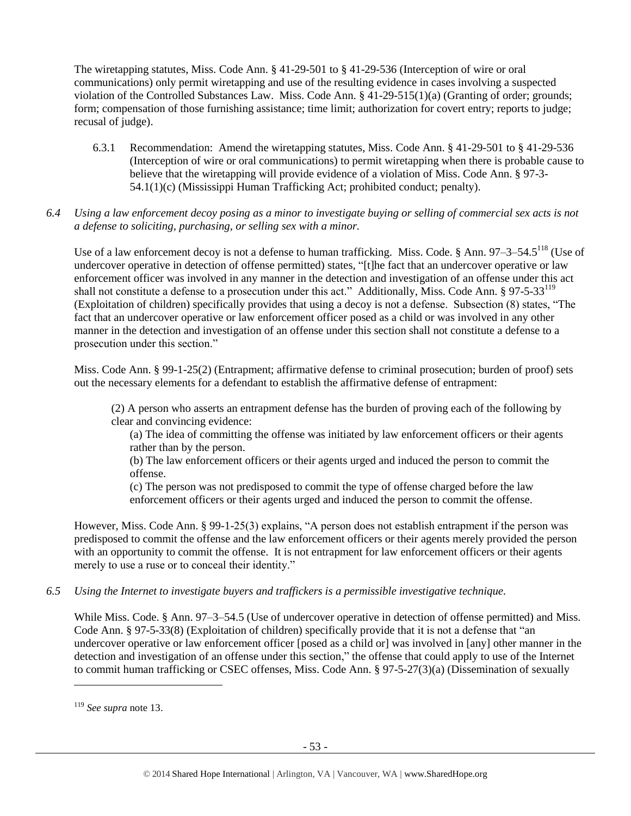The wiretapping statutes, Miss. Code Ann. § 41-29-501 to § 41-29-536 (Interception of wire or oral communications) only permit wiretapping and use of the resulting evidence in cases involving a suspected violation of the Controlled Substances Law. Miss. Code Ann. § 41-29-515(1)(a) (Granting of order; grounds; form; compensation of those furnishing assistance; time limit; authorization for covert entry; reports to judge; recusal of judge).

- 6.3.1 Recommendation: Amend the wiretapping statutes, Miss. Code Ann. § 41-29-501 to § 41-29-536 (Interception of wire or oral communications) to permit wiretapping when there is probable cause to believe that the wiretapping will provide evidence of a violation of Miss. Code Ann. § 97-3- 54.1(1)(c) (Mississippi Human Trafficking Act; prohibited conduct; penalty).
- *6.4 Using a law enforcement decoy posing as a minor to investigate buying or selling of commercial sex acts is not a defense to soliciting, purchasing, or selling sex with a minor.*

Use of a law enforcement decoy is not a defense to human trafficking. Miss. Code. § Ann. 97–3–54.5<sup>118</sup> (Use of undercover operative in detection of offense permitted) states, "[t]he fact that an undercover operative or law enforcement officer was involved in any manner in the detection and investigation of an offense under this act shall not constitute a defense to a prosecution under this act." Additionally, Miss. Code Ann. § 97-5-33<sup>119</sup> (Exploitation of children) specifically provides that using a decoy is not a defense. Subsection (8) states, "The fact that an undercover operative or law enforcement officer posed as a child or was involved in any other manner in the detection and investigation of an offense under this section shall not constitute a defense to a prosecution under this section."

Miss. Code Ann. § 99-1-25(2) (Entrapment; affirmative defense to criminal prosecution; burden of proof) sets out the necessary elements for a defendant to establish the affirmative defense of entrapment:

(2) A person who asserts an entrapment defense has the burden of proving each of the following by clear and convincing evidence:

(a) The idea of committing the offense was initiated by law enforcement officers or their agents rather than by the person.

(b) The law enforcement officers or their agents urged and induced the person to commit the offense.

(c) The person was not predisposed to commit the type of offense charged before the law enforcement officers or their agents urged and induced the person to commit the offense.

However, Miss. Code Ann. § 99-1-25(3) explains, "A person does not establish entrapment if the person was predisposed to commit the offense and the law enforcement officers or their agents merely provided the person with an opportunity to commit the offense. It is not entrapment for law enforcement officers or their agents merely to use a ruse or to conceal their identity."

*6.5 Using the Internet to investigate buyers and traffickers is a permissible investigative technique.*

While Miss. Code. § Ann. 97–3–54.5 (Use of undercover operative in detection of offense permitted) and Miss. Code Ann. § 97-5-33(8) (Exploitation of children) specifically provide that it is not a defense that "an undercover operative or law enforcement officer [posed as a child or] was involved in [any] other manner in the detection and investigation of an offense under this section," the offense that could apply to use of the Internet to commit human trafficking or CSEC offenses, Miss. Code Ann. § 97-5-27(3)(a) (Dissemination of sexually

<sup>119</sup> *See supra* not[e 13.](#page-3-0)